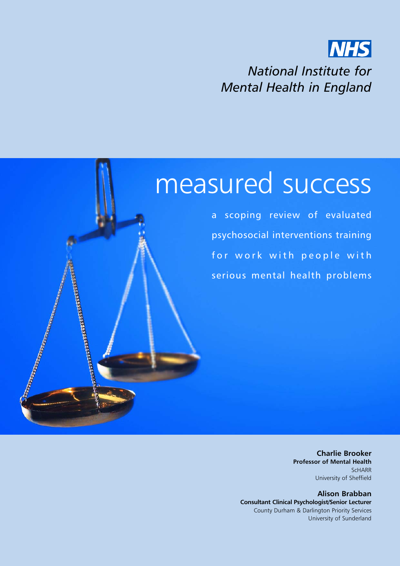# **NHS** *National Institute for Mental Health in England*

# measured success

a scoping review of evaluated psychosocial interventions training for work with people with serious mental health problems

> **Charlie Brooker Professor of Mental Health ScHARR** University of Sheffield

**Alison Brabban Consultant Clinical Psychologist/Senior Lecturer** County Durham & Darlington Priority Services University of Sunderland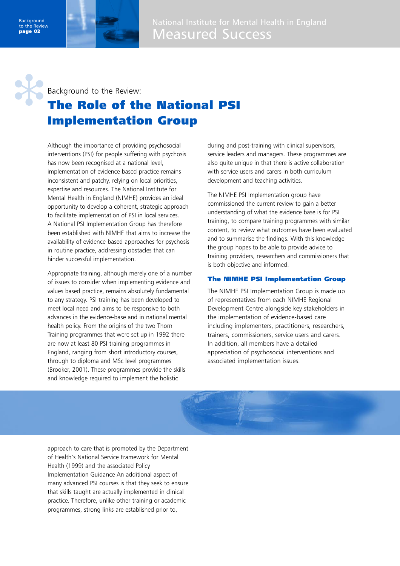

Measured Success

#### Background to the Review:

## The Role of the National PSI Implementation Group

Although the importance of providing psychosocial interventions (PSI) for people suffering with psychosis has now been recognised at a national level, implementation of evidence based practice remains inconsistent and patchy, relying on local priorities, expertise and resources. The National Institute for Mental Health in England (NIMHE) provides an ideal opportunity to develop a coherent, strategic approach to facilitate implementation of PSI in local services. A National PSI Implementation Group has therefore been established with NIMHE that aims to increase the availability of evidence-based approaches for psychosis in routine practice, addressing obstacles that can hinder successful implementation.

Appropriate training, although merely one of a number of issues to consider when implementing evidence and values based practice, remains absolutely fundamental to any strategy. PSI training has been developed to meet local need and aims to be responsive to both advances in the evidence-base and in national mental health policy. From the origins of the two Thorn Training programmes that were set up in 1992 there are now at least 80 PSI training programmes in England, ranging from short introductory courses, through to diploma and MSc level programmes (Brooker, 2001). These programmes provide the skills and knowledge required to implement the holistic

during and post-training with clinical supervisors, service leaders and managers. These programmes are also quite unique in that there is active collaboration with service users and carers in both curriculum development and teaching activities.

The NIMHE PSI Implementation group have commissioned the current review to gain a better understanding of what the evidence base is for PSI training, to compare training programmes with similar content, to review what outcomes have been evaluated and to summarise the findings. With this knowledge the group hopes to be able to provide advice to training providers, researchers and commissioners that is both objective and informed.

#### The NIMHE PSI Implementation Group

The NIMHE PSI Implementation Group is made up of representatives from each NIMHE Regional Development Centre alongside key stakeholders in the implementation of evidence-based care including implementers, practitioners, researchers, trainers, commissioners, service users and carers. In addition, all members have a detailed appreciation of psychosocial interventions and associated implementation issues.

approach to care that is promoted by the Department of Health's National Service Framework for Mental Health (1999) and the associated Policy Implementation Guidance An additional aspect of many advanced PSI courses is that they seek to ensure that skills taught are actually implemented in clinical practice. Therefore, unlike other training or academic programmes, strong links are established prior to,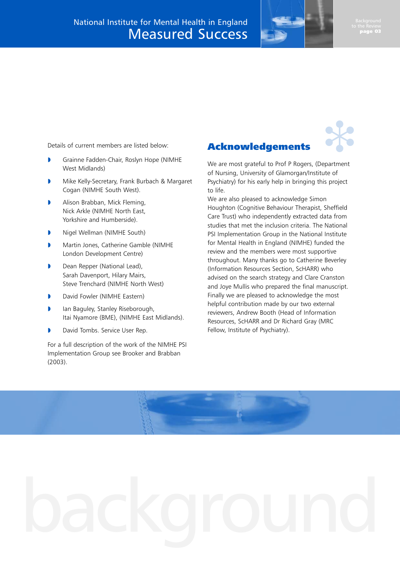

Details of current members are listed below:

- ◗ Grainne Fadden-Chair, Roslyn Hope (NIMHE West Midlands)
- **In Mike Kelly-Secretary, Frank Burbach & Margaret** Cogan (NIMHE South West).
- **D** Alison Brabban, Mick Fleming, Nick Arkle (NIMHE North East, Yorkshire and Humberside).
- **D** Nigel Wellman (NIMHE South)
- ◗ Martin Jones, Catherine Gamble (NIMHE London Development Centre)
- ◗ Dean Repper (National Lead), Sarah Davenport, Hilary Mairs, Steve Trenchard (NIMHE North West)
- **David Fowler (NIMHE Eastern)**
- **Ian Baguley, Stanley Riseborough,** Itai Nyamore (BME), (NIMHE East Midlands).
- **David Tombs. Service User Rep.**

For a full description of the work of the NIMHE PSI Implementation Group see Brooker and Brabban (2003).

#### Acknowledgements

We are most grateful to Prof P Rogers, (Department of Nursing, University of Glamorgan/Institute of Psychiatry) for his early help in bringing this project to life.

We are also pleased to acknowledge Simon Houghton (Cognitive Behaviour Therapist, Sheffield Care Trust) who independently extracted data from studies that met the inclusion criteria. The National PSI Implementation Group in the National Institute for Mental Health in England (NIMHE) funded the review and the members were most supportive throughout. Many thanks go to Catherine Beverley (Information Resources Section, ScHARR) who advised on the search strategy and Clare Cranston and Joye Mullis who prepared the final manuscript. Finally we are pleased to acknowledge the most helpful contribution made by our two external reviewers, Andrew Booth (Head of Information Resources, ScHARR and Dr Richard Gray (MRC Fellow, Institute of Psychiatry).

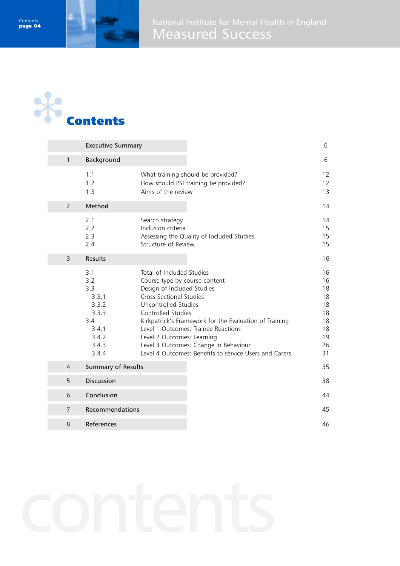

# ❉Contents

|                | <b>Executive Summary</b>                                                                |                                                                                                                                                                                                        |                                                                                                                                                                                                  | 6                                                              |
|----------------|-----------------------------------------------------------------------------------------|--------------------------------------------------------------------------------------------------------------------------------------------------------------------------------------------------------|--------------------------------------------------------------------------------------------------------------------------------------------------------------------------------------------------|----------------------------------------------------------------|
| $\mathbf{1}$   | Background                                                                              |                                                                                                                                                                                                        |                                                                                                                                                                                                  | 6                                                              |
|                | 1.1<br>1.2<br>1.3                                                                       | Aims of the review                                                                                                                                                                                     | What training should be provided?<br>How should PSI training be provided?                                                                                                                        | 12<br>12<br>13                                                 |
| $\overline{2}$ | Method                                                                                  |                                                                                                                                                                                                        |                                                                                                                                                                                                  | 14                                                             |
|                | 2.1<br>2.2<br>2.3<br>2.4                                                                | Search strategy<br>Inclusion criteria<br>Structure of Review                                                                                                                                           | Assessing the Quality of Included Studies                                                                                                                                                        | 14<br>15<br>15<br>15                                           |
| $\overline{3}$ | <b>Results</b>                                                                          |                                                                                                                                                                                                        |                                                                                                                                                                                                  | 16                                                             |
|                | 3.1<br>3.2<br>3.3<br>3.3.1<br>3.3.2<br>3.3.3<br>3.4<br>3.4.1<br>3.4.2<br>3.4.3<br>3.4.4 | Total of Included Studies<br>Course type by course content<br>Design of Included Studies<br><b>Cross Sectional Studies</b><br>Uncontrolled Studies<br>Controlled Studies<br>Level 2 Outcomes: Learning | Kirkpatrick's Framework for the Evaluation of Training<br>Level 1 Outcomes: Trainee Reactions<br>Level 3 Outcomes: Change in Behaviour<br>Level 4 Outcomes: Benefits to service Users and Carers | 16<br>16<br>18<br>18<br>18<br>18<br>18<br>18<br>19<br>26<br>31 |
| $\overline{4}$ | Summary of Results                                                                      |                                                                                                                                                                                                        |                                                                                                                                                                                                  | 35                                                             |
| 5              | <b>Discussion</b>                                                                       |                                                                                                                                                                                                        |                                                                                                                                                                                                  | 38                                                             |
| 6              | Conclusion                                                                              |                                                                                                                                                                                                        |                                                                                                                                                                                                  | 44                                                             |
| $\overline{7}$ | Recommendations                                                                         |                                                                                                                                                                                                        |                                                                                                                                                                                                  | 45                                                             |
| 8              | References                                                                              |                                                                                                                                                                                                        |                                                                                                                                                                                                  | 46                                                             |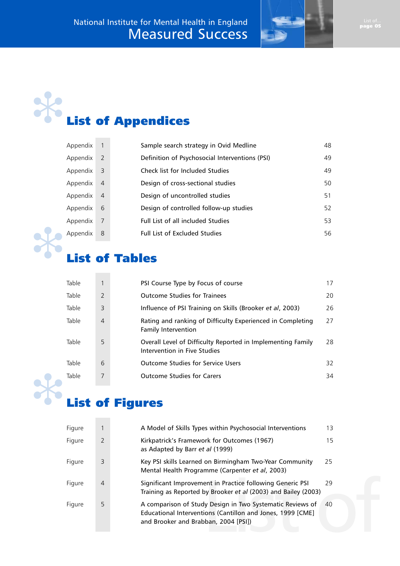

# **a** List of Appendices

| Appendix | 1              | Sample search strategy in Ovid Medline         | 48 |
|----------|----------------|------------------------------------------------|----|
| Appendix | 2              | Definition of Psychosocial Interventions (PSI) | 49 |
| Appendix | 3              | Check list for Included Studies                | 49 |
| Appendix | $\overline{4}$ | Design of cross-sectional studies              | 50 |
| Appendix | $\overline{4}$ | Design of uncontrolled studies                 | 51 |
| Appendix | 6              | Design of controlled follow-up studies         | 52 |
| Appendix | 7              | Full List of all included Studies              | 53 |
| Appendix | 8              | <b>Full List of Excluded Studies</b>           | 56 |
|          |                |                                                |    |
|          |                | <b>List of Tables</b>                          |    |
|          |                |                                                |    |

# List of Tables

| Table | 1              | PSI Course Type by Focus of course                                                          | 17 |
|-------|----------------|---------------------------------------------------------------------------------------------|----|
| Table | 2              | <b>Outcome Studies for Trainees</b>                                                         | 20 |
| Table | 3              | Influence of PSI Training on Skills (Brooker et al, 2003)                                   | 26 |
| Table | $\overline{4}$ | Rating and ranking of Difficulty Experienced in Completing<br><b>Family Intervention</b>    | 27 |
| Table | 5              | Overall Level of Difficulty Reported in Implementing Family<br>Intervention in Five Studies | 28 |
| Table | 6              | <b>Outcome Studies for Service Users</b>                                                    | 32 |
| Table | 7              | <b>Outcome Studies for Carers</b>                                                           | 34 |
|       |                |                                                                                             |    |

❉

# List of Figures

**Contract** 

| Figure |                | A Model of Skills Types within Psychosocial Interventions                                                                                                       | 13 |
|--------|----------------|-----------------------------------------------------------------------------------------------------------------------------------------------------------------|----|
| Figure | $\overline{2}$ | Kirkpatrick's Framework for Outcomes (1967)<br>as Adapted by Barr et al (1999)                                                                                  | 15 |
| Figure | 3              | Key PSI skills Learned on Birmingham Two-Year Community<br>Mental Health Programme (Carpenter et al, 2003)                                                      | 25 |
| Figure | $\overline{4}$ | Significant Improvement in Practice following Generic PSI<br>Training as Reported by Brooker et al (2003) and Bailey (2003)                                     | 29 |
| Figure | 5              | A comparison of Study Design in Two Systematic Reviews of<br>Educational Interventions (Cantillon and Jones, 1999 [CME]<br>and Brooker and Brabban, 2004 [PSI]) | 40 |
|        |                |                                                                                                                                                                 |    |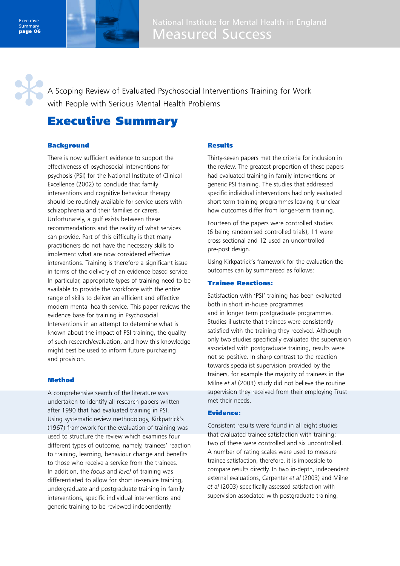

A Scoping Review of Evaluated Psychosocial Interventions Training for Work with People with Serious Mental Health Problems

### Executive Summary

#### Background

There is now sufficient evidence to support the effectiveness of psychosocial interventions for psychosis (PSI) for the National Institute of Clinical Excellence (2002) to conclude that family interventions and cognitive behaviour therapy should be routinely available for service users with schizophrenia and their families or carers. Unfortunately, a gulf exists between these recommendations and the reality of what services can provide. Part of this difficulty is that many practitioners do not have the necessary skills to implement what are now considered effective interventions. Training is therefore a significant issue in terms of the delivery of an evidence-based service. In particular, appropriate types of training need to be available to provide the workforce with the entire range of skills to deliver an efficient and effective modern mental health service. This paper reviews the evidence base for training in Psychosocial Interventions in an attempt to determine what is known about the impact of PSI training, the quality of such research/evaluation, and how this knowledge might best be used to inform future purchasing and provision.

#### Method

A comprehensive search of the literature was undertaken to identify all research papers written after 1990 that had evaluated training in PSI. Using systematic review methodology, Kirkpatrick's (1967) framework for the evaluation of training was used to structure the review which examines four different types of outcome, namely, trainees' reaction to training, learning, behaviour change and benefits to those who receive a service from the trainees. In addition, the *focus* and *level* of training was differentiated to allow for short in-service training, undergraduate and postgraduate training in family interventions, specific individual interventions and generic training to be reviewed independently.

#### Results

Thirty-seven papers met the criteria for inclusion in the review. The greatest proportion of these papers had evaluated training in family interventions or generic PSI training. The studies that addressed specific individual interventions had only evaluated short term training programmes leaving it unclear how outcomes differ from longer-term training.

Fourteen of the papers were controlled studies (6 being randomised controlled trials), 11 were cross sectional and 12 used an uncontrolled pre-post design.

Using Kirkpatrick's framework for the evaluation the outcomes can by summarised as follows:

#### Trainee Reactions:

Satisfaction with 'PSI' training has been evaluated both in short in-house programmes and in longer term postgraduate programmes. Studies illustrate that trainees were consistently satisfied with the training they received. Although only two studies specifically evaluated the supervision associated with postgraduate training, results were not so positive. In sharp contrast to the reaction towards specialist supervision provided by the trainers, for example the majority of trainees in the Milne *et al* (2003) study did not believe the routine supervision they received from their employing Trust met their needs.

#### Evidence:

Consistent results were found in all eight studies that evaluated trainee satisfaction with training: two of these were controlled and six uncontrolled. A number of rating scales were used to measure trainee satisfaction, therefore, it is impossible to compare results directly. In two in-depth, independent external evaluations, Carpenter *et al* (2003) and Milne *et al* (2003) specifically assessed satisfaction with supervision associated with postgraduate training.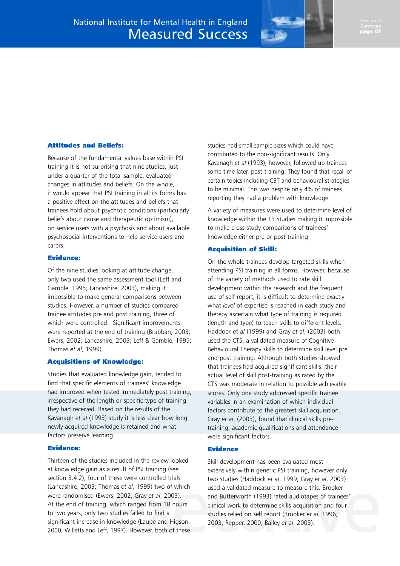

#### Attitudes and Beliefs:

Because of the fundamental values base within PSI training it is not surprising that nine studies, just under a quarter of the total sample, evaluated changes in attitudes and beliefs. On the whole, it would appear that PSI training in all its forms has a positive effect on the attitudes and beliefs that trainees hold about psychotic conditions (particularly beliefs about cause and therapeutic optimism), on service users with a psychosis and about available psychosocial interventions to help service users and carers.

#### Evidence:

Of the nine studies looking at attitude change, only two used the same assessment tool (Leff and Gamble, 1995; Lancashire, 2003), making it impossible to make general comparisons between studies. However, a number of studies compared trainee attitudes pre and post training, three of which were controlled. Significant improvements were reported at the end of training (Brabban, 2003; Ewers, 2002; Lancashire, 2003; Leff & Gamble, 1995; Thomas *et al*, 1999).

#### Acquisitions of Knowledge:

Studies that evaluated knowledge gain, tended to find that specific elements of trainees' knowledge had improved when tested immediately post training, irrespective of the length or specific type of training they had received. Based on the results of the Kavanagh *et al* (1993) study it is less clear how long newly acquired knowledge is retained and what factors preserve learning.

#### Evidence:

Thirteen of the studies included in the review looked at knowledge gain as a result of PSI training (see section 3.4.2), four of these were controlled trials (Lancashire, 2003; Thomas *et al*, 1999) two of which were randomised (Ewers, 2002; Gray *et al*, 2003). At the end of training, which ranged from 18 hours to two years, only two studies failed to find a significant increase in knowledge (Laube and Higson, 2000; Willetts and Leff, 1997). However, both of these studies had small sample sizes which could have contributed to the non-significant results. Only Kavanagh *et al* (1993), however, followed up trainees some time later, post-training. They found that recall of certain topics including CBT and behavioural strategies to be minimal. This was despite only 4% of trainees reporting they had a problem with knowledge.

A variety of measures were used to determine level of knowledge within the 13 studies making it impossible to make cross study comparisons of trainees' knowledge either pre or post training

#### Acquisition of Skill:

On the whole trainees develop targeted skills when attending PSI training in all forms. However, because of the variety of methods used to rate skill development within the research and the frequent use of self report, it is difficult to determine exactly what *level* of expertise is reached in each study and thereby ascertain what type of training is required (length and type) to teach skills to different levels. Haddock *et al* (1999) and Gray *et al*, (2003) both used the CTS, a validated measure of Cognitive Behavioural Therapy skills to determine skill level pre and post training. Although both studies showed that trainees had acquired significant skills, their actual level of skill post-training as rated by the CTS was moderate in relation to possible achievable scores. Only one study addressed specific trainee variables in an examination of which individual factors contribute to the greatest skill acquisition. Gray *et al*, (2003), found that clinical skills pretraining, academic qualifications and attendance were significant factors.

#### **Evidence**

these were controlled trials two studies (Haddock *et al.* 1999; Gray *et al.* 2003)<br>mas *et al.* 1999) two of which used a validated measure to measure this. Brooker<br>rs, 2002; Gray *et al.* 2003). and Butterworth (1993) r Skill development has been evaluated most extensively within generic PSI training, however only two studies (Haddock *et al*, 1999; Gray *et al*, 2003) used a validated measure to measure this. Brooker and Butterworth (1993) rated audiotapes of trainees' clinical work to determine skills acquisition and four studies relied on self report (Brooker *et al*, 1996; 2003; Repper, 2000; Bailey *et al*, 2003).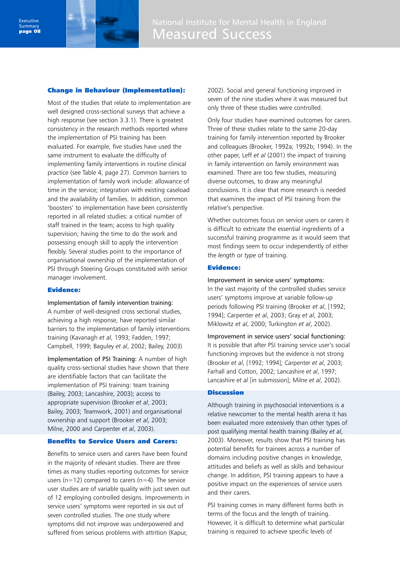#### Change in Behaviour (Implementation):

Most of the studies that relate to implementation are well designed cross-sectional surveys that achieve a high response (see section 3.3.1). There is greatest consistency in the research methods reported where the implementation of PSI training has been evaluated. For example, five studies have used the same instrument to evaluate the difficulty of implementing family interventions in routine clinical practice (see Table 4, page 27). Common barriers to implementation of family work include: allowance of time in the service; integration with existing caseload and the availability of families. In addition, common 'boosters' to implementation have been consistently reported in all related studies: a critical number of staff trained in the team; access to high quality supervision; having the time to do the work and possessing enough skill to apply the intervention flexibly. Several studies point to the importance of organisational ownership of the implementation of PSI through Steering Groups constituted with senior manager involvement.

#### Evidence:

#### Implementation of family intervention training:

A number of well-designed cross sectional studies, achieving a high response, have reported similar barriers to the implementation of family interventions training (Kavanagh *et al*, 1993; Fadden, 1997; Campbell, 1999; Baguley *et al*, 2002; Bailey, 2003)

Implementation of PSI Training: A number of high quality cross-sectional studies have shown that there are identifiable factors that can facilitate the implementation of PSI training: team training (Bailey, 2003; Lancashire, 2003); access to appropriate supervision (Brooker *et al*, 2003; Bailey, 2003; Teamwork, 2001) and organisational ownership and support (Brooker *et al*, 2003; Milne, 2000 and Carpenter *et al*, 2003).

#### Benefits to Service Users and Carers:

Benefits to service users and carers have been found in the majority of relevant studies. There are three times as many studies reporting outcomes for service users ( $n=12$ ) compared to carers ( $n=4$ ). The service user studies are of variable quality with just seven out of 12 employing controlled designs. Improvements in service users' symptoms were reported in six out of seven controlled studies. The one study where symptoms did not improve was underpowered and suffered from serious problems with attrition (Kapur,

2002). Social and general functioning improved in seven of the nine studies where it was measured but only three of these studies were controlled.

Only four studies have examined outcomes for carers. Three of these studies relate to the same 20-day training for family intervention reported by Brooker and colleagues (Brooker, 1992a; 1992b; 1994). In the other paper, Leff *et al* (2001) the impact of training in family intervention on family environment was examined. There are too few studies, measuring diverse outcomes, to draw any meaningful conclusions. It is clear that more research is needed that examines the impact of PSI training from the relative's perspective.

Whether outcomes focus on service users or carers it is difficult to extricate the essential ingredients of a successful training programme as it would seem that most findings seem to occur independently of either the *length* or *type* of training.

#### Evidence:

#### Improvement in service users' symptoms:

In the vast majority of the controlled studies service users' symptoms improve at variable follow-up periods following PSI training (Brooker *et al*, [1992; 1994]; Carpenter *et al*, 2003; Gray *et al*, 2003; Miklowitz *et al*, 2000; Turkington *et al*, 2002).

Improvement in service users' social functioning: It is possible that after PSI training service user's social functioning improves but the evidence is not strong (Brooker *et al*, [1992; 1994]; Carpenter *et al*, 2003; Farhall and Cotton, 2002; Lancashire *et al*, 1997; Lancashire *et al* [in submission]; Milne *et al*, 2002).

#### **Discussion**

Although training in psychosocial interventions is a relative newcomer to the mental health arena it has been evaluated more extensively than other types of post qualifying mental health training (Bailey *et al*, 2003). Moreover, results show that PSI training has potential benefits for trainees across a number of domains including positive changes in knowledge, attitudes and beliefs as well as skills and behaviour change. In addition, PSI training appears to have a positive impact on the experiences of service users and their carers.

PSI training comes in many different forms both in terms of the focus and the length of training. However, it is difficult to determine what particular training is required to achieve specific levels of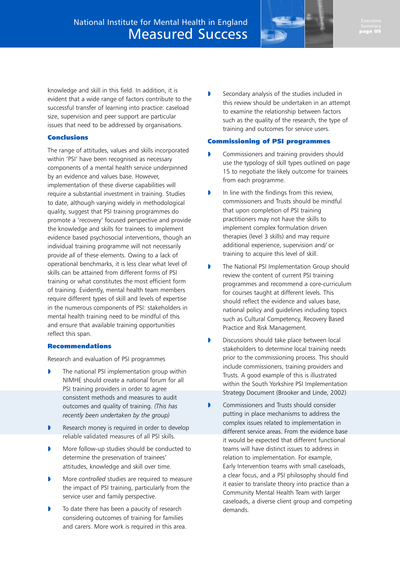

knowledge and skill in this field. In addition, it is evident that a wide range of factors contribute to the successful transfer of learning into practice: caseload size, supervision and peer support are particular issues that need to be addressed by organisations.

#### Conclusions

The range of attitudes, values and skills incorporated within 'PSI' have been recognised as necessary components of a mental health service underpinned by an evidence and values base. However, implementation of these diverse capabilities will require a substantial investment in training. Studies to date, although varying widely in methodological quality, suggest that PSI training programmes do promote a 'recovery' focused perspective and provide the knowledge and skills for trainees to implement evidence based psychosocial interventions, though an individual training programme will not necessarily provide *all* of these elements. Owing to a lack of operational benchmarks, it is less clear what level of skills can be attained from different forms of PSI training or what constitutes the most efficient form of training. Evidently, mental health team members require different types of skill and levels of expertise in the numerous components of PSI: stakeholders in mental health training need to be mindful of this and ensure that available training opportunities reflect this span.

#### Recommendations

Research and evaluation of PSI programmes

- ◗ The national PSI implementation group within NIMHE should create a national forum for all PSI training providers in order to agree consistent methods and measures to audit outcomes and quality of training. *(This has recently been undertaken by the group)*
- ◗ Research money is required in order to develop reliable validated measures of all PSI skills.
- ◗ More follow-up studies should be conducted to determine the preservation of trainees' attitudes, knowledge and skill over time.
- ◗ More *controlled* studies are required to measure the impact of PSI training, particularly from the service user and family perspective.
- ◗ To date there has been a paucity of research considering outcomes of training for families and carers. More work is required in this area.

Secondary analysis of the studies included in this review should be undertaken in an attempt to examine the relationship between factors such as the quality of the research, the type of training and outcomes for service users.

#### Commissioning of PSI programmes

- **•** Commissioners and training providers should use the typology of skill types outlined on page 15 to negotiate the likely outcome for trainees from each programme.
- ◗ In line with the findings from this review, commissioners and Trusts should be mindful that upon completion of PSI training practitioners may not have the skills to implement complex formulation driven therapies (level 3 skills) and may require additional experience, supervision and/ or training to acquire this level of skill.
- **The National PSI Implementation Group should** review the content of current PSI training programmes and recommend a core-curriculum for courses taught at different levels. This should reflect the evidence and values base, national policy and guidelines including topics such as Cultural Competency, Recovery Based Practice and Risk Management.
- **Discussions should take place between local** stakeholders to determine local training needs prior to the commissioning process. This should include commissioners, training providers and Trusts. A good example of this is illustrated within the South Yorkshire PSI Implementation Strategy Document (Brooker and Linde, 2002)
- ◗ Commissioners and Trusts should consider putting in place mechanisms to address the complex issues related to implementation in different service areas. From the evidence base it would be expected that different functional teams will have distinct issues to address in relation to implementation. For example, Early Intervention teams with small caseloads, a clear focus, and a PSI philosophy should find it easier to translate theory into practice than a Community Mental Health Team with larger caseloads, a diverse client group and competing demands.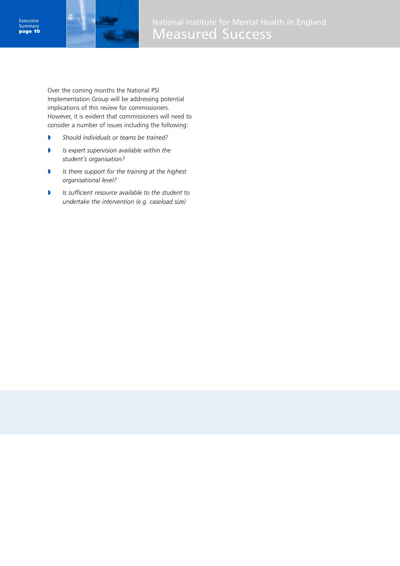Over the coming months the National PSI Implementation Group will be addressing potential implications of this review for commissioners. However, it is evident that commissioners will need to consider a number of issues including the following:

- ◗ *Should individuals or teams be trained?*
- ◗ *Is expert supervision available within the student's organisation?*
- ◗ *Is there support for the training at the highest organisational level?*
- ◗ *Is sufficient resource available to the student to undertake the intervention (e.g. caseload size)*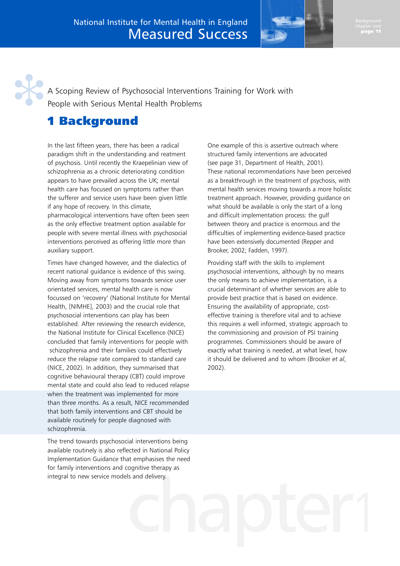

page 11

A Scoping Review of Psychosocial Interventions Training for Work with People with Serious Mental Health Problems ❉

### 1 Background

In the last fifteen years, there has been a radical paradigm shift in the understanding and reatment of psychosis. Until recently the Kraepelinian view of schizophrenia as a chronic deteriorating condition appears to have prevailed across the UK; mental health care has focused on symptoms rather than the sufferer and service users have been given little if any hope of recovery. In this climate, pharmacological interventions have often been seen as the only effective treatment option available for people with severe mental illness with psychosocial interventions perceived as offering little more than auxiliary support.

Times have changed however, and the dialectics of recent national guidance is evidence of this swing. Moving away from symptoms towards service user orientated services, mental health care is now focussed on 'recovery' (National Institute for Mental Health, [NIMHE], 2003) and the crucial role that psychosocial interventions can play has been established. After reviewing the research evidence, the National Institute for Clinical Excellence (NICE) concluded that family interventions for people with schizophrenia and their families could effectively reduce the relapse rate compared to standard care (NICE, 2002). In addition, they summarised that cognitive behavioural therapy (CBT) could improve mental state and could also lead to reduced relapse when the treatment was implemented for more than three months. As a result, NICE recommended that both family interventions and CBT should be available routinely for people diagnosed with schizophrenia.

The trend towards psychosocial interventions being available routinely is also reflected in National Policy Implementation Guidance that emphasises the need for family interventions and cognitive therapy as integral to new service models and delivery.

One example of this is assertive outreach where structured family interventions are advocated (see page 31, Department of Health, 2001). These national recommendations have been perceived as a breakthrough in the treatment of psychosis, with mental health services moving towards a more holistic treatment approach. However, providing guidance on what should be available is only the start of a long and difficult implementation process: the gulf between theory and practice is enormous and the difficulties of implementing evidence-based practice have been extensively documented (Repper and Brooker, 2002; Fadden, 1997).

Providing staff with the skills to implement psychosocial interventions, although by no means the only means to achieve implementation, is a crucial determinant of whether services are able to provide best practice that is based on evidence. Ensuring the availability of appropriate, costeffective training is therefore vital and to achieve this requires a well informed, strategic approach to the commissioning and provision of PSI training programmes. Commissioners should be aware of exactly what training is needed, at what level, how it should be delivered and to whom (Brooker *et al*, 2002).

# chapter.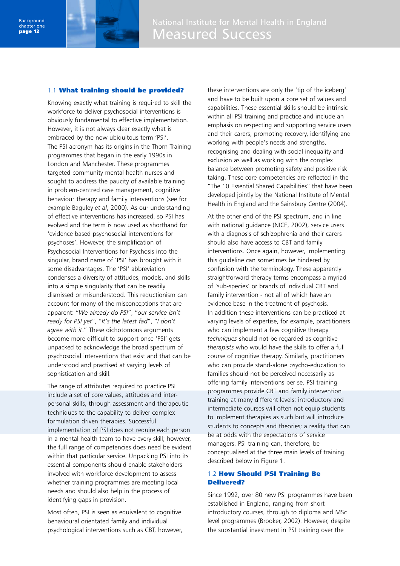#### 1.1 What training should be provided?

Knowing exactly what training is required to skill the workforce to deliver psychosocial interventions is obviously fundamental to effective implementation. However, it is not always clear exactly what is embraced by the now ubiquitous term 'PSI'. The PSI acronym has its origins in the Thorn Training programmes that began in the early 1990s in London and Manchester. These programmes targeted community mental health nurses and sought to address the paucity of available training in problem-centred case management, cognitive behaviour therapy and family interventions (see for example Baguley *et al*, 2000). As our understanding of effective interventions has increased, so PSI has evolved and the term is now used as shorthand for 'evidence based psychosocial interventions for psychoses'. However, the simplification of Psychosocial Interventions for Psychosis into the singular, brand name of 'PSI' has brought with it some disadvantages. The 'PSI' abbreviation condenses a diversity of attitudes, models, and skills into a simple singularity that can be readily dismissed or misunderstood. This reductionism can account for many of the misconceptions that are apparent: "*We already do PSI*", "*our service isn't ready for PSI yet*", "*It's the latest fad*", "*I don't agree with it*." These dichotomous arguments become more difficult to support once 'PSI' gets unpacked to acknowledge the broad spectrum of psychosocial interventions that exist and that can be understood and practised at varying levels of sophistication and skill.

The range of attributes required to practice PSI include a set of core values, attitudes and interpersonal skills, through assessment and therapeutic techniques to the capability to deliver complex formulation driven therapies. Successful implementation of PSI does not require each person in a mental health team to have every skill; however, the full range of competencies does need be evident within that particular service. Unpacking PSI into its essential components should enable stakeholders involved with workforce development to assess whether training programmes are meeting local needs and should also help in the process of identifying gaps in provision.

Most often, PSI is seen as equivalent to cognitive behavioural orientated family and individual psychological interventions such as CBT, however, these interventions are only the 'tip of the iceberg' and have to be built upon a core set of values and capabilities. These essential skills should be intrinsic within all PSI training and practice and include an emphasis on respecting and supporting service users and their carers, promoting recovery, identifying and working with people's needs and strengths, recognising and dealing with social inequality and exclusion as well as working with the complex balance between promoting safety and positive risk taking. These core competencies are reflected in the "The 10 Essential Shared Capabilities" that have been developed jointly by the National Institute of Mental Health in England and the Sainsbury Centre (2004).

At the other end of the PSI spectrum, and in line with national guidance (NICE, 2002), service users with a diagnosis of schizophrenia and their carers should also have access to CBT and family interventions. Once again, however, implementing this guideline can sometimes be hindered by confusion with the terminology. These apparently straightforward therapy terms encompass a myriad of 'sub-species' or brands of individual CBT and family intervention - not all of which have an evidence base in the treatment of psychosis. In addition these interventions can be practiced at varying levels of expertise, for example, practitioners who can implement a few cognitive therapy *techniques* should not be regarded as cognitive *therapists* who would have the skills to offer a full course of cognitive therapy. Similarly, practitioners who can provide stand-alone psycho-education to families should not be perceived necessarily as offering family interventions per se. PSI training programmes provide CBT and family intervention training at many different levels: introductory and intermediate courses will often not equip students to implement therapies as such but will introduce students to concepts and theories; a reality that can be at odds with the expectations of service managers. PSI training can, therefore, be conceptualised at the three main levels of training described below in Figure 1.

#### 1.2 How Should PSI Training Be Delivered?

Since 1992, over 80 new PSI programmes have been established in England, ranging from short introductory courses, through to diploma and MSc level programmes (Brooker, 2002). However, despite the substantial investment in PSI training over the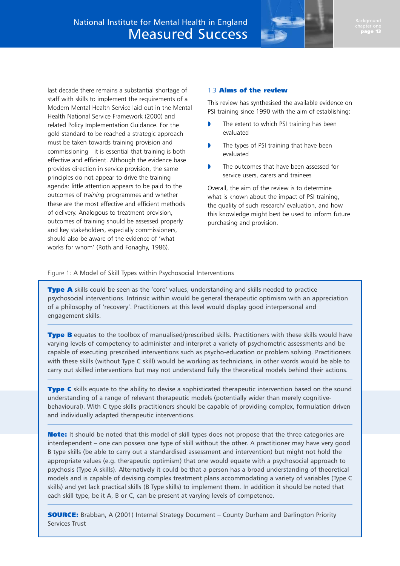

last decade there remains a substantial shortage of staff with skills to implement the requirements of a Modern Mental Health Service laid out in the Mental Health National Service Framework (2000) and related Policy Implementation Guidance. For the gold standard to be reached a strategic approach must be taken towards training provision and commissioning - it is essential that training is both effective and efficient. Although the evidence base provides direction in service provision, the same principles do not appear to drive the training agenda: little attention appears to be paid to the outcomes of *training* programmes and whether these are the most effective and efficient methods of delivery. Analogous to treatment provision, outcomes of training should be assessed properly and key stakeholders, especially commissioners, should also be aware of the evidence of 'what works for whom' (Roth and Fonaghy, 1986).

#### 1.3 Aims of the review

This review has synthesised the available evidence on PSI training since 1990 with the aim of establishing:

- ◗ The extent to which PSI training has been evaluated
- The types of PSI training that have been evaluated
- The outcomes that have been assessed for service users, carers and trainees

Overall, the aim of the review is to determine what is known about the impact of PSI training, the quality of such research/ evaluation, and how this knowledge might best be used to inform future purchasing and provision.

#### Figure 1: A Model of Skill Types within Psychosocial Interventions

Type A skills could be seen as the 'core' values, understanding and skills needed to practice psychosocial interventions. Intrinsic within would be general therapeutic optimism with an appreciation of a philosophy of 'recovery'. Practitioners at this level would display good interpersonal and engagement skills.

Type B equates to the toolbox of manualised/prescribed skills. Practitioners with these skills would have varying levels of competency to administer and interpret a variety of psychometric assessments and be capable of executing prescribed interventions such as psycho-education or problem solving. Practitioners with these skills (without Type C skill) would be working as technicians, in other words would be able to carry out skilled interventions but may not understand fully the theoretical models behind their actions.

**Type C** skills equate to the ability to devise a sophisticated therapeutic intervention based on the sound understanding of a range of relevant therapeutic models (potentially wider than merely cognitivebehavioural). With C type skills practitioners should be capable of providing complex, formulation driven and individually adapted therapeutic interventions.

Note: It should be noted that this model of skill types does not propose that the three categories are interdependent – one can possess one type of skill without the other. A practitioner may have very good B type skills (be able to carry out a standardised assessment and intervention) but might not hold the appropriate values (e.g. therapeutic optimism) that one would equate with a psychosocial approach to psychosis (Type A skills). Alternatively it could be that a person has a broad understanding of theoretical models and is capable of devising complex treatment plans accommodating a variety of variables (Type C skills) and yet lack practical skills (B Type skills) to implement them. In addition it should be noted that each skill type, be it A, B or C, can be present at varying levels of competence.

**SOURCE:** Brabban, A (2001) Internal Strategy Document – County Durham and Darlington Priority Services Trust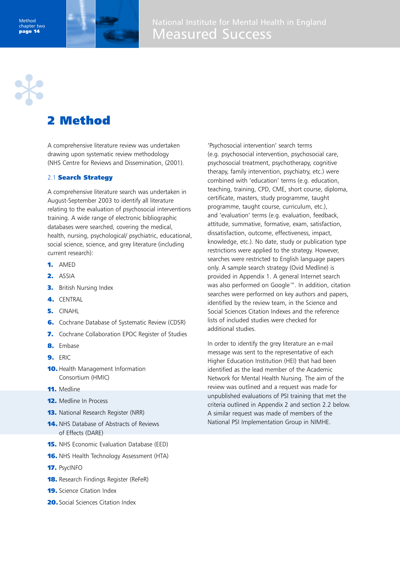

# 2 Method ❉

A comprehensive literature review was undertaken drawing upon systematic review methodology (NHS Centre for Reviews and Dissemination, (2001).

#### 2.1 Search Strategy

A comprehensive literature search was undertaken in August-September 2003 to identify all literature relating to the evaluation of psychosocial interventions training. A wide range of electronic bibliographic databases were searched, covering the medical, health, nursing, psychological/ psychiatric, educational, social science, science, and grey literature (including current research):

- 1. AMED
- 2. ASSIA
- **3.** British Nursing Index
- 4. CENTRAL
- 5. CINAHL
- **6.** Cochrane Database of Systematic Review (CDSR)
- **7.** Cochrane Collaboration EPOC Register of Studies
- 8. Embase
- 9. ERIC
- **10.** Health Management Information Consortium (HMIC)
- 11. Medline
- **12.** Medline In Process
- **13.** National Research Register (NRR)
- 14. NHS Database of Abstracts of Reviews of Effects (DARE)
- **15.** NHS Economic Evaluation Database (EED)
- **16.** NHS Health Technology Assessment (HTA)
- **17. PsycINFO**
- **18.** Research Findings Register (ReFeR)
- 19. Science Citation Index
- 20. Social Sciences Citation Index

'Psychosocial intervention' search terms (e.g. psychosocial intervention, psychosocial care, psychosocial treatment, psychotherapy, cognitive therapy, family intervention, psychiatry, etc.) were combined with 'education' terms (e.g. education, teaching, training, CPD, CME, short course, diploma, certificate, masters, study programme, taught programme, taught course, curriculum, etc.), and 'evaluation' terms (e.g. evaluation, feedback, attitude, summative, formative, exam, satisfaction, dissatisfaction, outcome, effectiveness, impact, knowledge, etc.). No date, study or publication type restrictions were applied to the strategy. However, searches were restricted to English language papers only. A sample search strategy (Ovid Medline) is provided in Appendix 1. A general Internet search was also performed on Google™. In addition, citation searches were performed on key authors and papers, identified by the review team, in the Science and Social Sciences Citation Indexes and the reference lists of included studies were checked for additional studies.

In order to identify the grey literature an e-mail message was sent to the representative of each Higher Education Institution (HEI) that had been identified as the lead member of the Academic Network for Mental Health Nursing. The aim of the review was outlined and a request was made for unpublished evaluations of PSI training that met the criteria outlined in Appendix 2 and section 2.2 below. A similar request was made of members of the National PSI Implementation Group in NIMHE.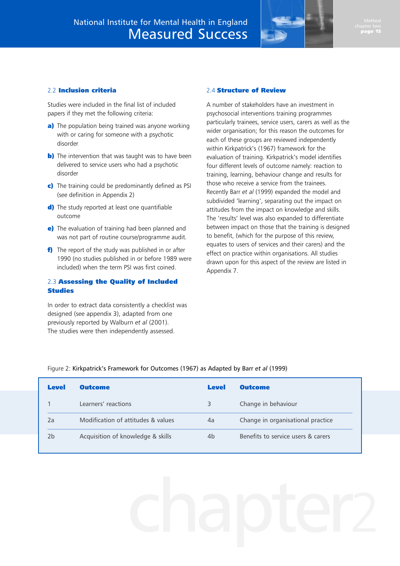

#### 2.2 Inclusion criteria

Studies were included in the final list of included papers if they met the following criteria:

- a) The population being trained was anyone working with or caring for someone with a psychotic disorder
- **b)** The intervention that was taught was to have been delivered to service users who had a psychotic disorder
- c) The training could be predominantly defined as PSI (see definition in Appendix 2)
- d) The study reported at least one quantifiable outcome
- e) The evaluation of training had been planned and was not part of routine course/programme audit.
- f) The report of the study was published in or after 1990 (no studies published in or before 1989 were included) when the term PSI was first coined.

#### 2.3 Assessing the Quality of Included Studies

In order to extract data consistently a checklist was designed (see appendix 3), adapted from one previously reported by Walburn *et al* (2001). The studies were then independently assessed.

#### 2.4 Structure of Review

A number of stakeholders have an investment in psychosocial interventions training programmes particularly trainees, service users, carers as well as the wider organisation; for this reason the outcomes for each of these groups are reviewed independently within Kirkpatrick's (1967) framework for the evaluation of training. Kirkpatrick's model identifies four different levels of outcome namely: reaction to training, learning, behaviour change and results for those who receive a service from the trainees. Recently Barr *et al* (1999) expanded the model and subdivided 'learning', separating out the impact on attitudes from the impact on knowledge and skills. The 'results' level was also expanded to differentiate between impact on those that the training is designed to benefit, (which for the purpose of this review, equates to users of services and their carers) and the effect on practice within organisations. All studies drawn upon for this aspect of the review are listed in Appendix 7.

| <b>Level</b>   | <b>Outcome</b>                     | <b>Level</b>   | <b>Outcome</b>                     |
|----------------|------------------------------------|----------------|------------------------------------|
|                | Learners' reactions                |                | Change in behaviour                |
| 2a             | Modification of attitudes & values | 4a             | Change in organisational practice  |
| 2 <sub>b</sub> | Acquisition of knowledge & skills  | 4 <sub>b</sub> | Benefits to service users & carers |

#### Figure 2: Kirkpatrick's Framework for Outcomes (1967) as Adapted by Barr *et al* (1999)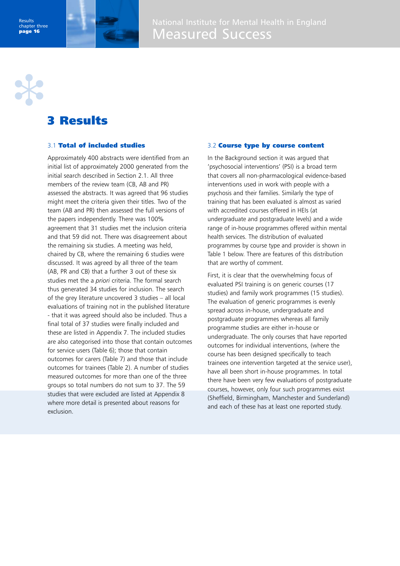

### 3 Results

#### 3.1 Total of included studies

Approximately 400 abstracts were identified from an initial list of approximately 2000 generated from the initial search described in Section 2.1. All three members of the review team (CB, AB and PR) assessed the abstracts. It was agreed that 96 studies might meet the criteria given their titles. Two of the team (AB and PR) then assessed the full versions of the papers independently. There was 100% agreement that 31 studies met the inclusion criteria and that 59 did not. There was disagreement about the remaining six studies. A meeting was held, chaired by CB, where the remaining 6 studies were discussed. It was agreed by all three of the team (AB, PR and CB) that a further 3 out of these six studies met the a *priori* criteria. The formal search thus generated 34 studies for inclusion. The search of the grey literature uncovered 3 studies – all local evaluations of training not in the published literature - that it was agreed should also be included. Thus a final total of 37 studies were finally included and these are listed in Appendix 7. The included studies are also categorised into those that contain outcomes for service users (Table 6); those that contain outcomes for carers (Table 7) and those that include outcomes for trainees (Table 2). A number of studies measured outcomes for more than one of the three groups so total numbers do not sum to 37. The 59 studies that were excluded are listed at Appendix 8 where more detail is presented about reasons for exclusion.

#### 3.2 Course type by course content

In the Background section it was argued that 'psychosocial interventions' (PSI) is a broad term that covers all non-pharmacological evidence-based interventions used in work with people with a psychosis and their families. Similarly the type of training that has been evaluated is almost as varied with accredited courses offered in HEIs (at undergraduate and postgraduate levels) and a wide range of in-house programmes offered within mental health services. The distribution of evaluated programmes by course type and provider is shown in Table 1 below. There are features of this distribution that are worthy of comment.

First, it is clear that the overwhelming focus of evaluated PSI training is on generic courses (17 studies) and family work programmes (15 studies). The evaluation of generic programmes is evenly spread across in-house, undergraduate and postgraduate programmes whereas all family programme studies are either in-house or undergraduate. The only courses that have reported outcomes for individual interventions, (where the course has been designed specifically to teach trainees one intervention targeted at the service user), have all been short in-house programmes. In total there have been very few evaluations of postgraduate courses, however, only four such programmes exist (Sheffield, Birmingham, Manchester and Sunderland) and each of these has at least one reported study.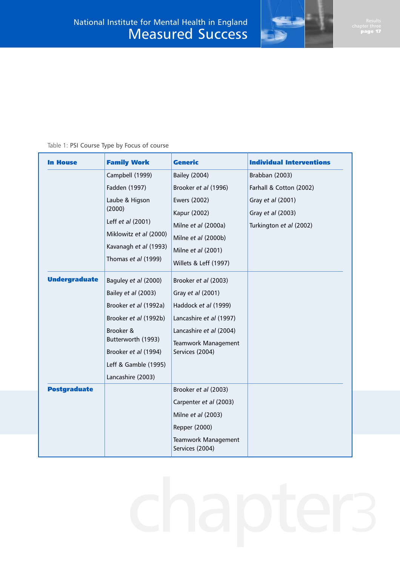

#### Table 1: PSI Course Type by Focus of course

| <b>In House</b>      | <b>Family Work</b>     | <b>Generic</b>                         | <b>Individual Interventions</b> |
|----------------------|------------------------|----------------------------------------|---------------------------------|
|                      | Campbell (1999)        | <b>Bailey (2004)</b>                   | Brabban (2003)                  |
|                      | Fadden (1997)          | Brooker et al (1996)                   | Farhall & Cotton (2002)         |
|                      | Laube & Higson         | Ewers (2002)                           | Gray et al (2001)               |
|                      | (2000)                 | Kapur (2002)                           | Gray et al (2003)               |
|                      | Leff et al (2001)      | Milne et al (2000a)                    | Turkington et al (2002)         |
|                      | Miklowitz et al (2000) | Milne et al (2000b)                    |                                 |
|                      | Kavanagh et al (1993)  | Milne et al (2001)                     |                                 |
|                      | Thomas et al (1999)    | Willets & Leff (1997)                  |                                 |
| <b>Undergraduate</b> | Baguley et al (2000)   | Brooker et al (2003)                   |                                 |
|                      | Bailey et al (2003)    | Gray et al (2001)                      |                                 |
|                      | Brooker et al (1992a)  | Haddock et al (1999)                   |                                 |
|                      | Brooker et al (1992b)  | Lancashire et al (1997)                |                                 |
|                      | Brooker &              | Lancashire et al (2004)                |                                 |
|                      | Butterworth (1993)     | <b>Teamwork Management</b>             |                                 |
|                      | Brooker et al (1994)   | Services (2004)                        |                                 |
|                      | Leff & Gamble (1995)   |                                        |                                 |
|                      | Lancashire (2003)      |                                        |                                 |
| <b>Postgraduate</b>  |                        | Brooker et al (2003)                   |                                 |
|                      |                        | Carpenter et al (2003)                 |                                 |
|                      |                        | Milne et al (2003)                     |                                 |
|                      |                        | Repper (2000)                          |                                 |
|                      |                        | Teamwork Management<br>Services (2004) |                                 |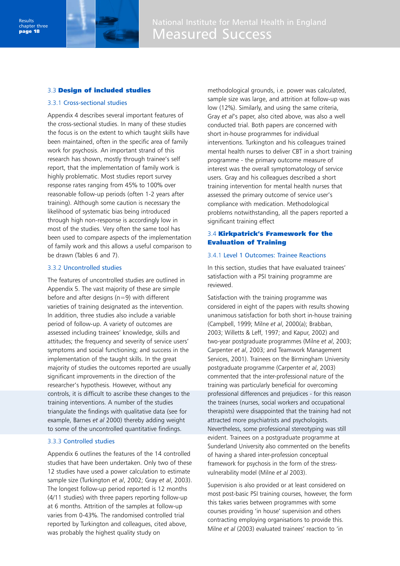#### 3.3 Design of included studies

#### 3.3.1 Cross-sectional studies

Appendix 4 describes several important features of the cross-sectional studies. In many of these studies the focus is on the extent to which taught skills have been maintained, often in the specific area of family work for psychosis. An important strand of this research has shown, mostly through trainee's self report, that the implementation of family work is highly problematic. Most studies report survey response rates ranging from 45% to 100% over reasonable follow-up periods (often 1-2 years after training). Although some caution is necessary the likelihood of systematic bias being introduced through high non-response is accordingly low in most of the studies. Very often the same tool has been used to compare aspects of the implementation of family work and this allows a useful comparison to be drawn (Tables 6 and 7).

#### 3.3.2 Uncontrolled studies

The features of uncontrolled studies are outlined in Appendix 5. The vast majority of these are simple before and after designs (n=9) with different varieties of training designated as the intervention. In addition, three studies also include a variable period of follow-up. A variety of outcomes are assessed including trainees' knowledge, skills and attitudes; the frequency and severity of service users' symptoms and social functioning; and success in the implementation of the taught skills. In the great majority of studies the outcomes reported are usually significant improvements in the direction of the researcher's hypothesis. However, without any controls, it is difficult to ascribe these changes to the training interventions. A number of the studies triangulate the findings with qualitative data (see for example, Barnes *et al* 2000) thereby adding weight to some of the uncontrolled quantitative findings.

#### 3.3.3 Controlled studies

Appendix 6 outlines the features of the 14 controlled studies that have been undertaken. Only two of these 12 studies have used a power calculation to estimate sample size (Turkington *et al*, 2002; Gray *et al*, 2003). The longest follow-up period reported is 12 months (4/11 studies) with three papers reporting follow-up at 6 months. Attrition of the samples at follow-up varies from 0-43%. The randomised controlled trial reported by Turkington and colleagues, cited above, was probably the highest quality study on

methodological grounds, i.e. power was calculated, sample size was large, and attrition at follow-up was low (12%). Similarly, and using the same criteria, Gray *et al*'s paper, also cited above, was also a well conducted trial. Both papers are concerned with short in-house programmes for individual interventions. Turkington and his colleagues trained mental health nurses to deliver CBT in a short training programme - the primary outcome measure of interest was the overall symptomatology of service users. Gray and his colleagues described a short training intervention for mental health nurses that assessed the primary outcome of service user's compliance with medication. Methodological problems notwithstanding, all the papers reported a significant training effect

#### 3.4 Kirkpatrick's Framework for the Evaluation of Training

#### 3.4.1 Level 1 Outcomes: Trainee Reactions

In this section, studies that have evaluated trainees' satisfaction with a PSI training programme are reviewed.

Satisfaction with the training programme was considered in eight of the papers with results showing unanimous satisfaction for both short in-house training (Campbell, 1999; Milne *et al*, 2000(a); Brabban, 2003; Willetts & Leff, 1997; and Kapur, 2002) and two-year postgraduate programmes (Milne *et al*, 2003; Carpenter *et al*, 2003; and Teamwork Management Services, 2001). Trainees on the Birmingham University postgraduate programme (Carpenter *et al*, 2003) commented that the inter-professional nature of the training was particularly beneficial for overcoming professional differences and prejudices - for this reason the trainees (nurses, social workers and occupational therapists) were disappointed that the training had not attracted more psychiatrists and psychologists. Nevertheless, some professional stereotyping was still evident. Trainees on a postgraduate programme at Sunderland University also commented on the benefits of having a shared inter-profession conceptual framework for psychosis in the form of the stressvulnerability model (Milne *et al* 2003).

Supervision is also provided or at least considered on most post-basic PSI training courses, however, the form this takes varies between programmes with some courses providing 'in house' supervision and others contracting employing organisations to provide this. Milne *et al* (2003) evaluated trainees' reaction to 'in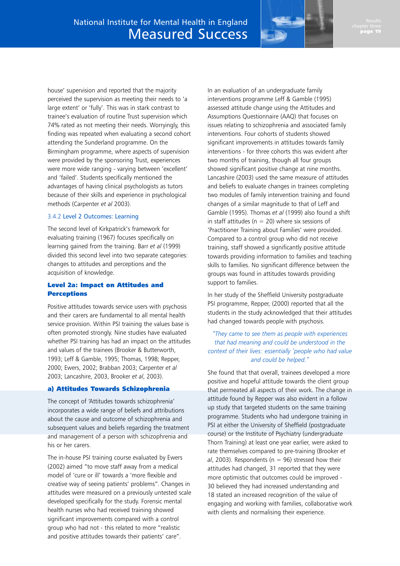

house' supervision and reported that the majority perceived the supervision as meeting their needs to 'a large extent' or 'fully'. This was in stark contrast to trainee's evaluation of routine Trust supervision which 74% rated as not meeting their needs. Worryingly, this finding was repeated when evaluating a second cohort attending the Sunderland programme. On the Birmingham programme, where aspects of supervision were provided by the sponsoring Trust, experiences were more wide ranging - varying between 'excellent' and 'failed'. Students specifically mentioned the advantages of having clinical psychologists as tutors because of their skills and experience in psychological methods (Carpenter *et al* 2003).

#### 3.4.2 Level 2 Outcomes: Learning

The second level of Kirkpatrick's framework for evaluating training (1967) focuses specifically on learning gained from the training. Barr *et al* (1999) divided this second level into two separate categories: changes to attitudes and perceptions and the acquisition of knowledge.

#### Level 2a: Impact on Attitudes and Perceptions

Positive attitudes towards service users with psychosis and their carers are fundamental to all mental health service provision. Within PSI training the values base is often promoted strongly. Nine studies have evaluated whether PSI training has had an impact on the attitudes and values of the trainees (Brooker & Butterworth, 1993; Leff & Gamble, 1995; Thomas, 1998; Repper, 2000; Ewers, 2002; Brabban 2003; Carpenter *et al* 2003; Lancashire, 2003, Brooker *et al*, 2003).

#### a) Attitudes Towards Schizophrenia

The concept of 'Attitudes towards schizophrenia' incorporates a wide range of beliefs and attributions about the cause and outcome of schizophrenia and subsequent values and beliefs regarding the treatment and management of a person with schizophrenia and his or her carers.

The in-house PSI training course evaluated by Ewers (2002) aimed "to move staff away from a medical model of 'cure or ill' towards a 'more flexible and creative way of seeing patients' problems". Changes in attitudes were measured on a previously untested scale developed specifically for the study. Forensic mental health nurses who had received training showed significant improvements compared with a control group who had not - this related to more "realistic and positive attitudes towards their patients' care".

In an evaluation of an undergraduate family interventions programme Leff & Gamble (1995) assessed attitude change using the Attitudes and Assumptions Questionnaire (AAQ) that focuses on issues relating to schizophrenia and associated family interventions. Four cohorts of students showed significant improvements in attitudes towards family interventions - for three cohorts this was evident after two months of training, though all four groups showed significant positive change at nine months. Lancashire (2003) used the same measure of attitudes and beliefs to evaluate changes in trainees completing two modules of family intervention training and found changes of a similar magnitude to that of Leff and Gamble (1995). Thomas *et al* (1999) also found a shift in staff attitudes ( $n = 20$ ) where six sessions of 'Practitioner Training about Families' were provided. Compared to a control group who did not receive training, staff showed a significantly positive attitude towards providing information to families and teaching skills to families. No significant difference between the groups was found in attitudes towards providing support to families.

In her study of the Sheffield University postgraduate PSI programme, Repper, (2000) reported that all the students in the study acknowledged that their attitudes had changed towards people with psychosis.

#### *"They came to see them as people with experiences that had meaning and could be understood in the context of their lives: essentially 'people who had value and could be helped."*

She found that that overall, trainees developed a more positive and hopeful attitude towards the client group that permeated all aspects of their work. The change in attitude found by Repper was also evident in a follow up study that targeted students on the same training programme. Students who had undergone training in PSI at either the University of Sheffield (postgraduate course) or the Institute of Psychiatry (undergraduate Thorn Training) at least one year earlier, were asked to rate themselves compared to pre-training (Brooker *et*  $al$ , 2003). Respondents ( $n = 96$ ) stressed how their attitudes had changed, 31 reported that they were more optimistic that outcomes could be improved - 30 believed they had increased understanding and 18 stated an increased recognition of the value of engaging and working with families, collaborative work with clients and normalising their experience.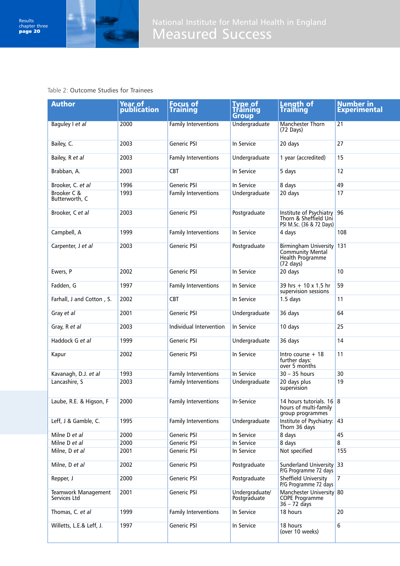#### Table 2: Outcome Studies for Trainees

| <b>Author</b>                       | <b>Year of<br/>publication</b> | <b>Focus of</b><br><b>Training</b> | <b>Type of<br/>Iraining</b><br><b>Group</b> | Length of<br><b>Training</b>                                                         | <b>Number in</b><br><b>Experimental</b> |
|-------------------------------------|--------------------------------|------------------------------------|---------------------------------------------|--------------------------------------------------------------------------------------|-----------------------------------------|
| Baguley I et al                     | 2000                           | Family Interventions               | Undergraduate                               | <b>Manchester Thorn</b><br>$(72 \text{ Days})$                                       | 21                                      |
| Bailey, C.                          | 2003                           | <b>Generic PSI</b>                 | In Service                                  | 20 days                                                                              | 27                                      |
| Bailey, R et al                     | 2003                           | Family Interventions               | Undergraduate                               | 1 year (accredited)                                                                  | 15                                      |
| Brabban, A.                         | 2003                           | <b>CBT</b>                         | In Service                                  | 5 days                                                                               | 12                                      |
| Brooker, C. et al                   | 1996                           | Generic PSI                        | In Service                                  | 8 days                                                                               | 49                                      |
| Brooker C &<br>Butterworth, C       | 1993                           | Family Interventions               | Undergraduate                               | 20 days                                                                              | 17                                      |
| Brooker, C et al                    | 2003                           | Generic PSI                        | Postgraduate                                | Institute of Psychiatry<br>Thorn & Sheffield Uni<br>PSI M.Sc. (36 & 72 Days)         | 96                                      |
| Campbell, A                         | 1999                           | Family Interventions               | In Service                                  | 4 days                                                                               | 108                                     |
| Carpenter, J et al                  | 2003                           | <b>Generic PSI</b>                 | Postgraduate                                | Birmingham University<br>Community Mental<br>Health Programme<br>$(72 \text{ days})$ | 131                                     |
| Ewers, P                            | 2002                           | <b>Generic PSI</b>                 | In Service                                  | 20 days                                                                              | 10                                      |
| Fadden, G                           | 1997                           | Family Interventions               | In Service                                  | 39 hrs + 10 x 1.5 hr<br>supervision sessions                                         | 59                                      |
| Farhall, J and Cotton, S.           | 2002                           | <b>CBT</b>                         | In Service                                  | $1.5$ days                                                                           | 11                                      |
| Gray et al                          | 2001                           | <b>Generic PSI</b>                 | Undergraduate                               | 36 days                                                                              | 64                                      |
| Gray, R et al                       | 2003                           | Individual Intervention            | In Service                                  | 10 days                                                                              | 25                                      |
| Haddock G et al                     | 1999                           | <b>Generic PSI</b>                 | Undergraduate                               | 36 days                                                                              | 14                                      |
| Kapur                               | 2002                           | <b>Generic PSI</b>                 | In Service                                  | Intro course $+18$<br>further days:<br>over 5 months                                 | 11                                      |
| Kavanagh, D.J. et al                | 1993                           | Family Interventions               | In Service                                  | $30 - 35$ hours                                                                      | 30                                      |
| Lancashire, S                       | 2003                           | Family Interventions               | Undergraduate                               | 20 days plus<br>supervision                                                          | 19                                      |
| Laube, R.E. & Higson, F             | 2000                           | Family Interventions               | In-Service                                  | 14 hours tutorials. 16 8<br>hours of multi-family<br>group programmes                |                                         |
| Leff, J & Gamble, C.                | 1995                           | Family Interventions               | Undergraduate                               | Institute of Psychiatry:<br>Thorn 36 days                                            | 43                                      |
| Milne D et al                       | 2000                           | Generic PSI                        | In Service                                  | 8 days                                                                               | 45                                      |
| Milne D et al                       | 2000                           | <b>Generic PSI</b>                 | In Service                                  | 8 days                                                                               | $\overline{8}$                          |
| Milne, D et al                      | 2001                           | Generic PSI                        | In Service                                  | Not specified                                                                        | 155                                     |
| Milne, D et al                      | 2002                           | Generic PSI                        | Postgraduate                                | Sunderland University 33<br>P/G Programme 72 days                                    |                                         |
| Repper, J                           | 2000                           | Generic PSI                        | Postgraduate                                | Sheffield University<br>P/G Programme 72 days                                        | $\overline{7}$                          |
| Teamwork Management<br>Services Ltd | 2001                           | Generic PSI                        | Undergraduate/<br>Postgraduate              | Manchester University 80<br><b>COPE Programme</b><br>$36 - 72$ days                  |                                         |
| Thomas, C. et al                    | 1999                           | Family Interventions               | In Service                                  | 18 hours                                                                             | 20                                      |
| Willetts, L.E.& Leff, J.            | 1997                           | Generic PSI                        | In Service                                  | 18 hours<br>(over 10 weeks)                                                          | 6                                       |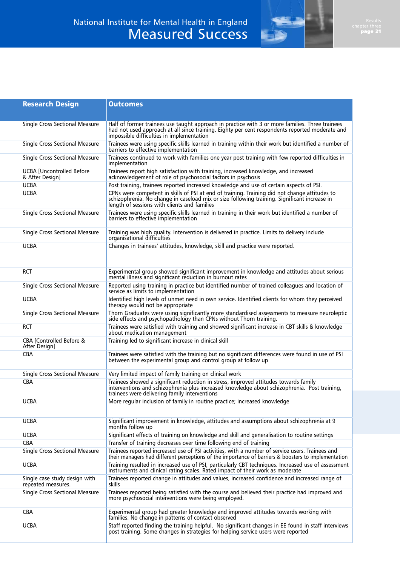

| <b>Research Design</b>                              | <b>Outcomes</b>                                                                                                                                                                                                                                |
|-----------------------------------------------------|------------------------------------------------------------------------------------------------------------------------------------------------------------------------------------------------------------------------------------------------|
|                                                     |                                                                                                                                                                                                                                                |
| <b>Single Cross Sectional Measure</b>               | Half of former trainees use taught approach in practice with 3 or more families. Three trainees<br>had not used approach at all since training. Eighty per cent respondents reported moderate and<br>impossible difficulties in implementation |
| Single Cross Sectional Measure                      | Trainees were using specific skills learned in training within their work but identified a number of<br>barriers to effective implementation                                                                                                   |
| Single Cross Sectional Measure                      | Trainees continued to work with families one year post training with few reported difficulties in<br>implementation                                                                                                                            |
| <b>UCBA</b> [Uncontrolled Before<br>& After Design] | Trainees report high satisfaction with training, increased knowledge, and increased<br>acknowledgement of role of psychosocial factors in psychosis                                                                                            |
| <b>UCBA</b>                                         | Post training, trainees reported increased knowledge and use of certain aspects of PSI.                                                                                                                                                        |
| <b>UCBA</b>                                         | CPNs were competent in skills of PSI at end of training. Training did not change attitudes to<br>schizophrenia. No change in caseload mix or size following training. Significant increase in<br>length of sessions with clients and families  |
| Single Cross Sectional Measure                      | Trainees were using specific skills learned in training in their work but identified a number of<br>barriers to effective implementation                                                                                                       |
| Single Cross Sectional Measure                      | Training was high quality. Intervention is delivered in practice. Limits to delivery include<br>organisational difficulties                                                                                                                    |
| UCBA                                                | Changes in trainees' attitudes, knowledge, skill and practice were reported.                                                                                                                                                                   |
| <b>RCT</b>                                          | Experimental group showed significant improvement in knowledge and attitudes about serious<br>mental illness and significant reduction in burnout rates                                                                                        |
| Single Cross Sectional Measure                      | Reported using training in practice but identified number of trained colleagues and location of<br>service as limits to implementation                                                                                                         |
| <b>UCBA</b>                                         | Identified high levels of unmet need in own service. Identified clients for whom they perceived<br>therapy would not be appropriate                                                                                                            |
| Single Cross Sectional Measure                      | Thorn Graduates were using significantly more standardised assessments to measure neuroleptic<br>side effects and psychopathology than CPNs without Thorn training.                                                                            |
| <b>RCT</b>                                          | Trainees were satisfied with training and showed significant increase in CBT skills & knowledge<br>about medication management                                                                                                                 |
| CBA [Controlled Before &<br>After Design]           | Training led to significant increase in clinical skill                                                                                                                                                                                         |
| CBA                                                 | Trainees were satisfied with the training but no significant differences were found in use of PSI<br>between the experimental group and control group at follow up                                                                             |
| <b>Single Cross Sectional Measure</b>               | Very limited impact of family training on clinical work                                                                                                                                                                                        |
| CBA                                                 | Trainees showed a significant reduction in stress, improved attitudes towards family<br>interventions and schizophrenia plus increased knowledge about schizophrenia. Post training,<br>trainees were delivering family interventions          |
| <b>UCBA</b>                                         | More regular inclusion of family in routine practice; increased knowledge                                                                                                                                                                      |
| <b>UCBA</b>                                         | Significant improvement in knowledge, attitudes and assumptions about schizophrenia at 9<br>months follow up                                                                                                                                   |
| <b>UCBA</b>                                         | Significant effects of training on knowledge and skill and generalisation to routine settings                                                                                                                                                  |
| <b>CBA</b>                                          | Transfer of training decreases over time following end of training                                                                                                                                                                             |
| Single Cross Sectional Measure                      | Trainees reported increased use of PSI activities, with a number of service users. Trainees and<br>their managers had different perceptions of the importance of barriers & boosters to implementation                                         |
| <b>UCBA</b>                                         | Training resulted in increased use of PSI, particularly CBT techniques. Increased use of assessment<br>instruments and clinical rating scales. Rated impact of their work as moderate                                                          |
| Single case study design with<br>repeated measures. | Trainees reported change in attitudes and values, increased confidence and increased range of<br>skills                                                                                                                                        |
| <b>Single Cross Sectional Measure</b>               | Trainees reported being satisfied with the course and believed their practice had improved and<br>more psychosocial interventions were being employed.                                                                                         |
| CBA                                                 | Experimental group had greater knowledge and improved attitudes towards working with<br>families. No change in patterns of contact observed                                                                                                    |
| <b>UCBA</b>                                         | Staff reported finding the training helpful. No significant changes in EE found in staff interviews<br>post training. Some changes in strategies for helping service users were reported                                                       |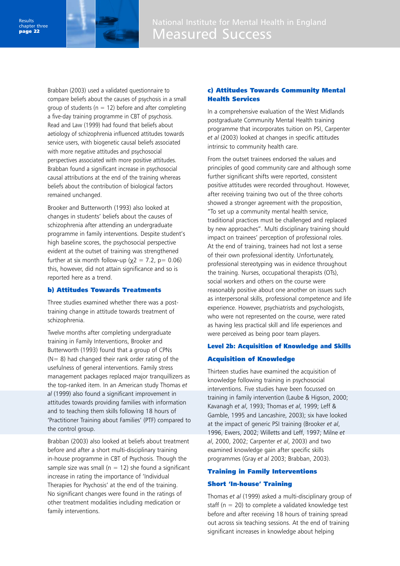Brabban (2003) used a validated questionnaire to compare beliefs about the causes of psychosis in a small group of students ( $n = 12$ ) before and after completing a five-day training programme in CBT of psychosis. Read and Law (1999) had found that beliefs about aetiology of schizophrenia influenced attitudes towards service users, with biogenetic causal beliefs associated with more negative attitudes and psychosocial perspectives associated with more positive attitudes. Brabban found a significant increase in psychosocial causal attributions at the end of the training whereas beliefs about the contribution of biological factors remained unchanged.

Brooker and Butterworth (1993) also looked at changes in students' beliefs about the causes of schizophrenia after attending an undergraduate programme in family interventions. Despite student's high baseline scores, the psychosocial perspective evident at the outset of training was strengthened further at six month follow-up ( $\chi$ 2 = 7.2, p= 0.06) this, however, did not attain significance and so is reported here as a trend.

#### b) Attitudes Towards Treatments

Three studies examined whether there was a posttraining change in attitude towards treatment of schizophrenia.

Twelve months after completing undergraduate training in Family Interventions, Brooker and Butterworth (1993) found that a group of CPNs  $(N= 8)$  had changed their rank order rating of the usefulness of general interventions. Family stress management packages replaced major tranquillizers as the top-ranked item. In an American study Thomas *et al* (1999) also found a significant improvement in attitudes towards providing families with information and to teaching them skills following 18 hours of 'Practitioner Training about Families' (PTF) compared to the control group.

Brabban (2003) also looked at beliefs about treatment before and after a short multi-disciplinary training in-house programme in CBT of Psychosis. Though the sample size was small ( $n = 12$ ) she found a significant increase in rating the importance of 'Individual Therapies for Psychosis' at the end of the training. No significant changes were found in the ratings of other treatment modalities including medication or family interventions.

#### c) Attitudes Towards Community Mental Health Services

In a comprehensive evaluation of the West Midlands postgraduate Community Mental Health training programme that incorporates tuition on PSI, Carpenter *et al* (2003) looked at changes in specific attitudes intrinsic to community health care.

From the outset trainees endorsed the values and principles of good community care and although some further significant shifts were reported, consistent positive attitudes were recorded throughout. However, after receiving training two out of the three cohorts showed a stronger agreement with the proposition, "To set up a community mental health service, traditional practices must be challenged and replaced by new approaches". Multi disciplinary training should impact on trainees' perception of professional roles. At the end of training, trainees had not lost a sense of their own professional identity. Unfortunately, professional stereotyping was in evidence throughout the training. Nurses, occupational therapists (OTs), social workers and others on the course were reasonably positive about one another on issues such as interpersonal skills, professional competence and life experience. However, psychiatrists and psychologists, who were not represented on the course, were rated as having less practical skill and life experiences and were perceived as being poor team players.

#### Level 2b: Acquisition of Knowledge and Skills Acquisition of Knowledge

Thirteen studies have examined the acquisition of knowledge following training in psychosocial interventions. Five studies have been focussed on training in family intervention (Laube & Higson, 2000; Kavanagh *et al*, 1993; Thomas *et al*, 1999; Leff & Gamble, 1995 and Lancashire, 2003); six have looked at the impact of generic PSI training (Brooker *et al*, 1996, Ewers, 2002; Willetts and Leff, 1997; Milne *et al*, 2000, 2002; Carpenter *et al*, 2003) and two examined knowledge gain after specific skills programmes (Gray *et al* 2003; Brabban, 2003).

#### Training in Family Interventions

#### Short 'In-house' Training

Thomas *et al* (1999) asked a multi-disciplinary group of staff ( $n = 20$ ) to complete a validated knowledge test before and after receiving 18 hours of training spread out across six teaching sessions. At the end of training significant increases in knowledge about helping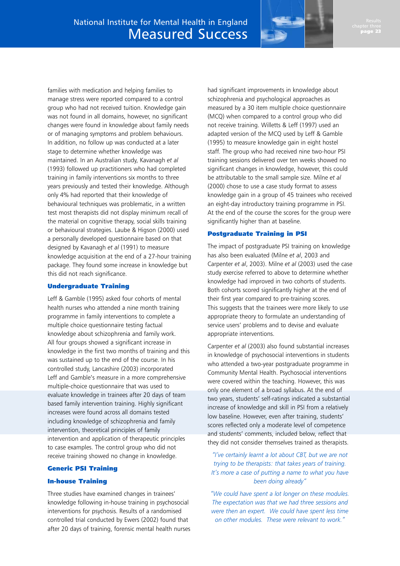

families with medication and helping families to manage stress were reported compared to a control group who had not received tuition. Knowledge gain was not found in all domains, however, no significant changes were found in knowledge about family needs or of managing symptoms and problem behaviours. In addition, no follow up was conducted at a later stage to determine whether knowledge was maintained. In an Australian study, Kavanagh *et al* (1993) followed up practitioners who had completed training in family interventions six months to three years previously and tested their knowledge. Although only 4% had reported that their knowledge of behavioural techniques was problematic, in a written test most therapists did not display minimum recall of the material on cognitive therapy, social skills training or behavioural strategies. Laube & Higson (2000) used a personally developed questionnaire based on that designed by Kavanagh *et al* (1991) to measure knowledge acquisition at the end of a 27-hour training package. They found some increase in knowledge but this did not reach significance.

#### Undergraduate Training

Leff & Gamble (1995) asked four cohorts of mental health nurses who attended a nine month training programme in family interventions to complete a multiple choice questionnaire testing factual knowledge about schizophrenia and family work. All four groups showed a significant increase in knowledge in the first two months of training and this was sustained up to the end of the course. In his controlled study, Lancashire (2003) incorporated Leff and Gamble's measure in a more comprehensive multiple-choice questionnaire that was used to evaluate knowledge in trainees after 20 days of team based family intervention training. Highly significant increases were found across all domains tested including knowledge of schizophrenia and family intervention, theoretical principles of family intervention and application of therapeutic principles to case examples. The control group who did not receive training showed no change in knowledge.

#### Generic PSI Training

#### In-house Training

Three studies have examined changes in trainees' knowledge following in-house training in psychosocial interventions for psychosis. Results of a randomised controlled trial conducted by Ewers (2002) found that after 20 days of training, forensic mental health nurses had significant improvements in knowledge about schizophrenia and psychological approaches as measured by a 30 item multiple choice questionnaire (MCQ) when compared to a control group who did not receive training. Willetts & Leff (1997) used an adapted version of the MCQ used by Leff & Gamble (1995) to measure knowledge gain in eight hostel staff. The group who had received nine two-hour PSI training sessions delivered over ten weeks showed no significant changes in knowledge, however, this could be attributable to the small sample size. Milne *et al* (2000) chose to use a case study format to assess knowledge gain in a group of 45 trainees who received an eight-day introductory training programme in PSI. At the end of the course the scores for the group were significantly higher than at baseline.

#### Postgraduate Training in PSI

The impact of postgraduate PSI training on knowledge has also been evaluated (Milne *et al*, 2003 and Carpenter *et al*, 2003). Milne *et al* (2003) used the case study exercise referred to above to determine whether knowledge had improved in two cohorts of students. Both cohorts scored significantly higher at the end of their first year compared to pre-training scores. This suggests that the trainees were more likely to use appropriate theory to formulate an understanding of service users' problems and to devise and evaluate appropriate interventions.

Carpenter *et al* (2003) also found substantial increases in knowledge of psychosocial interventions in students who attended a two-year postgraduate programme in Community Mental Health. Psychosocial interventions were covered within the teaching. However, this was only one element of a broad syllabus. At the end of two years, students' self-ratings indicated a substantial increase of knowledge and skill in PSI from a relatively low baseline. However, even after training, students' scores reflected only a moderate level of competence and students' comments, included below, reflect that they did not consider themselves trained as therapists.

#### *"I've certainly learnt a lot about CBT, but we are not trying to be therapists: that takes years of training. It's more a case of putting a name to what you have been doing already"*

*"We could have spent a lot longer on these modules. The expectation was that we had three sessions and were then an expert. We could have spent less time on other modules. These were relevant to work."*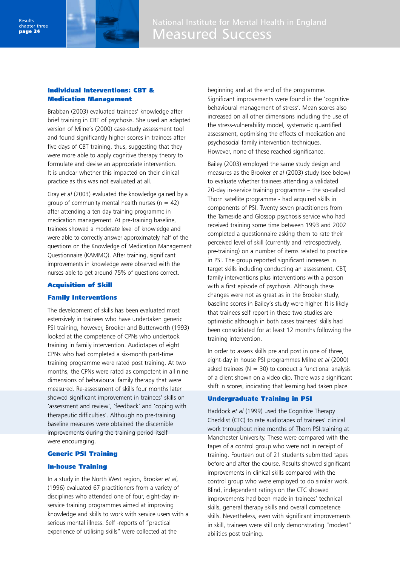#### Individual Interventions: CBT & Medication Management

Brabban (2003) evaluated trainees' knowledge after brief training in CBT of psychosis. She used an adapted version of Milne's (2000) case-study assessment tool and found significantly higher scores in trainees after five days of CBT training, thus, suggesting that they were more able to apply cognitive therapy theory to formulate and devise an appropriate intervention. It is unclear whether this impacted on their clinical practice as this was not evaluated at all.

Gray *et al* (2003) evaluated the knowledge gained by a group of community mental health nurses ( $n = 42$ ) after attending a ten-day training programme in medication management. At pre-training baseline, trainees showed a moderate level of knowledge and were able to correctly answer approximately half of the questions on the Knowledge of Medication Management Questionnaire (KAMMQ). After training, significant improvements in knowledge were observed with the nurses able to get around 75% of questions correct.

#### Acquisition of Skill

#### Family Interventions

The development of skills has been evaluated most extensively in trainees who have undertaken generic PSI training, however, Brooker and Butterworth (1993) looked at the competence of CPNs who undertook training in family intervention. Audiotapes of eight CPNs who had completed a six-month part-time training programme were rated post training. At two months, the CPNs were rated as competent in all nine dimensions of behavioural family therapy that were measured. Re-assessment of skills four months later showed significant improvement in trainees' skills on 'assessment and review', 'feedback' and 'coping with therapeutic difficulties'. Although no pre-training baseline measures were obtained the discernible improvements during the training period itself were encouraging.

#### Generic PSI Training

#### In-house Training

In a study in the North West region, Brooker *et al*, (1996) evaluated 67 practitioners from a variety of disciplines who attended one of four, eight-day inservice training programmes aimed at improving knowledge and skills to work with service users with a serious mental illness. Self -reports of "practical experience of utilising skills" were collected at the

beginning and at the end of the programme. Significant improvements were found in the 'cognitive behavioural management of stress'. Mean scores also increased on all other dimensions including the use of the stress-vulnerability model, systematic quantified assessment, optimising the effects of medication and psychosocial family intervention techniques. However, none of these reached significance.

Bailey (2003) employed the same study design and measures as the Brooker *et al* (2003) study (see below) to evaluate whether trainees attending a validated 20-day in-service training programme – the so-called Thorn satellite programme - had acquired skills in components of PSI. Twenty seven practitioners from the Tameside and Glossop psychosis service who had received training some time between 1993 and 2002 completed a questionnaire asking them to rate their perceived level of skill (currently and retrospectively, pre-training) on a number of items related to practice in PSI. The group reported significant increases in target skills including conducting an assessment, CBT, family interventions plus interventions with a person with a first episode of psychosis. Although these changes were not as great as in the Brooker study, baseline scores in Bailey's study were higher. It is likely that trainees self-report in these two studies are optimistic although in both cases trainees' skills had been consolidated for at least 12 months following the training intervention.

In order to assess skills pre and post in one of three, eight-day in house PSI programmes Milne *et al* (2000) asked trainees ( $N = 30$ ) to conduct a functional analysis of a client shown on a video clip. There was a significant shift in scores, indicating that learning had taken place.

#### Undergraduate Training in PSI

Haddock *et al* (1999) used the Cognitive Therapy Checklist (CTC) to rate audiotapes of trainees' clinical work throughout nine months of Thorn PSI training at Manchester University. These were compared with the tapes of a control group who were not in receipt of training. Fourteen out of 21 students submitted tapes before and after the course. Results showed significant improvements in clinical skills compared with the control group who were employed to do similar work. Blind, independent ratings on the CTC showed improvements had been made in trainees' technical skills, general therapy skills and overall competence skills. Nevertheless, even with significant improvements in skill, trainees were still only demonstrating "modest" abilities post training.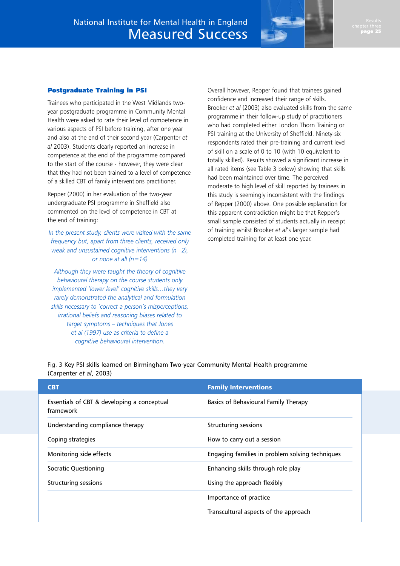

#### Postgraduate Training in PSI

Trainees who participated in the West Midlands twoyear postgraduate programme in Community Mental Health were asked to rate their level of competence in various aspects of PSI before training, after one year and also at the end of their second year (Carpenter *et al* 2003). Students clearly reported an increase in competence at the end of the programme compared to the start of the course - however, they were clear that they had not been trained to a level of competence of a skilled CBT of family interventions practitioner.

Repper (2000) in her evaluation of the two-year undergraduate PSI programme in Sheffield also commented on the level of competence in CBT at the end of training:

*In the present study, clients were visited with the same frequency but, apart from three clients, received only weak and unsustained cognitive interventions (n=2), or none at all (n=14)*

*Although they were taught the theory of cognitive behavioural therapy on the course students only implemented 'lower level' cognitive skills…they very rarely demonstrated the analytical and formulation skills necessary to 'correct a person's misperceptions, irrational beliefs and reasoning biases related to target symptoms – techniques that Jones et al (1997) use as criteria to define a cognitive behavioural intervention.*

Overall however, Repper found that trainees gained confidence and increased their range of skills. Brooker *et al* (2003) also evaluated skills from the same programme in their follow-up study of practitioners who had completed either London Thorn Training or PSI training at the University of Sheffield. Ninety-six respondents rated their pre-training and current level of skill on a scale of 0 to 10 (with 10 equivalent to totally skilled). Results showed a significant increase in all rated items (see Table 3 below) showing that skills had been maintained over time. The perceived moderate to high level of skill reported by trainees in this study is seemingly inconsistent with the findings of Repper (2000) above. One possible explanation for this apparent contradiction might be that Repper's small sample consisted of students actually in receipt of training whilst Brooker *et al*'s larger sample had completed training for at least one year.

| <b>CBT</b>                                               | <b>Family Interventions</b>                     |
|----------------------------------------------------------|-------------------------------------------------|
| Essentials of CBT & developing a conceptual<br>framework | Basics of Behavioural Family Therapy            |
| Understanding compliance therapy                         | <b>Structuring sessions</b>                     |
| Coping strategies                                        | How to carry out a session                      |
| Monitoring side effects                                  | Engaging families in problem solving techniques |
| Socratic Questioning                                     | Enhancing skills through role play              |
| Structuring sessions                                     | Using the approach flexibly                     |
|                                                          | Importance of practice                          |
|                                                          | Transcultural aspects of the approach           |

Fig. 3 Key PSI skills learned on Birmingham Two-year Community Mental Health programme (Carpenter *et al*, 2003)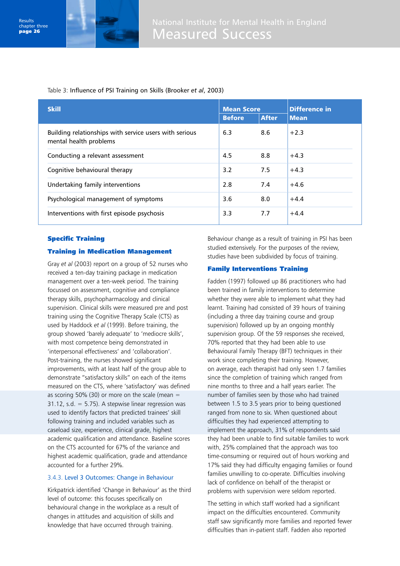

#### Table 3: Influence of PSI Training on Skills (Brooker *et al*, 2003)

| <b>Skill</b>                                                                     | <b>Mean Score</b><br><b>Before</b> | <b>After</b> | Difference in<br><b>Mean</b> |
|----------------------------------------------------------------------------------|------------------------------------|--------------|------------------------------|
| Building relationships with service users with serious<br>mental health problems | 6.3                                | 8.6          | $+2.3$                       |
| Conducting a relevant assessment                                                 | 4.5                                | 8.8          | $+4.3$                       |
| Cognitive behavioural therapy                                                    | 3.2                                | 7.5          | $+4.3$                       |
| Undertaking family interventions                                                 | 2.8                                | 7.4          | $+4.6$                       |
| Psychological management of symptoms                                             | 3.6                                | 8.0          | $+4.4$                       |
| Interventions with first episode psychosis                                       | 3.3                                | 7.7          | $+4.4$                       |

#### Specific Training

#### Training in Medication Management

Gray *et al* (2003) report on a group of 52 nurses who received a ten-day training package in medication management over a ten-week period. The training focussed on assessment, cognitive and compliance therapy skills, psychopharmacology and clinical supervision. Clinical skills were measured pre and post training using the Cognitive Therapy Scale (CTS) as used by Haddock *et al* (1999). Before training, the group showed 'barely adequate' to 'mediocre skills', with most competence being demonstrated in 'interpersonal effectiveness' and 'collaboration'. Post-training, the nurses showed significant improvements, with at least half of the group able to demonstrate "satisfactory skills" on each of the items measured on the CTS, where 'satisfactory' was defined as scoring 50% (30) or more on the scale (mean  $=$  $31.12$ , s.d. = 5.75). A stepwise linear regression was used to identify factors that predicted trainees' skill following training and included variables such as caseload size, experience, clinical grade, highest academic qualification and attendance. Baseline scores on the CTS accounted for 67% of the variance and highest academic qualification, grade and attendance accounted for a further 29%.

#### 3.4.3. Level 3 Outcomes: Change in Behaviour

Kirkpatrick identified 'Change in Behaviour' as the third level of outcome: this focuses specifically on behavioural change in the workplace as a result of changes in attitudes and acquisition of skills and knowledge that have occurred through training.

Behaviour change as a result of training in PSI has been studied extensively. For the purposes of the review, studies have been subdivided by focus of training.

#### Family Interventions Training

Fadden (1997) followed up 86 practitioners who had been trained in family interventions to determine whether they were able to implement what they had learnt. Training had consisted of 39 hours of training (including a three day training course and group supervision) followed up by an ongoing monthly supervision group. Of the 59 responses she received, 70% reported that they had been able to use Behavioural Family Therapy (BFT) techniques in their work since completing their training. However, on average, each therapist had only seen 1.7 families since the completion of training which ranged from nine months to three and a half years earlier. The number of families seen by those who had trained between 1.5 to 3.5 years prior to being questioned ranged from none to six. When questioned about difficulties they had experienced attempting to implement the approach, 31% of respondents said they had been unable to find suitable families to work with, 25% complained that the approach was too time-consuming or required out of hours working and 17% said they had difficulty engaging families or found families unwilling to co-operate. Difficulties involving lack of confidence on behalf of the therapist or problems with supervision were seldom reported.

The setting in which staff worked had a significant impact on the difficulties encountered. Community staff saw significantly more families and reported fewer difficulties than in-patient staff. Fadden also reported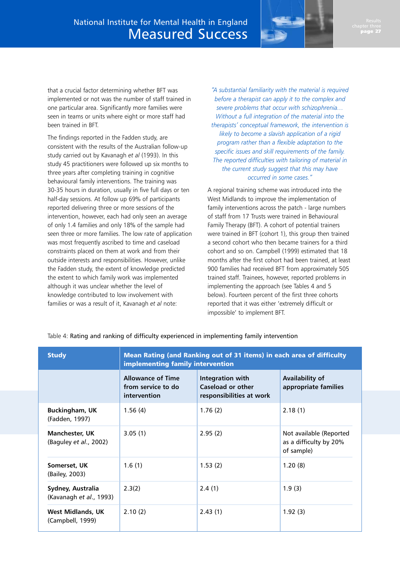

page 27

that a crucial factor determining whether BFT was implemented or not was the number of staff trained in one particular area. Significantly more families were seen in teams or units where eight or more staff had been trained in BFT.

The findings reported in the Fadden study, are consistent with the results of the Australian follow-up study carried out by Kavanagh *et al* (1993). In this study 45 practitioners were followed up six months to three years after completing training in cognitive behavioural family interventions. The training was 30-35 hours in duration, usually in five full days or ten half-day sessions. At follow up 69% of participants reported delivering three or more sessions of the intervention, however, each had only seen an average of only 1.4 families and only 18% of the sample had seen three or more families. The low rate of application was most frequently ascribed to time and caseload constraints placed on them at work and from their outside interests and responsibilities. However, unlike the Fadden study, the extent of knowledge predicted the extent to which family work was implemented although it was unclear whether the level of knowledge contributed to low involvement with families or was a result of it, Kavanagh *et al* note:

*"A substantial familiarity with the material is required before a therapist can apply it to the complex and severe problems that occur with schizophrenia… Without a full integration of the material into the therapists' conceptual framework, the intervention is likely to become a slavish application of a rigid program rather than a flexible adaptation to the specific issues and skill requirements of the family. The reported difficulties with tailoring of material in the current study suggest that this may have occurred in some cases."*

A regional training scheme was introduced into the West Midlands to improve the implementation of family interventions across the patch - large numbers of staff from 17 Trusts were trained in Behavioural Family Therapy (BFT). A cohort of potential trainers were trained in BFT (cohort 1), this group then trained a second cohort who then became trainers for a third cohort and so on. Campbell (1999) estimated that 18 months after the first cohort had been trained, at least 900 families had received BFT from approximately 505 trained staff. Trainees, however, reported problems in implementing the approach (see Tables 4 and 5 below). Fourteen percent of the first three cohorts reported that it was either 'extremely difficult or impossible' to implement BFT.

| <b>Study</b>                                 | Mean Rating (and Ranking out of 31 items) in each area of difficulty<br>implementing family intervention |                                                                   |                                                                 |  |  |
|----------------------------------------------|----------------------------------------------------------------------------------------------------------|-------------------------------------------------------------------|-----------------------------------------------------------------|--|--|
|                                              | <b>Allowance of Time</b><br>from service to do<br>intervention                                           | Integration with<br>Caseload or other<br>responsibilities at work | Availability of<br>appropriate families                         |  |  |
| Buckingham, UK<br>(Fadden, 1997)             | 1.56(4)                                                                                                  | 1.76(2)                                                           | 2.18(1)                                                         |  |  |
| Manchester, UK<br>(Baguley et al., 2002)     | 3.05(1)                                                                                                  | 2.95(2)                                                           | Not available (Reported<br>as a difficulty by 20%<br>of sample) |  |  |
| Somerset, UK<br>(Bailey, 2003)               | 1.6(1)                                                                                                   | 1.53(2)                                                           | 1.20(8)                                                         |  |  |
| Sydney, Australia<br>(Kavanagh et al., 1993) | 2.3(2)                                                                                                   | 2.4(1)                                                            | 1.9(3)                                                          |  |  |
| <b>West Midlands, UK</b><br>(Campbell, 1999) | 2.10(2)                                                                                                  | 2.43(1)                                                           | 1.92(3)                                                         |  |  |

#### Table 4: Rating and ranking of difficulty experienced in implementing family intervention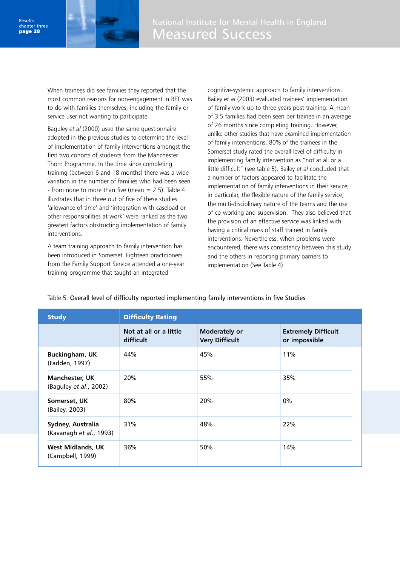When trainees did see families they reported that the most common reasons for non-engagement in BFT was to do with families themselves, including the family or service user not wanting to participate.

Baguley *et al* (2000) used the same questionnaire adopted in the previous studies to determine the level of implementation of family interventions amongst the first two cohorts of students from the Manchester Thorn Programme. In the time since completing training (between 6 and 18 months) there was a wide variation in the number of families who had been seen - from none to more than five (mean  $= 2.5$ ). Table 4 illustrates that in three out of five of these studies 'allowance of time' and 'integration with caseload or other responsibilities at work' were ranked as the two greatest factors obstructing implementation of family interventions.

A team training approach to family intervention has been introduced in Somerset. Eighteen practitioners from the Family Support Service attended a one-year training programme that taught an integrated

cognitive-systemic approach to family interventions. Bailey *et al* (2003) evaluated trainees' implementation of family work up to three years post training. A mean of 3.5 families had been seen per trainee in an average of 26 months since completing training. However, unlike other studies that have examined implementation of family interventions, 80% of the trainees in the Somerset study rated the overall level of difficulty in implementing family intervention as "not at all or a little difficult" (see table 5). Bailey *et al* concluded that a number of factors appeared to facilitate the implementation of family interventions in their service; in particular, the flexible nature of the family service, the multi-disciplinary nature of the teams and the use of co-working and supervision. They also believed that the provision of an effective service was linked with having a critical mass of staff trained in family interventions. Nevertheless, when problems were encountered, there was consistency between this study and the others in reporting primary barriers to implementation (See Table 4).

| <b>Study</b>                                 | <b>Difficulty Rating</b>            |                                               |                                             |  |  |
|----------------------------------------------|-------------------------------------|-----------------------------------------------|---------------------------------------------|--|--|
|                                              | Not at all or a little<br>difficult | <b>Moderately or</b><br><b>Very Difficult</b> | <b>Extremely Difficult</b><br>or impossible |  |  |
| Buckingham, UK<br>(Fadden, 1997)             | 44%                                 | 45%                                           | 11%                                         |  |  |
| Manchester, UK<br>(Baguley et al., 2002)     | 20%                                 | 55%                                           | 35%                                         |  |  |
| Somerset, UK<br>(Bailey, 2003)               | 80%                                 | 20%                                           | 0%                                          |  |  |
| Sydney, Australia<br>(Kavanagh et al., 1993) | 31%                                 | 48%                                           | 22%                                         |  |  |
| West Midlands, UK<br>(Campbell, 1999)        | 36%                                 | 50%                                           | 14%                                         |  |  |

Table 5: Overall level of difficulty reported implementing family interventions in five Studies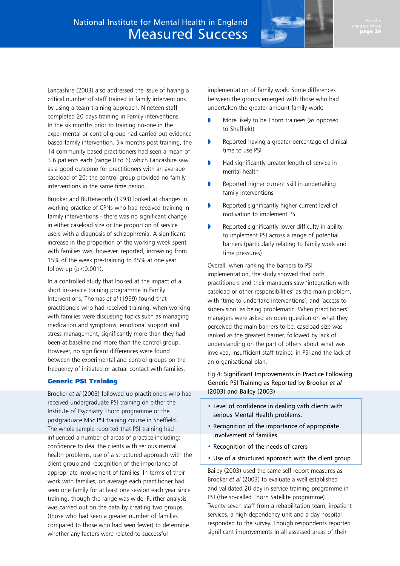

Lancashire (2003) also addressed the issue of having a critical number of staff trained in family interventions by using a team-training approach. Nineteen staff completed 20 days training in Family interventions. In the six months prior to training no-one in the experimental or control group had carried out evidence based family intervention. Six months post training, the 14 community based practitioners had seen a mean of 3.6 patients each (range 0 to 6) which Lancashire saw as a good outcome for practitioners with an average caseload of 20; the control group provided no family interventions in the same time period.

Brooker and Butterworth (1993) looked at changes in working practice of CPNs who had received training in family interventions - there was no significant change in either caseload size or the proportion of service users with a diagnosis of schizophrenia. A significant increase in the proportion of the working week spent with families was, however, reported, increasing from 15% of the week pre-training to 45% at one year follow up  $(p<0.001)$ .

In a controlled study that looked at the impact of a short in-service training programme in Family Interventions, Thomas *et al* (1999) found that practitioners who had received training, when working with families were discussing topics such as managing medication and symptoms, emotional support and stress management, significantly more than they had been at baseline and more than the control group. However, no significant differences were found between the experimental and control groups on the frequency of initiated or actual contact with families.

#### Generic PSI Training

Brooker *et al* (2003) followed-up practitioners who had received undergraduate PSI training on either the Institute of Psychiatry Thorn programme or the postgraduate MSc PSI training course in Sheffield. The whole sample reported that PSI training had influenced a number of areas of practice including: confidence to deal the clients with serious mental health problems, use of a structured approach with the client group and recognition of the importance of appropriate involvement of families. In terms of their work with families, on average each practitioner had seen one family for at least one session each year since training, though the range was wide. Further analysis was carried out on the data by creating two groups (those who had seen a greater number of families compared to those who had seen fewer) to determine whether any factors were related to successful

implementation of family work. Some differences between the groups emerged with those who had undertaken the greater amount family work:

- ◗ More likely to be Thorn trainees (as opposed to Sheffield)
- Reported having a greater percentage of clinical time to use PSI
- ◗ Had significantly greater length of service in mental health
- ◗ Reported higher current skill in undertaking family interventions
- ◗ Reported significantly higher current level of motivation to implement PSI
- ◗ Reported significantly lower difficulty in ability to implement PSI across a range of potential barriers (particularly relating to family work and time pressures)

Overall, when ranking the barriers to PSI implementation, the study showed that both practitioners and their managers saw 'integration with caseload or other responsibilities' as the main problem, with 'time to undertake interventions', and 'access to supervision' as being problematic. When practitioners' managers were asked an open question on what they perceived the main barriers to be, caseload size was ranked as the greatest barrier, followed by lack of understanding on the part of others about what was involved, insufficient staff trained in PSI and the lack of an organisational plan.

Fig 4: Significant Improvements in Practice Following Generic PSI Training as Reported by Brooker *et al* (2003) and Bailey (2003)

- Level of confidence in dealing with clients with serious Mental Health problems.
- Recognition of the importance of appropriate involvement of families.
- Recognition of the needs of carers
- Use of a structured approach with the client group

Bailey (2003) used the same self-report measures as Brooker *et al* (2003) to evaluate a well established and validated 20-day in service training programme in PSI (the so-called Thorn Satellite programme). Twenty-seven staff from a rehabilitation team, inpatient services, a high dependency unit and a day hospital responded to the survey. Though respondents reported significant improvements in all assessed areas of their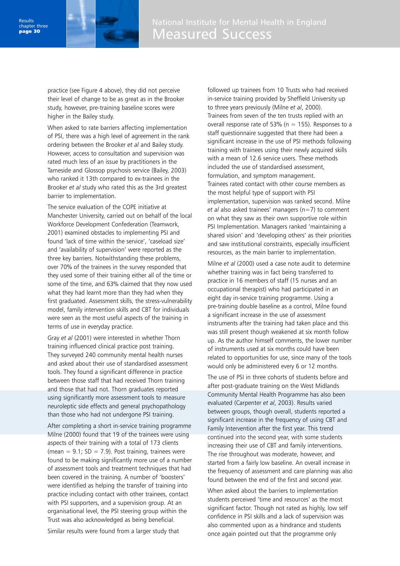practice (see Figure 4 above), they did not perceive their level of change to be as great as in the Brooker study, however, pre-training baseline scores were higher in the Bailey study.

When asked to rate barriers affecting implementation of PSI, there was a high level of agreement in the rank ordering between the Brooker *et al* and Bailey study. However, access to consultation and supervision was rated much less of an issue by practitioners in the Tameside and Glossop psychosis service (Bailey, 2003) who ranked it 13th compared to ex-trainees in the Brooker *et al* study who rated this as the 3rd greatest barrier to implementation.

The service evaluation of the COPE initiative at Manchester University, carried out on behalf of the local Workforce Development Confederation (Teamwork, 2001) examined obstacles to implementing PSI and found 'lack of time within the service', 'caseload size' and 'availability of supervision' were reported as the three key barriers. Notwithstanding these problems, over 70% of the trainees in the survey responded that they used some of their training either all of the time or some of the time, and 63% claimed that they now used what they had learnt more than they had when they first graduated. Assessment skills, the stress-vulnerability model, family intervention skills and CBT for individuals were seen as the most useful aspects of the training in terms of use in everyday practice.

Gray *et al* (2001) were interested in whether Thorn training influenced clinical practice post training. They surveyed 240 community mental health nurses and asked about their use of standardised assessment tools. They found a significant difference in practice between those staff that had received Thorn training and those that had not. Thorn graduates reported using significantly more assessment tools to measure neuroleptic side effects and general psychopathology than those who had not undergone PSI training.

After completing a short in-service training programme Milne (2000) found that 19 of the trainees were using aspects of their training with a total of 173 clients (mean =  $9.1$ ; SD =  $7.9$ ). Post training, trainees were found to be making significantly more use of a number of assessment tools and treatment techniques that had been covered in the training. A number of 'boosters' were identified as helping the transfer of training into practice including contact with other trainees, contact with PSI supporters, and a supervision group. At an organisational level, the PSI steering group within the Trust was also acknowledged as being beneficial.

Similar results were found from a larger study that

followed up trainees from 10 Trusts who had received in-service training provided by Sheffield University up to three years previously (Milne *et al*, 2000). Trainees from seven of the ten trusts replied with an overall response rate of 53% ( $n = 155$ ). Responses to a staff questionnaire suggested that there had been a significant increase in the use of PSI methods following training with trainees using their newly acquired skills with a mean of 12.6 service users. These methods included the use of standardised assessment, formulation, and symptom management. Trainees rated contact with other course members as the most helpful type of support with PSI implementation, supervision was ranked second. Milne *et al* also asked trainees' managers (n=7) to comment on what they saw as their own supportive role within PSI Implementation. Managers ranked 'maintaining a shared vision' and 'developing others' as their priorities and saw institutional constraints, especially insufficient resources, as the main barrier to implementation.

Milne *et al* (2000) used a case note audit to determine whether training was in fact being transferred to practice in 16 members of staff (15 nurses and an occupational therapist) who had participated in an eight day in-service training programme. Using a pre-training double baseline as a control, Milne found a significant increase in the use of assessment instruments after the training had taken place and this was still present though weakened at six month follow up. As the author himself comments, the lower number of instruments used at six months could have been related to opportunities for use, since many of the tools would only be administered every 6 or 12 months.

The use of PSI in three cohorts of students before and after post-graduate training on the West Midlands Community Mental Health Programme has also been evaluated (Carpenter *et al*, 2003). Results varied between groups, though overall, students reported a significant increase in the frequency of using CBT and Family Intervention after the first year. This trend continued into the second year, with some students increasing their use of CBT and family interventions. The rise throughout was moderate, however, and started from a fairly low baseline. An overall increase in the frequency of assessment and care planning was also found between the end of the first and second year.

When asked about the barriers to implementation students perceived 'time and resources' as the most significant factor. Though not rated as highly, low self confidence in PSI skills and a lack of supervision was also commented upon as a hindrance and students once again pointed out that the programme only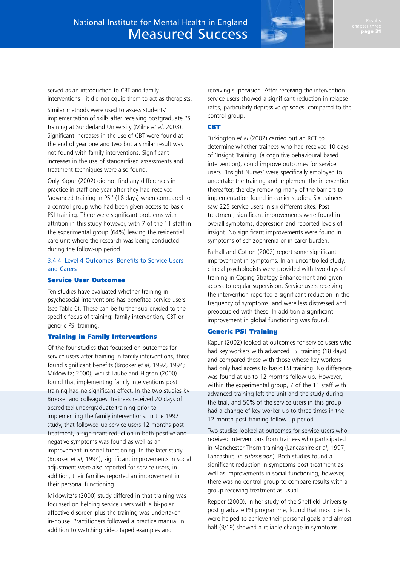

served as an introduction to CBT and family interventions - it did not equip them to act as therapists.

Similar methods were used to assess students' implementation of skills after receiving postgraduate PSI training at Sunderland University (Milne *et al*, 2003). Significant increases in the use of CBT were found at the end of year one and two but a similar result was not found with family interventions. Significant increases in the use of standardised assessments and treatment techniques were also found.

Only Kapur (2002) did not find any differences in practice in staff one year after they had received 'advanced training in PSI' (18 days) when compared to a control group who had been given access to basic PSI training. There were significant problems with attrition in this study however, with 7 of the 11 staff in the experimental group (64%) leaving the residential care unit where the research was being conducted during the follow-up period.

#### 3.4.4. Level 4 Outcomes: Benefits to Service Users and Carers

#### Service User Outcomes

Ten studies have evaluated whether training in psychosocial interventions has benefited service users (see Table 6). These can be further sub-divided to the specific focus of training: family intervention, CBT or generic PSI training.

#### Training in Family Interventions

Of the four studies that focussed on outcomes for service users after training in family interventions, three found significant benefits (Brooker *et al*, 1992, 1994; Miklowitz; 2000), whilst Laube and Higson (2000) found that implementing family interventions post training had no significant effect. In the two studies by Brooker and colleagues, trainees received 20 days of accredited undergraduate training prior to implementing the family interventions. In the 1992 study, that followed-up service users 12 months post treatment, a significant reduction in both positive and negative symptoms was found as well as an improvement in social functioning. In the later study (Brooker *et al*, 1994), significant improvements in social adjustment were also reported for service users, in addition, their families reported an improvement in their personal functioning.

Miklowitz's (2000) study differed in that training was focussed on helping service users with a bi-polar affective disorder, plus the training was undertaken in-house. Practitioners followed a practice manual in addition to watching video taped examples and

receiving supervision. After receiving the intervention service users showed a significant reduction in relapse rates, particularly depressive episodes, compared to the control group.

#### **CBT**

Turkington *et al* (2002) carried out an RCT to determine whether trainees who had received 10 days of 'Insight Training' (a cognitive behavioural based intervention), could improve outcomes for service users. 'Insight Nurses' were specifically employed to undertake the training and implement the intervention thereafter, thereby removing many of the barriers to implementation found in earlier studies. Six trainees saw 225 service users in six different sites. Post treatment, significant improvements were found in overall symptoms, depression and reported levels of insight. No significant improvements were found in symptoms of schizophrenia or in carer burden.

Farhall and Cotton (2002) report some significant improvement in symptoms. In an uncontrolled study, clinical psychologists were provided with two days of training in Coping Strategy Enhancement and given access to regular supervision. Service users receiving the intervention reported a significant reduction in the frequency of symptoms, and were less distressed and preoccupied with these. In addition a significant improvement in global functioning was found.

#### Generic PSI Training

Kapur (2002) looked at outcomes for service users who had key workers with advanced PSI training (18 days) and compared these with those whose key workers had only had access to basic PSI training. No difference was found at up to 12 months follow up. However, within the experimental group, 7 of the 11 staff with advanced training left the unit and the study during the trial, and 50% of the service users in this group had a change of key worker up to three times in the 12 month post training follow up period.

Two studies looked at outcomes for service users who received interventions from trainees who participated in Manchester Thorn training (Lancashire *et al*, 1997; Lancashire, *in submission*). Both studies found a significant reduction in symptoms post treatment as well as improvements in social functioning, however, there was no control group to compare results with a group receiving treatment as usual.

Repper (2000), in her study of the Sheffield University post graduate PSI programme, found that most clients were helped to achieve their personal goals and almost half (9/19) showed a reliable change in symptoms.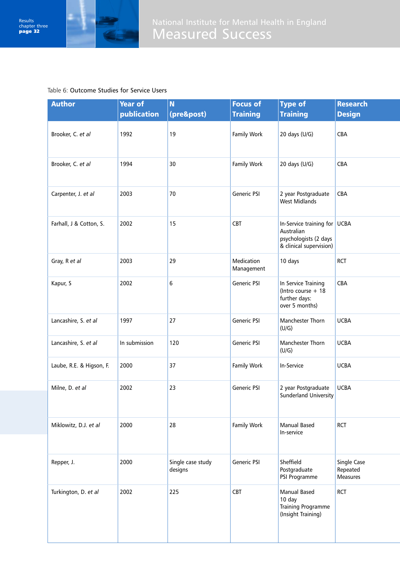#### Table 6: Outcome Studies for Service Users

| <b>Author</b>            | Year of<br>publication | N<br>(pre&post)              | <b>Focus of</b><br><b>Training</b> | <b>Type of</b><br><b>Training</b>                                                              | <b>Research</b><br><b>Design</b>    |
|--------------------------|------------------------|------------------------------|------------------------------------|------------------------------------------------------------------------------------------------|-------------------------------------|
| Brooker, C. et al        | 1992                   | 19                           | Family Work                        | 20 days $(U/G)$                                                                                | CBA                                 |
| Brooker, C. et al        | 1994                   | 30                           | Family Work                        | 20 days $(U/G)$                                                                                | CBA                                 |
| Carpenter, J. et al      | 2003                   | 70                           | Generic PSI                        | 2 year Postgraduate<br><b>West Midlands</b>                                                    | CBA                                 |
| Farhall, J & Cotton, S.  | 2002                   | 15                           | CBT                                | In-Service training for UCBA<br>Australian<br>psychologists (2 days<br>& clinical supervision) |                                     |
| Gray, R et al            | 2003                   | 29                           | Medication<br>Management           | 10 days                                                                                        | <b>RCT</b>                          |
| Kapur, S                 | 2002                   | 6                            | <b>Generic PSI</b>                 | In Service Training<br>(Intro course $+18$<br>further days:<br>over 5 months)                  | CBA                                 |
| Lancashire, S. et al     | 1997                   | 27                           | Generic PSI                        | Manchester Thorn<br>(U/G)                                                                      | <b>UCBA</b>                         |
| Lancashire, S. et al     | In submission          | 120                          | Generic PSI                        | Manchester Thorn<br>(U/G)                                                                      | <b>UCBA</b>                         |
| Laube, R.E. & Higson, F. | 2000                   | 37                           | Family Work                        | In-Service                                                                                     | <b>UCBA</b>                         |
| Milne, D. et al          | 2002                   | 23                           | Generic PSI                        | 2 year Postgraduate<br>Sunderland University                                                   | <b>UCBA</b>                         |
| Miklowitz, D.J. et al    | 2000                   | 28                           | Family Work                        | Manual Based<br>In-service                                                                     | <b>RCT</b>                          |
| Repper, J.               | 2000                   | Single case study<br>designs | Generic PSI                        | Sheffield<br>Postgraduate<br>PSI Programme                                                     | Single Case<br>Repeated<br>Measures |
| Turkington, D. et al     | 2002                   | 225                          | <b>CBT</b>                         | Manual Based<br>10 day<br><b>Training Programme</b><br>(Insight Training)                      | <b>RCT</b>                          |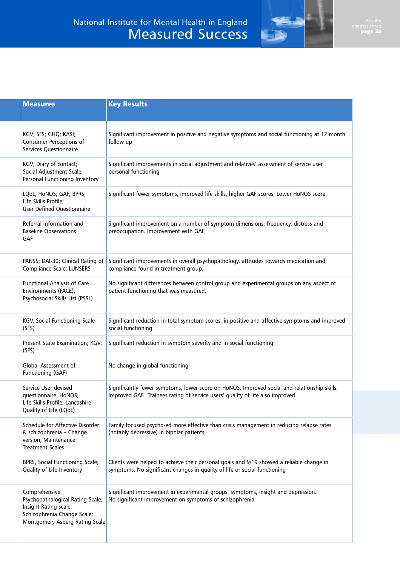

| <b>Measures</b>                                                                                                                             | <b>Key Results</b>                                                                                                                                                            |
|---------------------------------------------------------------------------------------------------------------------------------------------|-------------------------------------------------------------------------------------------------------------------------------------------------------------------------------|
|                                                                                                                                             |                                                                                                                                                                               |
| KGV; SFS; GHQ; KASI;<br>Consumer Perceptions of<br><b>Services Questionnaire</b>                                                            | Significant improvement in positive and negative symptoms and social functioning at 12 month<br>follow up                                                                     |
| KGV; Diary of contact;<br>Social Adjustment Scale;<br>Personal Functioning Inventory                                                        | Significant improvements in social adjustment and relatives' assessment of service user<br>personal functioning                                                               |
| LQoL, HoNOS; GAF; BPRS;<br>Life Skills Profile;<br><b>User Defined Questionnaire</b>                                                        | Significant fewer symptoms, improved life skills, higher GAF scores, Lower HoNOS score.                                                                                       |
| Referral Information and<br><b>Baseline Observations</b><br>GAF                                                                             | Significant improvement on a number of symptom dimensions: frequency, distress and<br>preoccupation. Improvement with GAF                                                     |
| PANSS; DAI-30; Clinical Rating of<br>Compliance Scale; LUNSERS                                                                              | Significant improvements in overall psychopathology, attitudes towards medication and<br>compliance found in treatment group.                                                 |
| <b>Functional Analysis of Care</b><br>Environments (FACE),<br>Psychosocial Skills List (PSSL)                                               | No significant differences between control group and experimental groups on any aspect of<br>patient functioning that was measured.                                           |
| KGV, Social Functioning Scale<br>(SFS)                                                                                                      | Significant reduction in total symptom scores, in positive and affective symptoms and improved<br>social functioning                                                          |
| Present State Examination; KGV;<br>(SFS)                                                                                                    | Significant reduction in symptom severity and in social functioning                                                                                                           |
| Global Assessment of<br>Functioning (GAF)                                                                                                   | No change in global functioning                                                                                                                                               |
| Service User devised<br>questionnaire, HoNOS;<br>Life Skills Profile; Lancashire<br>Quality of Life (LQoL)                                  | Significantly fewer symptoms, lower score on HoNOS, Improved social and relationship skills,<br>Improved GAF. Trainees rating of service users' quality of life also improved |
| Schedule for Affective Disorder<br>& schizophrenia - Change<br>version; Maintenance<br><b>Treatment Scales</b>                              | Family focused psycho-ed more effective than crisis management in reducing relapse rates<br>(notably depressive) in bipolar patients                                          |
| BPRS, Social Functioning Scale;<br>Quality of Life Inventory                                                                                | Clients were helped to achieve their personal goals and 9/19 showed a reliable change in<br>symptoms. No significant changes in quality of life or social functioning         |
| Comprehensive<br>Psychopathalogical Rating Scale;<br>Insight Rating scale;<br>Schizophrenia Change Scale;<br>Montgomery-Asberg Rating Scale | Significant improvement in experimental groups' symptoms, insight and depression.<br>No significant improvement on symptoms of schizophrenia                                  |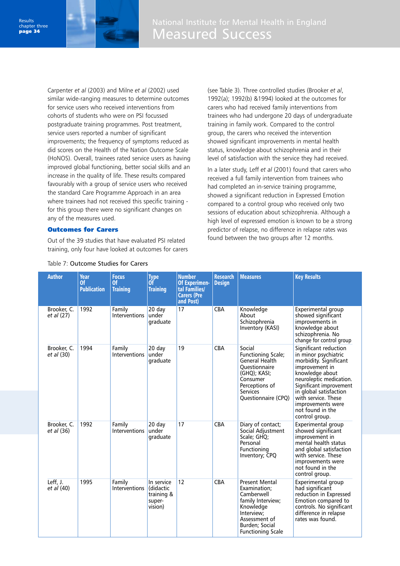

Carpenter *et al* (2003) and Milne *et al* (2002) used similar wide-ranging measures to determine outcomes for service users who received interventions from cohorts of students who were on PSI focussed postgraduate training programmes. Post treatment, service users reported a number of significant improvements; the frequency of symptoms reduced as did scores on the Health of the Nation Outcome Scale (HoNOS). Overall, trainees rated service users as having improved global functioning, better social skills and an increase in the quality of life. These results compared favourably with a group of service users who received the standard Care Programme Approach in an area where trainees had not received this specific training for this group there were no significant changes on any of the measures used.

#### Outcomes for Carers

Out of the 39 studies that have evaluated PSI related training, only four have looked at outcomes for carers (see Table 3). Three controlled studies (Brooker *et al*, 1992(a); 1992(b) &1994) looked at the outcomes for carers who had received family interventions from trainees who had undergone 20 days of undergraduate training in family work. Compared to the control group, the carers who received the intervention showed significant improvements in mental health status, knowledge about schizophrenia and in their level of satisfaction with the service they had received.

In a later study, Leff *et al* (2001) found that carers who received a full family intervention from trainees who had completed an in-service training programme, showed a significant reduction in Expressed Emotion compared to a control group who received only two sessions of education about schizophrenia. Although a high level of expressed emotion is known to be a strong predictor of relapse, no difference in relapse rates was found between the two groups after 12 months.

| <b>Author</b>             | <b>Year</b><br>0f<br><b>Publication</b> | <b>Focus</b><br><b>Of</b><br><b>Training</b> | Type<br>Of<br><b>Training</b>                              | <b>Number</b><br>Of Experimen-<br>tal Families/<br><b>Carers (Pre</b><br>and Post) | <b>Research</b><br><b>Design</b> | <b>Measures</b>                                                                                                                                                    | <b>Key Results</b>                                                                                                                                                                                                                                                             |
|---------------------------|-----------------------------------------|----------------------------------------------|------------------------------------------------------------|------------------------------------------------------------------------------------|----------------------------------|--------------------------------------------------------------------------------------------------------------------------------------------------------------------|--------------------------------------------------------------------------------------------------------------------------------------------------------------------------------------------------------------------------------------------------------------------------------|
| Brooker, C.<br>et al (27) | 1992                                    | Family<br>Interventions                      | 20 day<br>under<br>graduate                                | 17                                                                                 | CBA                              | Knowledge<br>About<br>Schizophrenia<br>Inventory (KASI)                                                                                                            | Experimental group<br>showed significant<br>improvements in<br>knowledge about<br>schizophrenia. No<br>change for control group                                                                                                                                                |
| Brooker, C.<br>et al (30) | 1994                                    | Family<br>Interventions                      | 20 day<br>under<br>graduate                                | 19                                                                                 | CBA                              | Social<br>Functioning Scale;<br>General Health<br>Ouestionnaire<br>(GHQ); KASI;<br>Consumer<br>Perceptions of<br><b>Services</b><br>Questionnaire (CPQ)            | Significant reduction<br>in minor psychiatric<br>morbidity. Significant<br>improvement in<br>knowledge about<br>neuroleptic medication.<br>Significant improvement<br>in global satisfaction<br>with service. These<br>improvements were<br>not found in the<br>control group. |
| Brooker, C.<br>et al (36) | 1992                                    | Family<br><b>Interventions</b>               | 20 day<br>under<br>graduate                                | 17                                                                                 | <b>CBA</b>                       | Diary of contact;<br>Social Adjustment<br>Scale; GHQ;<br>Personal<br>Functioning<br>Inventory; CPQ                                                                 | Experimental group<br>showed significant<br>improvement in<br>mental health status<br>and global satisfaction<br>with service. These<br>improvements were<br>not found in the<br>control group.                                                                                |
| Leff, J.<br>et al (40)    | 1995                                    | Family<br>Interventions                      | In service<br>(didactic<br>training &<br>super-<br>vision) | 12                                                                                 | <b>CBA</b>                       | <b>Present Mental</b><br>Examination:<br>Camberwell<br>family Interview;<br>Knowledge<br>Interview;<br>Assessment of<br>Burden; Social<br><b>Functioning Scale</b> | Experimental group<br>had significant<br>reduction in Expressed<br>Emotion compared to<br>controls. No significant<br>difference in relapse<br>rates was found.                                                                                                                |

#### Table 7: Outcome Studies for Carers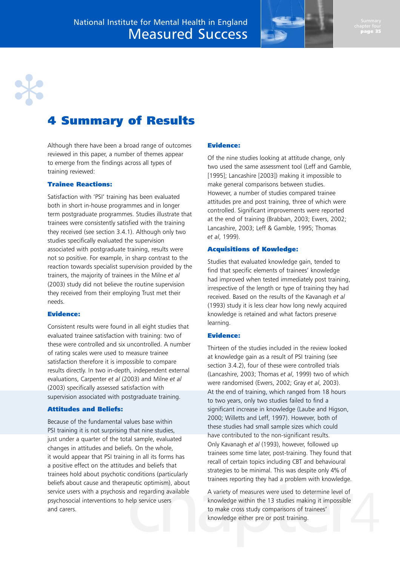

### 4 Summary of Results

Although there have been a broad range of outcomes reviewed in this paper, a number of themes appear to emerge from the findings across all types of training reviewed:

#### Trainee Reactions:

Satisfaction with 'PSI' training has been evaluated both in short in-house programmes and in longer term postgraduate programmes. Studies illustrate that trainees were consistently satisfied with the training they received (see section 3.4.1). Although only two studies specifically evaluated the supervision associated with postgraduate training, results were not so positive. For example, in sharp contrast to the reaction towards specialist supervision provided by the trainers, the majority of trainees in the Milne *et al* (2003) study did not believe the routine supervision they received from their employing Trust met their needs.

#### Evidence:

Consistent results were found in all eight studies that evaluated trainee satisfaction with training: two of these were controlled and six uncontrolled. A number of rating scales were used to measure trainee satisfaction therefore it is impossible to compare results directly. In two in-depth, independent external evaluations, Carpenter *et al* (2003) and Milne *et al* (2003) specifically assessed satisfaction with supervision associated with postgraduate training.

#### Attitudes and Beliefs:

Because of the fundamental values base within PSI training it is not surprising that nine studies, just under a quarter of the total sample, evaluated changes in attitudes and beliefs. On the whole, it would appear that PSI training in all its forms has a positive effect on the attitudes and beliefs that trainees hold about psychotic conditions (particularly beliefs about cause and therapeutic optimism), about service users with a psychosis and regarding available psychosocial interventions to help service users and carers.

#### Evidence:

Of the nine studies looking at attitude change, only two used the same assessment tool (Leff and Gamble, [1995]; Lancashire [2003]) making it impossible to make general comparisons between studies. However, a number of studies compared trainee attitudes pre and post training, three of which were controlled. Significant improvements were reported at the end of training (Brabban, 2003; Ewers, 2002; Lancashire, 2003; Leff & Gamble, 1995; Thomas *et al*, 1999).

#### Acquisitions of Kowledge:

Studies that evaluated knowledge gain, tended to find that specific elements of trainees' knowledge had improved when tested immediately post training, irrespective of the length or type of training they had received. Based on the results of the Kavanagh *et al* (1993) study it is less clear how long newly acquired knowledge is retained and what factors preserve learning.

#### Evidence:

Thirteen of the studies included in the review looked at knowledge gain as a result of PSI training (see section 3.4.2), four of these were controlled trials (Lancashire, 2003; Thomas *et al*, 1999) two of which were randomised (Ewers, 2002; Gray *et al*, 2003). At the end of training, which ranged from 18 hours to two years, only two studies failed to find a significant increase in knowledge (Laube and Higson, 2000; Willetts and Leff, 1997). However, both of these studies had small sample sizes which could have contributed to the non-significant results. Only Kavanagh *et al* (1993), however, followed up trainees some time later, post-training. They found that recall of certain topics including CBT and behavioural strategies to be minimal. This was despite only 4% of trainees reporting they had a problem with knowledge.

Explained the particular trainees reporting they had a problem with knowledge.<br>
and regarding available<br>
A variety of measures were used to determine level of<br>
knowledge within the 13 studies making it impossible<br>
to make A variety of measures were used to determine level of knowledge within the 13 studies making it impossible to make cross study comparisons of trainees' knowledge either pre or post training.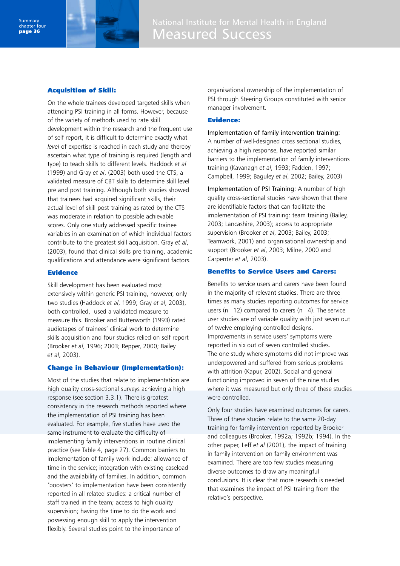#### Acquisition of Skill:

On the whole trainees developed targeted skills when attending PSI training in all forms. However, because of the variety of methods used to rate skill development within the research and the frequent use of self report, it is difficult to determine exactly what *level* of expertise is reached in each study and thereby ascertain what type of training is required (length and type) to teach skills to different levels. Haddock *et al* (1999) and Gray *et al*, (2003) both used the CTS, a validated measure of CBT skills to determine skill level pre and post training. Although both studies showed that trainees had acquired significant skills, their actual level of skill post-training as rated by the CTS was moderate in relation to possible achievable scores. Only one study addressed specific trainee variables in an examination of which individual factors contribute to the greatest skill acquisition. Gray *et al*, (2003), found that clinical skills pre-training, academic qualifications and attendance were significant factors.

#### Evidence

Skill development has been evaluated most extensively within generic PSI training, however, only two studies (Haddock *et al*, 1999; Gray *et al*, 2003), both controlled, used a validated measure to measure this. Brooker and Butterworth (1993) rated audiotapes of trainees' clinical work to determine skills acquisition and four studies relied on self report (Brooker *et al*, 1996; 2003; Repper, 2000; Bailey *et al*, 2003).

#### Change in Behaviour (Implementation):

Most of the studies that relate to implementation are high quality cross-sectional surveys achieving a high response (see section 3.3.1). There is greatest consistency in the research methods reported where the implementation of PSI training has been evaluated. For example, five studies have used the same instrument to evaluate the difficulty of implementing family interventions in routine clinical practice (see Table 4, page 27). Common barriers to implementation of family work include: allowance of time in the service; integration with existing caseload and the availability of families. In addition, common 'boosters' to implementation have been consistently reported in all related studies: a critical number of staff trained in the team; access to high quality supervision; having the time to do the work and possessing enough skill to apply the intervention flexibly. Several studies point to the importance of

organisational ownership of the implementation of PSI through Steering Groups constituted with senior manager involvement.

#### Evidence:

Implementation of family intervention training: A number of well-designed cross sectional studies, achieving a high response, have reported similar barriers to the implementation of family interventions training (Kavanagh *et al*, 1993; Fadden, 1997; Campbell, 1999; Baguley *et al*, 2002; Bailey, 2003)

Implementation of PSI Training: A number of high quality cross-sectional studies have shown that there are identifiable factors that can facilitate the implementation of PSI training: team training (Bailey, 2003; Lancashire, 2003); access to appropriate supervision (Brooker *et al*, 2003; Bailey, 2003; Teamwork, 2001) and organisational ownership and support (Brooker *et al*, 2003; Milne, 2000 and Carpenter *et al*, 2003).

#### Benefits to Service Users and Carers:

Benefits to service users and carers have been found in the majority of relevant studies. There are three times as many studies reporting outcomes for service users ( $n=12$ ) compared to carers ( $n=4$ ). The service user studies are of variable quality with just seven out of twelve employing controlled designs. Improvements in service users' symptoms were reported in six out of seven controlled studies. The one study where symptoms did not improve was underpowered and suffered from serious problems with attrition (Kapur, 2002). Social and general functioning improved in seven of the nine studies where it was measured but only three of these studies were controlled.

Only four studies have examined outcomes for carers. Three of these studies relate to the same 20-day training for family intervention reported by Brooker and colleagues (Brooker, 1992a; 1992b; 1994). In the other paper, Leff *et al* (2001), the impact of training in family intervention on family environment was examined. There are too few studies measuring diverse outcomes to draw any meaningful conclusions. It is clear that more research is needed that examines the impact of PSI training from the relative's perspective.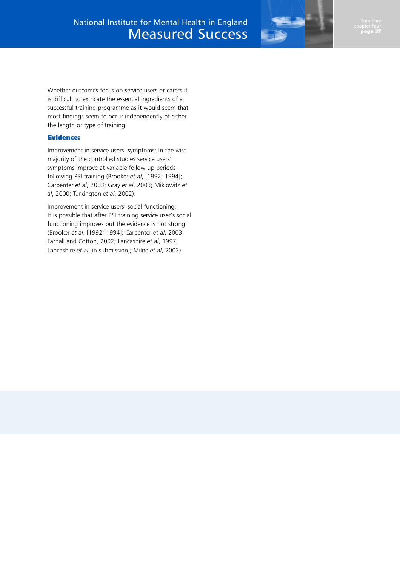

page 37

Whether outcomes focus on service users or carers it is difficult to extricate the essential ingredients of a successful training programme as it would seem that most findings seem to occur independently of either the length or type of training.

#### Evidence:

Improvement in service users' symptoms: In the vast majority of the controlled studies service users' symptoms improve at variable follow-up periods following PSI training (Brooker *et al*, [1992; 1994]; Carpenter *et al*, 2003; Gray *et al*, 2003; Miklowitz *et al*, 2000; Turkington *et al*, 2002).

Improvement in service users' social functioning: It is possible that after PSI training service user's social functioning improves but the evidence is not strong (Brooker *et al*, [1992; 1994]; Carpenter *et al*, 2003; Farhall and Cotton, 2002; Lancashire *et al*, 1997; Lancashire *et al* [in submission]; Milne *et al*, 2002).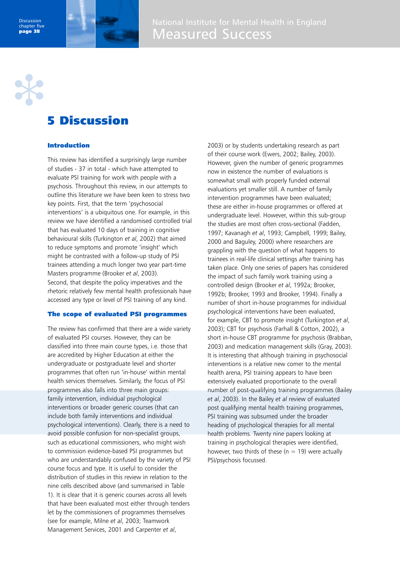

### 5 Discussion

#### Introduction

This review has identified a surprisingly large number of studies - 37 in total - which have attempted to evaluate PSI training for work with people with a psychosis. Throughout this review, in our attempts to outline this literature we have been keen to stress two key points. First, that the term 'psychosocial interventions' is a ubiquitous one. For example, in this review we have identified a randomised controlled trial that has evaluated 10 days of training in cognitive behavioural skills (Turkington *et al*, 2002) that aimed to reduce symptoms and promote 'insight' which might be contrasted with a follow-up study of PSI trainees attending a much longer two year part-time Masters programme (Brooker *et al*, 2003). Second, that despite the policy imperatives and the rhetoric relatively few mental health professionals have accessed any type or level of PSI training of any kind.

#### The scope of evaluated PSI programmes

The review has confirmed that there are a wide variety of evaluated PSI courses. However, they can be classified into three main course types, i.e. those that are accredited by Higher Education at either the undergraduate or postgraduate level and shorter programmes that often run 'in-house' within mental health services themselves. Similarly, the focus of PSI programmes also falls into three main groups: family intervention, individual psychological interventions or broader generic courses (that can include both family interventions and individual psychological interventions). Clearly, there is a need to avoid possible confusion for non-specialist groups, such as educational commissioners, who might wish to commission evidence-based PSI programmes but who are understandably confused by the variety of PSI course focus and type. It is useful to consider the distribution of studies in this review in relation to the nine cells described above (and summarised in Table 1). It is clear that it is generic courses across all levels that have been evaluated most either through tenders let by the commissioners of programmes themselves (see for example, Milne *et al*, 2003; Teamwork Management Services, 2001 and Carpenter *et al*,

2003) or by students undertaking research as part of their course work (Ewers, 2002; Bailey, 2003). However, given the number of generic programmes now in existence the number of evaluations is somewhat small with properly funded external evaluations yet smaller still. A number of family intervention programmes have been evaluated; these are either in-house programmes or offered at undergraduate level. However, within this sub-group the studies are most often cross-sectional (Fadden, 1997; Kavanagh *et al*, 1993; Campbell, 1999; Bailey, 2000 and Baguley, 2000) where researchers are grappling with the question of what happens to trainees in real-life clinical settings after training has taken place. Only one series of papers has considered the impact of such family work training using a controlled design (Brooker *et al*, 1992a; Brooker, 1992b; Brooker, 1993 and Brooker, 1994). Finally a number of short in-house programmes for individual psychological interventions have been evaluated, for example, CBT to promote insight (Turkington *et al*, 2003); CBT for psychosis (Farhall & Cotton, 2002), a short in-house CBT programme for psychosis (Brabban, 2003) and medication management skills (Gray, 2003). It is interesting that although training in psychosocial interventions is a relative new comer to the mental health arena, PSI training appears to have been extensively evaluated proportionate to the overall number of post-qualifying training programmes (Bailey *et al*, 2003). In the Bailey *et al* review of evaluated post qualifying mental health training programmes, PSI training was subsumed under the broader heading of psychological therapies for all mental health problems. Twenty nine papers looking at training in psychological therapies were identified, however, two thirds of these ( $n = 19$ ) were actually PSI/psychosis focussed.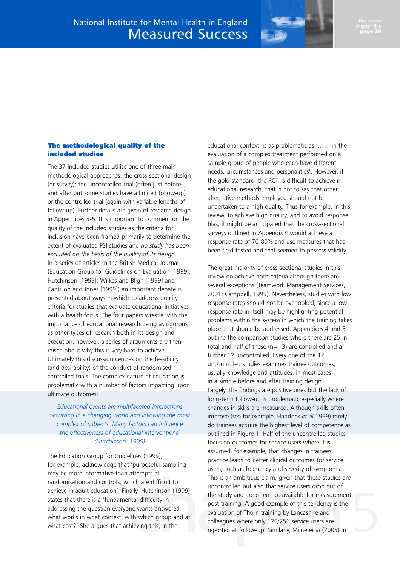

page 39

#### The methodological quality of the included studies

The 37 included studies utilise one of three main methodological approaches: the cross-sectional design (or survey); the uncontrolled trial (often just before and after but some studies have a limited follow-up) or the controlled trial (again with variable lengths of follow-up). Further details are given of research design in Appendices 3-5. It is important to comment on the quality of the included studies as the criteria for inclusion have been framed primarily to determine the extent of evaluated PSI studies and *no study has been excluded on the basis of the quality of its design.* In a series of articles in the British Medical Journal (Education Group for Guidelines on Evaluation [1999]; Hutchinson [1999]; Wilkes and Bligh [1999] and Cantillon and Jones [1999]) an important debate is presented about ways in which to address quality criteria for studies that evaluate educational initiatives with a health focus. The four papers wrestle with the importance of educational research being as rigorous as other types of research both in its design and execution, however, a series of arguments are then raised about why this is very hard to achieve. Ultimately this discussion centres on the feasibility (and desirability) of the conduct of randomised controlled trials. The complex nature of education is problematic with a number of factors impacting upon ultimate outcomes:

*Educational events are multifaceted interactions occurring in a changing world and involving the most complex of subjects. Many factors can influence the effectiveness of educational interventions' (Hutchinson, 1999)*

The Education Group for Guidelines (1999), for example, acknowledge that 'purposeful sampling may be more informative than attempts at randomisation and controls, which are difficult to achieve in adult education'. Finally, Hutchinson (1999) states that there is a 'fundamental difficulty in addressing the question everyone wants answered what works in what context, with which group and at what cost?' She argues that achieving this, in the

educational context, is as problematic as '…….in the evaluation of a complex treatment performed on a sample group of people who each have different needs, circumstances and personalities'. However, if the gold standard, the RCT, is difficult to achieve in educational research, that is not to say that other alternative methods employed should not be undertaken to a high quality. Thus for example, in this review, to achieve high quality, and to avoid response bias, it might be anticipated that the cross-sectional surveys outlined in Appendix 4 would achieve a response rate of 70-80% and use measures that had been field-tested and that seemed to possess validity.

which are difficult to<br>
mally, Hutchinson (1999)<br>
that difficulty in<br>
the study and are often not available for measurement<br>
post-training. A good example of this tendency is the<br>
evaluation of Thorn training by Lancashire The great majority of cross-sectional studies in this review do achieve both criteria although there are several exceptions (Teamwork Management Services, 2001; Campbell, 1999). Nevertheless, studies with low response rates should not be overlooked, since a low response rate in itself may be highlighting potential problems within the system in which the training takes place that should be addressed. Appendices 4 and 5 outline the comparison studies where there are 25 in total and half of these (n=13) are controlled and a further 12 uncontrolled. Every one of the 12 uncontrolled studies examines trainee outcomes, usually knowledge and attitudes, in most cases in a simple before and after training design. Largely, the findings are positive ones but the lack of long-term follow-up is problematic especially where changes in skills are measured. Although skills often improve (see for example, Haddock *et al* 1999) rarely do trainees acquire the highest level of competence as outlined in Figure 1. Half of the uncontrolled studies focus on outcomes for service users where it is assumed, for example, that changes in trainees' practice leads to better clinical outcomes for service users, such as frequency and severity of symptoms. This is an ambitious claim, given that these studies are uncontrolled but also that service users drop out of the study and are often not available for measurement post-training. A good example of this tendency is the evaluation of Thorn training by Lancashire and colleagues where only 120/256 service users are reported at follow-up. Similarly, Milne *et al* (2003) in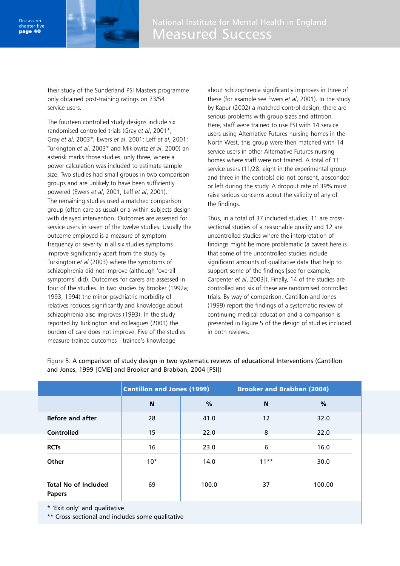their study of the Sunderland PSI Masters programme only obtained post-training ratings on 23/54 service users.

The fourteen controlled study designs include six randomised controlled trials (Gray *et al*, 2001\*; Gray *et al*, 2003\*; Ewers *et al*, 2001; Leff *et al*, 2001; Turkington *et al*, 2003\* and Miklowitz *et al*, 2000) an asterisk marks those studies, only three, where a power calculation was included to estimate sample size. Two studies had small groups in two comparison groups and are unlikely to have been sufficiently powered (Ewers *et al*, 2001; Leff *et al*, 2001). The remaining studies used a matched comparison group (often care as usual) or a within-subjects design with delayed intervention. Outcomes are assessed for service users in seven of the twelve studies. Usually the outcome employed is a measure of symptom frequency or severity in all six studies symptoms improve significantly apart from the study by Turkington *et al* (2003) where the symptoms of schizophrenia did not improve (although 'overall symptoms' did). Outcomes for carers are assessed in four of the studies. In two studies by Brooker (1992a; 1993, 1994) the minor psychiatric morbidity of relatives reduces significantly and knowledge about schizophrenia also improves (1993). In the study reported by Turkington and colleagues (2003) the burden of care does not improve. Five of the studies measure trainee outcomes - trainee's knowledge

about schizophrenia significantly improves in three of these (for example see Ewers *et al*, 2001). In the study by Kapur (2002) a matched control design, there are serious problems with group sizes and attrition. Here, staff were trained to use PSI with 14 service users using Alternative Futures nursing homes in the North West, this group were then matched with 14 service users in other Alternative Futures nursing homes where staff were not trained. A total of 11 service users (11/28: eight in the experimental group and three in the controls) did not consent, absconded or left during the study. A dropout rate of 39% must raise serious concerns about the validity of any of the findings.

Thus, in a total of 37 included studies, 11 are crosssectional studies of a reasonable quality and 12 are uncontrolled studies where the interpretation of findings might be more problematic (a caveat here is that some of the uncontrolled studies include significant amounts of qualitative data that help to support some of the findings [see for example, Carpenter *et al*, 2003]). Finally, 14 of the studies are controlled and six of these are randomised controlled trials. By way of comparison, Cantillon and Jones (1999) report the findings of a systematic review of continuing medical education and a comparison is presented in Figure 5 of the design of studies included in both reviews.

|                                              | <b>Cantillon and Jones (1999)</b> |               | <b>Brooker and Brabban (2004)</b> |        |  |
|----------------------------------------------|-----------------------------------|---------------|-----------------------------------|--------|--|
|                                              | N                                 | $\frac{0}{0}$ | N                                 | $\%$   |  |
| <b>Before and after</b>                      | 28                                | 41.0          | 12                                | 32.0   |  |
| Controlled                                   | 15                                | 22.0          | 8                                 | 22.0   |  |
| <b>RCTs</b>                                  | 16                                | 23.0          | 6                                 | 16.0   |  |
| Other                                        | $10*$                             | 14.0          | $11**$                            | 30.0   |  |
| <b>Total No of Included</b><br><b>Papers</b> | 69                                | 100.0         | 37                                | 100.00 |  |

Figure 5: A comparison of study design in two systematic reviews of educational Interventions (Cantillon and Jones, 1999 [CME] and Brooker and Brabban, 2004 [PSI])

\* 'Exit only' and qualitative

\*\* Cross-sectional and includes some qualitative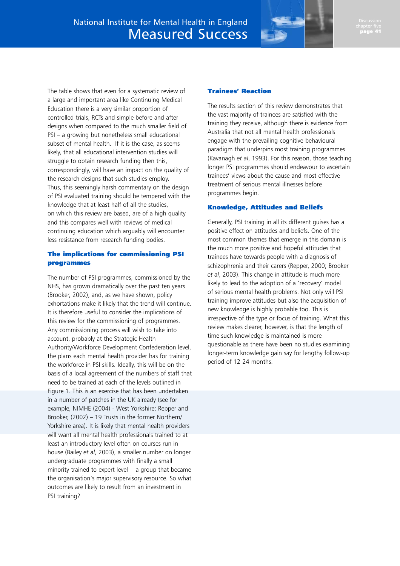

The table shows that even for a systematic review of a large and important area like Continuing Medical Education there is a very similar proportion of controlled trials, RCTs and simple before and after designs when compared to the much smaller field of PSI – a growing but nonetheless small educational subset of mental health. If it is the case, as seems likely, that all educational intervention studies will struggle to obtain research funding then this, correspondingly, will have an impact on the quality of the research designs that such studies employ. Thus, this seemingly harsh commentary on the design of PSI evaluated training should be tempered with the knowledge that at least half of all the studies, on which this review are based, are of a high quality and this compares well with reviews of medical continuing education which arguably will encounter less resistance from research funding bodies.

#### The implications for commissioning PSI programmes

The number of PSI programmes, commissioned by the NHS, has grown dramatically over the past ten years (Brooker, 2002), and, as we have shown, policy exhortations make it likely that the trend will continue. It is therefore useful to consider the implications of this review for the commissioning of programmes. Any commissioning process will wish to take into account, probably at the Strategic Health Authority/Workforce Development Confederation level, the plans each mental health provider has for training the workforce in PSI skills. Ideally, this will be on the basis of a local agreement of the numbers of staff that need to be trained at each of the levels outlined in Figure 1. This is an exercise that has been undertaken in a number of patches in the UK already (see for example, NIMHE (2004) - West Yorkshire; Repper and Brooker, (2002) – 19 Trusts in the former Northern/ Yorkshire area). It is likely that mental health providers will want all mental health professionals trained to at least an introductory level often on courses run inhouse (Bailey *et al*, 2003), a smaller number on longer undergraduate programmes with finally a small minority trained to expert level - a group that became the organisation's major supervisory resource. So what outcomes are likely to result from an investment in PSI training?

#### Trainees' Reaction

The results section of this review demonstrates that the vast majority of trainees are satisfied with the training they receive, although there is evidence from Australia that not all mental health professionals engage with the prevailing cognitive-behavioural paradigm that underpins most training programmes (Kavanagh *et al*, 1993). For this reason, those teaching longer PSI programmes should endeavour to ascertain trainees' views about the cause and most effective treatment of serious mental illnesses before programmes begin.

#### Knowledge, Attitudes and Beliefs

Generally, PSI training in all its different guises has a positive effect on attitudes and beliefs. One of the most common themes that emerge in this domain is the much more positive and hopeful attitudes that trainees have towards people with a diagnosis of schizophrenia and their carers (Repper, 2000; Brooker *et al*, 2003). This change in attitude is much more likely to lead to the adoption of a 'recovery' model of serious mental health problems. Not only will PSI training improve attitudes but also the acquisition of new knowledge is highly probable too. This is irrespective of the type or focus of training. What this review makes clearer, however, is that the length of time such knowledge is maintained is more questionable as there have been no studies examining longer-term knowledge gain say for lengthy follow-up period of 12-24 months.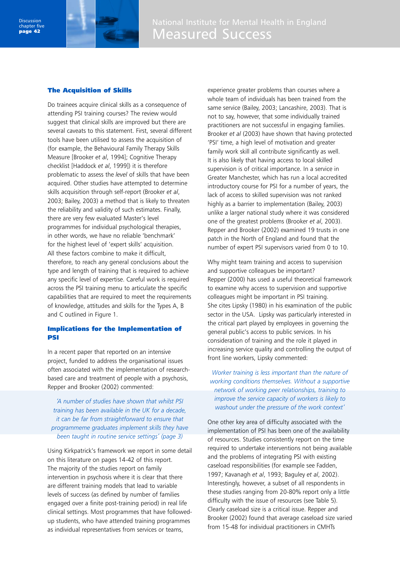#### The Acquisition of Skills

Do trainees acquire clinical skills as a consequence of attending PSI training courses? The review would suggest that clinical skills are improved but there are several caveats to this statement. First, several different tools have been utilised to assess the acquisition of (for example, the Behavioural Family Therapy Skills Measure [Brooker *et al*, 1994]; Cognitive Therapy checklist [Haddock *et al*, 1999]) it is therefore problematic to assess the *level* of skills that have been acquired. Other studies have attempted to determine skills acquisition through self-report (Brooker *et al*, 2003; Bailey, 2003) a method that is likely to threaten the reliability and validity of such estimates. Finally, there are very few evaluated Master's level programmes for individual psychological therapies, in other words, we have no reliable 'benchmark' for the highest level of 'expert skills' acquisition. All these factors combine to make it difficult, therefore, to reach any general conclusions about the type and length of training that is required to achieve any specific level of expertise. Careful work is required across the PSI training menu to articulate the specific capabilities that are required to meet the requirements of knowledge, attitudes and skills for the Types A, B and C outlined in Figure 1.

#### Implications for the Implementation of PSI

In a recent paper that reported on an intensive project, funded to address the organisational issues often associated with the implementation of researchbased care and treatment of people with a psychosis, Repper and Brooker (2002) commented:

*'A number of studies have shown that whilst PSI training has been available in the UK for a decade, it can be far from straightforward to ensure that programmeme graduates implement skills they have been taught in routine service settings' (page 3)*

Using Kirkpatrick's framework we report in some detail on this literature on pages 14-42 of this report. The majority of the studies report on family intervention in psychosis where it is clear that there are different training models that lead to variable levels of success (as defined by number of families engaged over a finite post-training period) in real life clinical settings. Most programmes that have followedup students, who have attended training programmes as individual representatives from services or teams,

experience greater problems than courses where a whole team of individuals has been trained from the same service (Bailey, 2003; Lancashire, 2003). That is not to say, however, that some individually trained practitioners are not successful in engaging families. Brooker *et al* (2003) have shown that having protected 'PSI' time, a high level of motivation and greater family work skill all contribute significantly as well. It is also likely that having access to local skilled supervision is of critical importance. In a service in Greater Manchester, which has run a local accredited introductory course for PSI for a number of years, the lack of access to skilled supervision was not ranked highly as a barrier to implementation (Bailey, 2003) unlike a larger national study where it was considered one of the greatest problems (Brooker *et al*, 2003). Repper and Brooker (2002) examined 19 trusts in one patch in the North of England and found that the number of expert PSI supervisors varied from 0 to 10.

Why might team training and access to supervision and supportive colleagues be important? Repper (2000) has used a useful theoretical framework to examine why access to supervision and supportive colleagues might be important in PSI training. She cites Lipsky (1980) in his examination of the public sector in the USA. Lipsky was particularly interested in the critical part played by employees in governing the general public's access to public services. In his consideration of training and the role it played in increasing service quality and controlling the output of front line workers, Lipsky commented:

*Worker training is less important than the nature of working conditions themselves. Without a supportive network of working peer relationships, training to improve the service capacity of workers is likely to washout under the pressure of the work context'*

One other key area of difficulty associated with the implementation of PSI has been one of the availability of resources. Studies consistently report on the time required to undertake interventions not being available and the problems of integrating PSI with existing caseload responsibilities (for example see Fadden, 1997; Kavanagh *et al*, 1993; Baguley *et al*, 2002). Interestingly, however, a subset of all respondents in these studies ranging from 20-80% report only a little difficulty with the issue of resources (see Table 5). Clearly caseload size is a critical issue. Repper and Brooker (2002) found that average caseload size varied from 15-48 for individual practitioners in CMHTs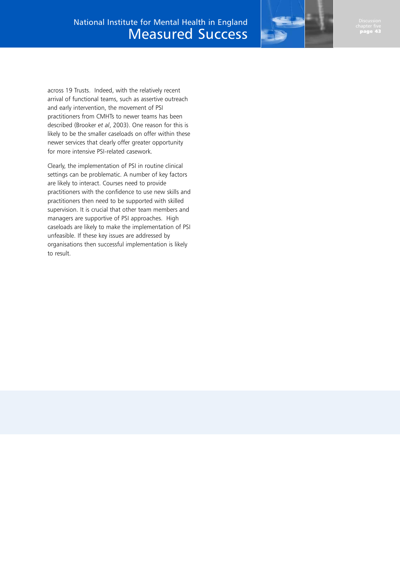

page 43

across 19 Trusts. Indeed, with the relatively recent arrival of functional teams, such as assertive outreach and early intervention, the movement of PSI practitioners from CMHTs to newer teams has been described (Brooker *et al*, 2003). One reason for this is likely to be the smaller caseloads on offer within these newer services that clearly offer greater opportunity for more intensive PSI-related casework.

Clearly, the implementation of PSI in routine clinical settings can be problematic. A number of key factors are likely to interact. Courses need to provide practitioners with the confidence to use new skills and practitioners then need to be supported with skilled supervision. It is crucial that other team members and managers are supportive of PSI approaches. High caseloads are likely to make the implementation of PSI unfeasible. If these key issues are addressed by organisations then successful implementation is likely to result.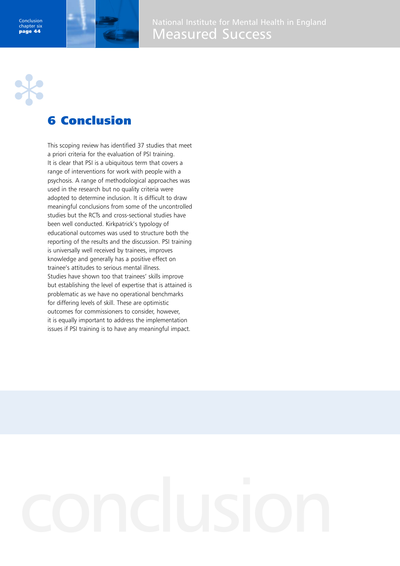

### 6 Conclusion

This scoping review has identified 37 studies that meet a priori criteria for the evaluation of PSI training. It is clear that PSI is a ubiquitous term that covers a range of interventions for work with people with a psychosis. A range of methodological approaches was used in the research but no quality criteria were adopted to determine inclusion. It is difficult to draw meaningful conclusions from some of the uncontrolled studies but the RCTs and cross-sectional studies have been well conducted. Kirkpatrick's typology of educational outcomes was used to structure both the reporting of the results and the discussion. PSI training is universally well received by trainees, improves knowledge and generally has a positive effect on trainee's attitudes to serious mental illness. Studies have shown too that trainees' skills improve but establishing the level of expertise that is attained is problematic as we have no operational benchmarks for differing levels of skill. These are optimistic outcomes for commissioners to consider, however, it is equally important to address the implementation issues if PSI training is to have any meaningful impact.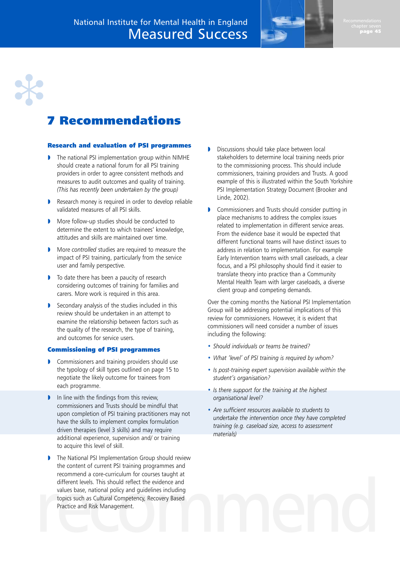

## 7 Recommendations

#### Research and evaluation of PSI programmes

- ◗ The national PSI implementation group within NIMHE should create a national forum for all PSI training providers in order to agree consistent methods and measures to audit outcomes and quality of training. *(This has recently been undertaken by the group)*
- ◗ Research money is required in order to develop reliable validated measures of all PSI skills.
- ◗ More follow-up studies should be conducted to determine the extent to which trainees' knowledge, attitudes and skills are maintained over time.
- ◗ More *controlled* studies are required to measure the impact of PSI training, particularly from the service user and family perspective.
- ◗ To date there has been a paucity of research considering outcomes of training for families and carers. More work is required in this area.
- ◗ Secondary analysis of the studies included in this review should be undertaken in an attempt to examine the relationship between factors such as the quality of the research, the type of training, and outcomes for service users.

#### Commissioning of PSI programmes

- ◗ Commissioners and training providers should use the typology of skill types outlined on page 15 to negotiate the likely outcome for trainees from each programme.
- In line with the findings from this review, commissioners and Trusts should be mindful that upon completion of PSI training practitioners may not have the skills to implement complex formulation driven therapies (level 3 skills) and may require additional experience, supervision and/ or training to acquire this level of skill.
- The National PSI Implementation Group should review the content of current PSI training programmes and recommend a core-curriculum for courses taught at different levels. This should reflect the evidence and values base, national policy and guidelines including topics such as Cultural Competency, Recovery Based Practice and Risk Management.
- Discussions should take place between local stakeholders to determine local training needs prior to the commissioning process. This should include commissioners, training providers and Trusts. A good example of this is illustrated within the South Yorkshire PSI Implementation Strategy Document (Brooker and Linde, 2002).
- ◗ Commissioners and Trusts should consider putting in place mechanisms to address the complex issues related to implementation in different service areas. From the evidence base it would be expected that different functional teams will have distinct issues to address in relation to implementation. For example Early Intervention teams with small caseloads, a clear focus, and a PSI philosophy should find it easier to translate theory into practice than a Community Mental Health Team with larger caseloads, a diverse client group and competing demands.

Over the coming months the National PSI Implementation Group will be addressing potential implications of this review for commissioners. However, it is evident that commissioners will need consider a number of issues including the following:

- *• Should individuals or teams be trained?*
- *• What 'level' of PSI training is required by whom?*
- *• Is post-training expert supervision available within the student's organisation?*
- *• Is there support for the training at the highest organisational level?*
- *• Are sufficient resources available to students to undertake the intervention once they have completed training (e.g. caseload size, access to assessment materials)*

# different levels. This should reflect the evidence and<br>values base, national policy and guidelines including<br>topics such as Cultural Competency, Recovery Based<br>Practice and Risk Management.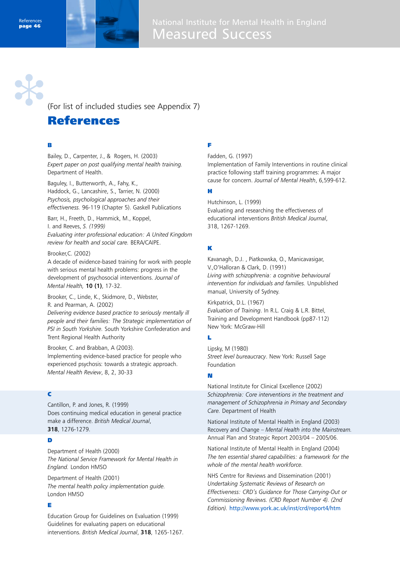

(For list of included studies see Appendix 7)

### References

#### B

Bailey, D., Carpenter, J., & Rogers, H. (2003) *Expert paper on post qualifying mental health training.* Department of Health.

Baguley, I., Butterworth, A., Fahy, K., Haddock, G., Lancashire, S., Tarrier, N. (2000) *Psychosis, psychological approaches and their effectiveness.* 96-119 (Chapter 5). Gaskell Publications

Barr, H., Freeth, D., Hammick, M., Koppel, I. and Reeves, *S. (1999) Evaluating inter professional education: A United Kingdom review for health and social care.* BERA/CAIPE.

#### Brooker,C. (2002)

A decade of evidence-based training for work with people with serious mental health problems: progress in the development of psychosocial interventions. *Journal of Mental Health,* **10 (1)**, 17-32.

Brooker, C., Linde, K., Skidmore, D., Webster, R. and Pearman, A. (2002) *Delivering evidence based practice to seriously mentally ill*

*people and their families: The Strategic implementation of PSI in South Yorkshire.* South Yorkshire Confederation and Trent Regional Health Authority

Brooker, C. and Brabban, A (2003). Implementing evidence-based practice for people who experienced psychosis: towards a strategic approach. *Mental Health Review*, 8, 2, 30-33

#### C

Cantillon, P. and Jones, R. (1999) Does continuing medical education in general practice make a difference. *British Medical Journal*, **318**, 1276-1279.

#### D

Department of Health (2000) *The National Service Framework for Mental Health in England.* London HMSO

Department of Health (2001) *The mental health policy implementation guide.* London HMSO

#### E

Education Group for Guidelines on Evaluation (1999) Guidelines for evaluating papers on educational interventions. *British Medical Journal*, **318**, 1265-1267.

#### F

Fadden, G. (1997)

Implementation of Family Interventions in routine clinical practice following staff training programmes: A major cause for concern. *Journal of Mental Health*, 6,599-612.

#### H

Hutchinson, L. (1999)

Evaluating and researching the effectiveness of educational interventions *British Medical Journal*, 318, 1267-1269.

#### K

Kavanagh, D.J. , Piatkowska, O., Manicavasigar, V.,O'Halloran & Clark, D. (1991) *Living with schizophrenia: a cognitive behavioural intervention for individuals and families.* Unpublished manual, University of Sydney.

Kirkpatrick, D.L. (1967) *Evaluation of Training*. In R.L. Craig & L.R. Bittel, Training and Development Handbook (pp87-112) New York: McGraw-Hill

#### L

Lipsky, M (1980) *Street level bureaucracy*. New York: Russell Sage Foundation

#### N

National Institute for Clinical Excellence (2002) *Schizophrenia: Core interventions in the treatment and management of Schizophrenia in Primary and Secondary Care.* Department of Health

National Institute of Mental Health in England (2003) Recovery and Change – *Mental Health into the Mainstream.* Annual Plan and Strategic Report 2003/04 – 2005/06.

National Institute of Mental Health in England (2004) *The ten essential shared capabilities: a framework for the whole of the mental health workforce.*

NHS Centre for Reviews and Dissemination (2001) *Undertaking Systematic Reviews of Research on Effectiveness: CRD's Guidance for Those Carrying-Out or Commissioning Reviews. (CRD Report Number 4). (2nd Edition).* http://www.york.ac.uk/inst/crd/report4/htm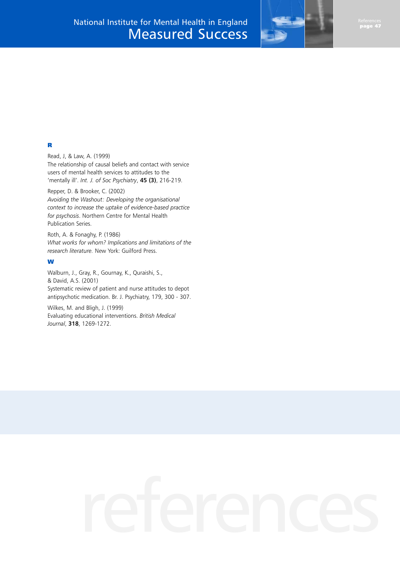

#### R

Read, J, & Law, A. (1999) The relationship of causal beliefs and contact with service users of mental health services to attitudes to the 'mentally ill'. *Int. J. of Soc Psychiatry*, **45 (3)**, 216-219.

Repper, D. & Brooker, C. (2002)

*Avoiding the Washout: Developing the organisational context to increase the uptake of evidence-based practice for psychosis*. Northern Centre for Mental Health Publication Series.

Roth, A. & Fonaghy, P. (1986) *What works for whom? Implications and limitations of the research literature.* New York: Guilford Press.

#### W

Walburn, J., Gray, R., Gournay, K., Quraishi, S., & David, A.S. (2001) Systematic review of patient and nurse attitudes to depot antipsychotic medication. Br. J. Psychiatry, 179, 300 - 307.

Wilkes, M. and Bligh, J. (1999) Evaluating educational interventions. *British Medical Journal*, **318**, 1269-1272.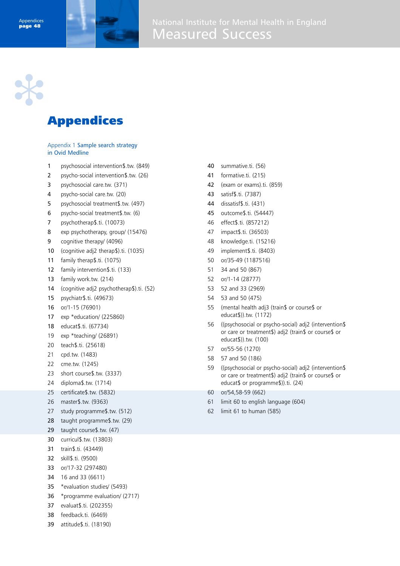

## Appendices

#### Appendix 1 Sample search strategy in Ovid Medline

- 1 psychosocial intervention\$.tw. (849)
- 2 psycho-social intervention\$.tw. (26)
- 3 psychosocial care.tw. (371)
- 4 psycho-social care.tw. (20)
- 5 psychosocial treatment\$.tw. (497)
- 6 psycho-social treatment\$.tw. (6)
- 7 psychotherap\$.ti. (10073)
- 8 exp psychotherapy, group/ (15476)
- 9 cognitive therapy/ (4096)
- 10 (cognitive adj2 therap\$).ti. (1035)
- 11 family therap\$.ti. (1075)
- 12 family intervention\$.ti. (133)
- 13 family work.tw. (214)
- 14 (cognitive adj2 psychotherap\$).ti. (52)
- 15 psychiatr\$.ti. (49673)
- 16 or/1-15 (76901)
- 17 exp \*education/ (225860)
- 18 educat\$.ti. (67734)
- 19 exp \*teaching/ (26891)
- 20 teach\$.ti. (25618)
- 21 cpd.tw. (1483)
- 22 cme.tw. (1245)
- 23 short course\$.tw. (3337)
- 24 diploma\$.tw. (1714)
- 25 certificate\$.tw. (5832)
- 26 master\$.tw. (9363)
- 27 study programme\$.tw. (512)
- 28 taught programme\$.tw. (29)
- 29 taught course\$.tw. (47)
- 30 curricul\$.tw. (13803)
- 31 train\$.ti. (43449)
- 32 skill\$.ti. (9500)
- 33 or/17-32 (297480)
- 34 16 and 33 (6611)
- 35 \*evaluation studies/ (5493)
- 36 \*programme evaluation/ (2717)
- 37 evaluat\$.ti. (202355)
- 38 feedback.ti. (6469)
- 39 attitude\$.ti. (18190)
- 40 summative.ti. (56)
- 41 formative.ti. (215)
- 42 (exam or exams).ti. (859)
- 43 satisf\$.ti. (7387)
- 44 dissatisf\$.ti. (431)
- 45 outcome\$.ti. (54447)
- 46 effect\$.ti. (857212)
- 47 impact\$.ti. (36503)
- 48 knowledge.ti. (15216)
- 49 implement\$.ti. (8403)
- 50 or/35-49 (1187516)
- 51 34 and 50 (867)
- 52 or/1-14 (28777)
- 53 52 and 33 (2969)
- 54 53 and 50 (475)
- 55 (mental health adj3 (train\$ or course\$ or educat\$)).tw. (1172)
- 56 ((psychosocial or psycho-social) adj2 (intervention\$ or care or treatment\$) adj2 (train\$ or course\$ or educat\$)).tw. (100)
- 57 or/55-56 (1270)
- 58 57 and 50 (186)
- 59 ((psychosocial or psycho-social) adj2 (intervention\$ or care or treatment\$) adj2 (train\$ or course\$ or educat\$ or programme\$)).ti. (24)
- 60 or/54,58-59 (662)
- 61 limit 60 to english language (604)
- 62 limit 61 to human (585)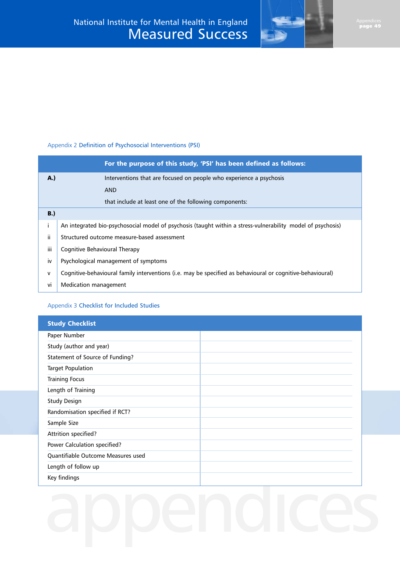

#### Appendix 2 Definition of Psychosocial Interventions (PSI)

|     | For the purpose of this study, 'PSI' has been defined as follows:                                           |  |  |  |  |  |
|-----|-------------------------------------------------------------------------------------------------------------|--|--|--|--|--|
| A.) | Interventions that are focused on people who experience a psychosis                                         |  |  |  |  |  |
|     | <b>AND</b>                                                                                                  |  |  |  |  |  |
|     | that include at least one of the following components:                                                      |  |  |  |  |  |
| B.  |                                                                                                             |  |  |  |  |  |
|     | An integrated bio-psychosocial model of psychosis (taught within a stress-vulnerability model of psychosis) |  |  |  |  |  |
| ii  | Structured outcome measure-based assessment                                                                 |  |  |  |  |  |
| iii | Cognitive Behavioural Therapy                                                                               |  |  |  |  |  |
| iv  | Psychological management of symptoms                                                                        |  |  |  |  |  |
| v   | Cognitive-behavioural family interventions (i.e. may be specified as behavioural or cognitive-behavioural)  |  |  |  |  |  |
| vi  | Medication management                                                                                       |  |  |  |  |  |

#### Appendix 3 Checklist for Included Studies

| <b>Study Checklist</b>             |  |
|------------------------------------|--|
| Paper Number                       |  |
| Study (author and year)            |  |
| Statement of Source of Funding?    |  |
| <b>Target Population</b>           |  |
| <b>Training Focus</b>              |  |
| Length of Training                 |  |
| <b>Study Design</b>                |  |
| Randomisation specified if RCT?    |  |
| Sample Size                        |  |
| Attrition specified?               |  |
| Power Calculation specified?       |  |
| Quantifiable Outcome Measures used |  |
| Length of follow up                |  |
| Key findings                       |  |

# Rey findings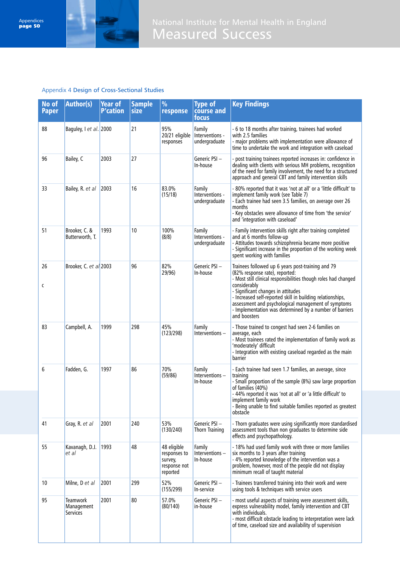#### Appendix 4 Design of Cross-Sectional Studies

| No of<br><b>Paper</b> | <b>Author(s)</b>                          | <b>Year of</b><br><b>P'cation</b> | <b>Sample</b><br>size | $\frac{0}{0}$<br>response                                          | <b>Type of</b><br>course and<br>focus      | <b>Key Findings</b>                                                                                                                                                                                                                                                                                                                                                                                          |
|-----------------------|-------------------------------------------|-----------------------------------|-----------------------|--------------------------------------------------------------------|--------------------------------------------|--------------------------------------------------------------------------------------------------------------------------------------------------------------------------------------------------------------------------------------------------------------------------------------------------------------------------------------------------------------------------------------------------------------|
| 88                    | Baguley, I et al. 2000                    |                                   | 21                    | 95%<br>20/21 eligible<br>responses                                 | Family<br>Interventions -<br>undergraduate | - 6 to 18 months after training, trainees had worked<br>with 2.5 families<br>- major problems with implementation were allowance of<br>time to undertake the work and integration with caseload                                                                                                                                                                                                              |
| 96                    | Bailey, C                                 | 2003                              | 27                    |                                                                    | Generic PSI-<br>In-house                   | - post training trainees reported increases in: confidence in<br>dealing with clients with serious MH problems, recognition<br>of the need for family involvement, the need for a structured<br>approach and general CBT and family intervention skills                                                                                                                                                      |
| 33                    | Bailey, R. et al                          | 2003                              | 16                    | 83.0%<br>(15/18)                                                   | Family<br>Interventions -<br>undergraduate | - 80% reported that it was 'not at all' or a 'little difficult' to<br>implement family work (see Table 7)<br>- Each trainee had seen 3.5 families, on average over 26<br>months<br>- Key obstacles were allowance of time from 'the service'<br>and 'integration with caseload'                                                                                                                              |
| 51                    | Brooker, C. &<br>Butterworth, T.          | 1993                              | 10                    | 100%<br>(8/8)                                                      | Family<br>Interventions -<br>undergraduate | - Family intervention skills right after training completed<br>and at 6 months follow-up<br>- Attitudes towards schizophrenia became more positive<br>- Significant increase in the proportion of the working week<br>spent working with families                                                                                                                                                            |
| 26<br>C               | Brooker, C. et al 2003                    |                                   | 96                    | 82%<br>29/96)                                                      | Generic PSI-<br>In-house                   | Trainees followed up 6 years post-training and 79<br>(82% response rate), reported:<br>- Most still clinical responsibilities though roles had changed<br>considerably<br>- Significant changes in attitudes<br>- Increased self-reported skill in building relationships,<br>assessment and psychological management of symptoms<br>- Implementation was determined by a number of barriers<br>and boosters |
| 83                    | Campbell, A.                              | 1999                              | 298                   | 45%<br>(123/298)                                                   | Family<br>Interventions-                   | - Those trained to congest had seen 2-6 families on<br>average, each<br>- Most trainees rated the implementation of family work as<br>'moderately' difficult<br>- Integration with existing caseload regarded as the main<br>barrier                                                                                                                                                                         |
| 6                     | Fadden, G.                                | 1997                              | 86                    | 70%<br>(59/86)                                                     | Family<br>Interventions-<br>In-house       | - Each trainee had seen 1.7 families, an average, since<br>training<br>- Small proportion of the sample (8%) saw large proportion<br>of families (40%)<br>- 44% reported it was 'not at all' or 'a little difficult' to<br>implement family work<br>- Being unable to find suitable families reported as greatest<br>obstacle                                                                                |
| 41                    | Gray, R. et al                            | 2001                              | 240                   | 53%<br>(130/240)                                                   | Generic PSI-<br><b>Thorn Training</b>      | - Thorn graduates were using significantly more standardised<br>assessment tools than non graduates to determine side<br>effects and psychopathology.                                                                                                                                                                                                                                                        |
| 55                    | Kavanagh, D.J.<br>et al                   | 1993                              | 48                    | 48 eligible<br>responses to<br>survey,<br>response not<br>reported | Family<br>Interventions-<br>In-house       | - 18% had used family work with three or more families<br>six months to 3 years after training<br>- 4% reported knowledge of the intervention was a<br>problem, however, most of the people did not display<br>minimum recall of taught material                                                                                                                                                             |
| 10                    | Milne, D et al                            | 2001                              | 299                   | 52%<br>(155/299)                                                   | Generic PSI-<br>In-service                 | - Trainees transferred training into their work and were<br>using tools & techniques with service users                                                                                                                                                                                                                                                                                                      |
| 95                    | <b>Teamwork</b><br>Management<br>Services | 2001                              | 80                    | 57.0%<br>(80/140)                                                  | Generic PSI-<br>in-house                   | - most useful aspects of training were assessment skills,<br>express vulnerability model, family intervention and CBT<br>with individuals.<br>- most difficult obstacle leading to interpretation were lack<br>of time, caseload size and availability of supervision                                                                                                                                        |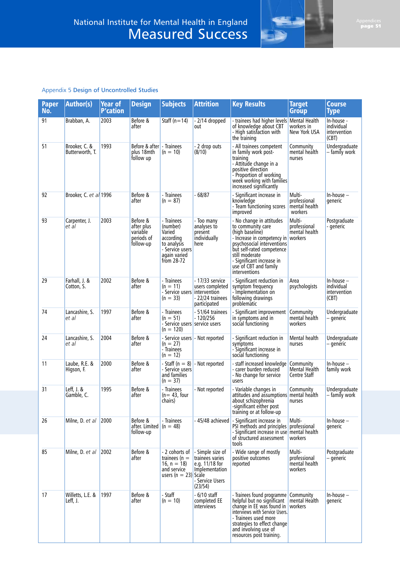

#### Appendix 5 Design of Uncontrolled Studies

| <b>Paper</b><br>No. | <b>Author(s)</b>                 | <b>Year of</b><br><b>P'cation</b> | <b>Design</b>                                                 | <b>Subjects</b>                                                                                                 | <b>Attrition</b>                                                                                      | <b>Key Results</b>                                                                                                                                                                                                                                          | <b>Target</b><br><b>Group</b>                      | <b>Course</b><br><b>Type</b>                      |
|---------------------|----------------------------------|-----------------------------------|---------------------------------------------------------------|-----------------------------------------------------------------------------------------------------------------|-------------------------------------------------------------------------------------------------------|-------------------------------------------------------------------------------------------------------------------------------------------------------------------------------------------------------------------------------------------------------------|----------------------------------------------------|---------------------------------------------------|
| 91                  | Brabban, A.                      | 2003                              | Before &<br>after                                             | Staff $(n=14)$                                                                                                  | - 2/14 dropped<br>out                                                                                 | - trainees had higher levels<br>of knowledge about CBT<br>- High satisfaction with<br>the training                                                                                                                                                          | <b>Mental Health</b><br>workers in<br>New York USA | In-house -<br>individual<br>intervention<br>(CBT) |
| 51                  | Brooker, C. &<br>Butterworth, T. | 1993                              | Before & after<br>plus 18mth<br>follow up                     | - Trainees<br>$(n = 10)$                                                                                        | - 2 drop outs<br>(8/10)                                                                               | - All trainees competent<br>in family work post-<br>training<br>- Attitude change in a<br>positive direction<br>- Proportion of working<br>week working with families<br>increased significantly                                                            | Community<br>mental health<br>nurses               | Undergraduate<br>– family work                    |
| 92                  | Brooker, C. et al 1996           |                                   | Before &<br>after                                             | - Trainees<br>$(n = 87)$                                                                                        | $-68/87$                                                                                              | - Significant increase in<br>knowledge<br>- Team functioning scores<br>improved                                                                                                                                                                             | Multi-<br>professional<br>mental health<br>workers | $In$ -house $-$<br>qeneric                        |
| 93                  | Carpenter, J.<br>et al           | 2003                              | Before &<br>after plus<br>variable<br>periods of<br>follow-up | - Trainees<br>(number)<br>Varied<br>according<br>to analysis<br>- Service users<br>again varied<br>from $28-72$ | - Too many<br>analyses to<br>present<br>individually<br>here                                          | - No change in attitudes<br>to community care<br>(high baseline)<br>- Increase in competency in workers<br>psychosocial interventions<br>but self-rated competence<br>still moderate<br>- Significant increase in<br>use of CBT and family<br>interventions | Multi-<br>professional<br>mental health            | Postgraduate<br>- generic                         |
| 29                  | Farhall, J. &<br>Cotton, S.      | 2002                              | Before &<br>after                                             | - Trainees<br>$(n = 11)$<br>- Service users intervention<br>$(n = 33)$                                          | - 17/33 service<br>users completed<br>- 22/24 trainees<br>participated                                | - Significant reduction in<br>symptom frequency<br>- Implementation on<br>following drawings<br>problematic                                                                                                                                                 | Area<br>psychologists                              | In-house -<br>individual<br>intervention<br>(CBT) |
| 74                  | Lancashire, S.<br>et al          | 1997                              | Before &<br>after                                             | - Trainees<br>$(n = 51)$<br>- Service users service users<br>$(n = 120)$                                        | - 51/64 trainees<br>$-120/256$                                                                        | - Significant improvement<br>in symptoms and in<br>social functioning                                                                                                                                                                                       | Community<br>mental health<br>workers              | Undergraduate<br>– generic                        |
| 24                  | Lancashire, S.<br>et al          | 2004                              | Before &<br>after                                             | $(n = 27)$<br>- Trainees<br>$(n = 12)$                                                                          | - Service users - Not reported                                                                        | - Significant reduction in<br>symptoms<br>- Significant increase in<br>social functioning                                                                                                                                                                   | Mental health<br>nurses                            | Undergraduate<br>– generic                        |
| 11                  | Laube, R.E. &<br>Higson, F.      | 2000                              | Before &<br>after                                             | - Staff (n = 8)<br>- Service users<br>and families<br>$(n = 37)$                                                | Not reported                                                                                          | - staff increased knowledge<br>- carer burden reduced<br>- No change for service<br>users                                                                                                                                                                   | Community<br>Mental Health<br>Centre Staff         | $In$ -house $-$<br>family work                    |
| 31                  | Leff, J. &<br>Gamble, C.         | 1995                              | Before &<br>after                                             | - Trainees<br>$(n=43,$ four<br>chairs)                                                                          | - Not reported                                                                                        | - Variable changes in<br>attitudes and assumptions mental health<br>about schizophrenia<br>-significant either post<br>training or at follow-up                                                                                                             | Community<br>nurses                                | Undergraduate<br>– family work                    |
| 26                  | Milne, D. et al                  | 2000                              | Before &<br>after. Limited<br>follow-up                       | - Trainees<br>$(n = 48)$                                                                                        | - 45/48 achieved                                                                                      | - Significant increase in<br>PSI methods and principles professional<br>- Significant increase in use mental health<br>of structured assessment<br>tools                                                                                                    | Multi-<br>workers                                  | $In$ -house $-$<br>qeneric                        |
| 85                  | Milne, D. et al                  | 2002                              | Before &<br>after                                             | - 2 cohorts of<br>trainees (n $=$<br>16, $n = 18$<br>and service<br>users $(n = 23)$ Scale                      | - Simple size of<br>trainees varies<br>e.g. 11/18 for<br>Implementation<br>- Service Users<br>(23/54) | - Wide range of mostly<br>positive outcomes<br>reported                                                                                                                                                                                                     | Multi-<br>professional<br>mental health<br>workers | Postgraduate<br>– generic                         |
| 17                  | Willetts, L.E. &<br>Leff, J.     | 1997                              | Before &<br>after                                             | - Staff<br>$(n = 10)$                                                                                           | - 6/10 staff<br>completed EE<br>interviews                                                            | - Trainees found programme<br>helpful but no significant<br>change in EE was found in workers<br>interviews with Service Users.<br>- Trainees used more<br>strategies to effect change<br>and involving use of<br>resources post training.                  | Community<br>mental Health                         | $In$ -house $-$<br>qeneric                        |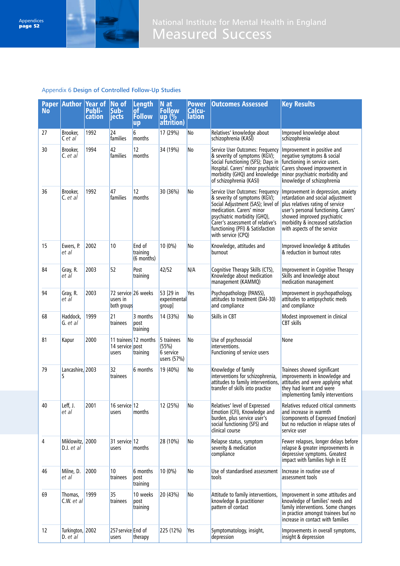#### Appendix 6 Design of Controlled Follow-Up Studies

| <b>No</b> | <b>Paper Author</b>           | <b>Year of</b><br><b>Publi-</b><br>cation | $\vert$ No of<br>Sub-<br><i>iects</i>          | Length<br> of<br>Follow<br><b>up</b> | N at<br>Follow<br>up (%<br>attrition)           | <b>Power</b><br>Calcu-<br><b>lation</b> | <b>Outcomes Assessed</b>                                                                                                                                                                                                                                          | <b>Key Results</b>                                                                                                                                                                                                                                      |
|-----------|-------------------------------|-------------------------------------------|------------------------------------------------|--------------------------------------|-------------------------------------------------|-----------------------------------------|-------------------------------------------------------------------------------------------------------------------------------------------------------------------------------------------------------------------------------------------------------------------|---------------------------------------------------------------------------------------------------------------------------------------------------------------------------------------------------------------------------------------------------------|
| 27        | Brooker,<br>C et al           | 1992                                      | 24<br>families                                 | $6\overline{6}$<br>months            | 17 (29%)                                        | No                                      | Relatives' knowledge about<br>schizophrenia (KASĪ)                                                                                                                                                                                                                | Improved knowledge about<br>schizophrenia                                                                                                                                                                                                               |
| 30        | Brooker,<br>C. et al          | 1994                                      | 42<br>families                                 | 12<br>months                         | 34 (19%)                                        | No                                      | Service User Outcomes: Frequency<br>& severity of symptoms (KGV);<br>Social Functioning (SFS); Days in<br>Hospital. Carers' minor psychiatric<br>morbidity (GHQ) and knowledge<br>of schizophrenia (KASI)                                                         | Improvement in positive and<br>negative symptoms & social<br>functioning in service users.<br>Carers showed improvement in<br>minor psychiatric morbidity and<br>knowledge of schizophrenia                                                             |
| 36        | Brooker,<br>C. et al          | 1992                                      | 47<br>families                                 | 12<br>months                         | 30 (36%)                                        | No                                      | Service User Outcomes: Frequency<br>& severity of symptoms (KGV);<br>Social Adjustment (SAS); level of<br>medication. Carers' minor<br>psychiatric morbidity (GHQ),<br>Carer's assessment of relative's<br>functioning (PFI) & Satisfaction<br>with service (CPQ) | Improvement in depression, anxiety<br>retardation and social adjustment<br>plus relatives rating of service<br>user's personal functioning. Carers'<br>showed improved psychiatric<br>morbidity & increased satisfaction<br>with aspects of the service |
| 15        | Ewers, P.<br>et al            | 2002                                      | 10                                             | End of<br>training<br>$(6$ months)   | $10(0\%)$                                       | No                                      | Knowledge, attitudes and<br>burnout                                                                                                                                                                                                                               | Improved knowledge & attitudes<br>& reduction in burnout rates                                                                                                                                                                                          |
| 84        | Gray, R.<br>et al             | 2003                                      | 52                                             | Post<br>training                     | 42/52                                           | N/A                                     | Cognitive Therapy Skills (CTS),<br>Knowledge about medication<br>management (KAMMQ)                                                                                                                                                                               | Improvement in Cognitive Therapy<br>Skills and knowledge about<br>medication management                                                                                                                                                                 |
| 94        | Gray, R.<br>et al             | 2003                                      | 72 service 26 weeks<br>users in<br>both groups |                                      | 53 [29 in<br>experimental<br>group]             | Yes                                     | Psychopathology (PANSS),<br>attitudes to treatment (DAI-30)<br>and compliance                                                                                                                                                                                     | Improvement in psychopathology,<br>attitudes to antipsychotic meds<br>and compliance                                                                                                                                                                    |
| 68        | Haddock,<br>G. et al          | 1999                                      | 21<br>trainees                                 | 3 months<br>post<br>training         | 14 (33%)                                        | No                                      | Skills in CBT                                                                                                                                                                                                                                                     | Modest improvement in clinical<br><b>CBT</b> skills                                                                                                                                                                                                     |
| 81        | Kapur                         | 2000                                      | 14 service post<br>users                       | 11 trainees 12 months<br>training    | 5 trainees<br>(55%)<br>6 service<br>users (57%) | No                                      | Use of psychosocial<br>interventions.<br>Functioning of service users                                                                                                                                                                                             | None                                                                                                                                                                                                                                                    |
| 79        | Lancashire, 2003<br>S         |                                           | 32<br>trainees                                 | 6 months                             | 19 (40%)                                        | No                                      | Knowledge of family<br>interventions for schizophrenia,<br>attitudes to family interventions,<br>transfer of skills into practice                                                                                                                                 | Trainees showed significant<br>improvements in knowledge and<br>attitudes and were applying what<br>they had learnt and were<br>implementing family interventions                                                                                       |
| 40        | Leff, J.<br>et al             | 2001                                      | 16 service 12<br>users                         | months                               | 12 (25%)                                        | No                                      | Relatives' level of Expressed<br>Emotion (CFI), Knowledge and<br>burden, plus service user's<br>social functioning (SFS) and<br>clinical course                                                                                                                   | Relatives reduced critical comments<br>and increase in warmth<br>(components of Expressed Emotion)<br>but no reduction in relapse rates of<br>service user                                                                                              |
| 4         | Miklowitz, 2000<br>D.J. et al |                                           | 31 service 12<br>users                         | months                               | 28 (10%)                                        | No                                      | Relapse status, symptom<br>severity & medication<br>compliance                                                                                                                                                                                                    | Fewer relapses, longer delays before<br>relapse & greater improvements in<br>depressive symptoms. Greatest<br>impact with families high in EE                                                                                                           |
| 46        | Milne, D.<br>et al            | 2000                                      | 10 <sup>1</sup><br>trainees                    | 6 months<br>post<br>training         | 10 (0%)                                         | No                                      | Use of standardised assessment<br>tools                                                                                                                                                                                                                           | Increase in routine use of<br>assessment tools                                                                                                                                                                                                          |
| 69        | Thomas,<br>C.W. et al         | 1999                                      | 35<br>trainees                                 | 10 weeks<br>post<br>training         | 20 (43%)                                        | No                                      | Attitude to family interventions,<br>knowledge & practitioner<br>pattern of contact                                                                                                                                                                               | Improvement in some attitudes and<br>knowledge of families' needs and<br>family interventions. Some changes<br>in practice amongst trainees but no<br>increase in contact with families                                                                 |
| 12        | Turkington, 2002<br>D. et al  |                                           | 257 service End of<br>users                    | therapy                              | 225 (12%)                                       | Yes                                     | Symptomatology, insight,<br>depression                                                                                                                                                                                                                            | Improvements in overall symptoms,<br>insight & depression                                                                                                                                                                                               |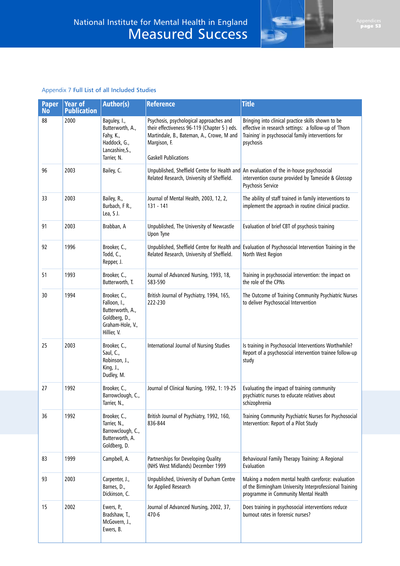

#### Appendix 7 Full List of all Included Studies

| <b>Paper</b><br><b>No</b> | <b>Year of</b><br><b>Publication</b> | <b>Author(s)</b>                                                                                     | <b>Reference</b>                                                                                                                                                                   | <b>Title</b>                                                                                                                                                                   |
|---------------------------|--------------------------------------|------------------------------------------------------------------------------------------------------|------------------------------------------------------------------------------------------------------------------------------------------------------------------------------------|--------------------------------------------------------------------------------------------------------------------------------------------------------------------------------|
| 88                        | 2000                                 | Baguley, I.,<br>Butterworth, A.,<br>Fahy, K.,<br>Haddock, G.,<br>Lancashire, S.,<br>Tarrier, N.      | Psychosis, psychological approaches and<br>their effectiveness 96-119 (Chapter 5) eds.<br>Martindale, B., Bateman, A., Crowe, M and<br>Margison, F.<br><b>Gaskell Publications</b> | Bringing into clinical practice skills shown to be<br>effective in research settings: a follow-up of 'Thorn<br>Training' in psychosocial family interventions for<br>psychosis |
| 96                        | 2003                                 | Bailey, C.                                                                                           | Unpublished, Sheffield Centre for Health and An evaluation of the in-house psychosocial<br>Related Research, University of Sheffield.                                              | intervention course provided by Tameside & Glossop<br>Psychosis Service                                                                                                        |
| 33                        | 2003                                 | Bailey, R.,<br>Burbach, F R.,<br>Lea, S J.                                                           | Journal of Mental Health, 2003, 12, 2,<br>$131 - 141$                                                                                                                              | The ability of staff trained in family interventions to<br>implement the approach in routine clinical practice.                                                                |
| 91                        | 2003                                 | Brabban, A                                                                                           | Unpublished, The University of Newcastle<br>Upon Tyne                                                                                                                              | Evaluation of brief CBT of psychosis training                                                                                                                                  |
| 92                        | 1996                                 | Brooker, C.,<br>Todd, C.,<br>Repper, J.                                                              | Related Research, University of Sheffield.                                                                                                                                         | Unpublished, Sheffield Centre for Health and Evaluation of Psychosocial Intervention Training in the<br>North West Region                                                      |
| 51                        | 1993                                 | Brooker, C.,<br>Butterworth, T.                                                                      | Journal of Advanced Nursing, 1993, 18,<br>583-590                                                                                                                                  | Training in psychosocial intervention: the impact on<br>the role of the CPNs                                                                                                   |
| 30                        | 1994                                 | Brooker, C.,<br>Falloon, I.,<br>Butterworth, A.,<br>Goldberg, D.,<br>Graham-Hole, V.,<br>Hillier, V. | British Journal of Psychiatry, 1994, 165,<br>222-230                                                                                                                               | The Outcome of Training Community Psychiatric Nurses<br>to deliver Psychosocial Intervention                                                                                   |
| 25                        | 2003                                 | Brooker, C.,<br>Saul, C.,<br>Robinson, J.,<br>King, J.,<br>Dudley, M.                                | International Journal of Nursing Studies                                                                                                                                           | Is training in Psychosocial Interventions Worthwhile?<br>Report of a psychosocial intervention trainee follow-up<br>study                                                      |
| 27                        | 1992                                 | Brooker, C.,<br>Barrowclough, C.,<br>Tarrier, N.,                                                    | Journal of Clinical Nursing, 1992, 1: 19-25                                                                                                                                        | Evaluating the impact of training community<br>psychiatric nurses to educate relatives about<br>schizophrenia                                                                  |
| 36                        | 1992                                 | Brooker, C.,<br>Tarrier, N.,<br>Barrowclough, C.,<br>Butterworth, A.<br>Goldberg, D.                 | British Journal of Psychiatry, 1992, 160,<br>836-844                                                                                                                               | Training Community Psychiatric Nurses for Psychosocial<br>Intervention: Report of a Pilot Study                                                                                |
| 83                        | 1999                                 | Campbell, A.                                                                                         | Partnerships for Developing Quality<br>(NHS West Midlands) December 1999                                                                                                           | Behavioural Family Therapy Training: A Regional<br>Evaluation                                                                                                                  |
| 93                        | 2003                                 | Carpenter, J.,<br>Barnes, D.,<br>Dickinson, C.                                                       | Unpublished, University of Durham Centre<br>for Applied Research                                                                                                                   | Making a modern mental health careforce: evaluation<br>of the Birmingham University Interprofessional Training<br>programme in Community Mental Health                         |
| 15                        | 2002                                 | Ewers, P.,<br>Bradshaw, T.,<br>McGovern, J.,<br>Ewers, B.                                            | Journal of Advanced Nursing, 2002, 37,<br>470-6                                                                                                                                    | Does training in psychosocial interventions reduce<br>burnout rates in forensic nurses?                                                                                        |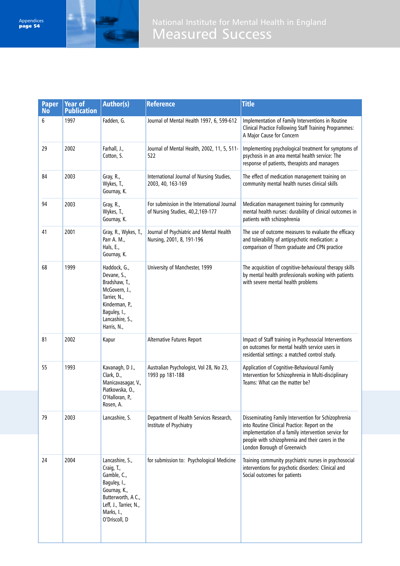

| <b>Paper</b><br><b>No</b> | <b>Year of</b><br><b>Publication</b> | <b>Author(s)</b>                                                                                                                                            | <b>Reference</b>                                                                | <b>Title</b>                                                                                                                                                                                                                                    |
|---------------------------|--------------------------------------|-------------------------------------------------------------------------------------------------------------------------------------------------------------|---------------------------------------------------------------------------------|-------------------------------------------------------------------------------------------------------------------------------------------------------------------------------------------------------------------------------------------------|
| 6                         | 1997                                 | Fadden, G.                                                                                                                                                  | Journal of Mental Health 1997, 6, 599-612                                       | Implementation of Family Interventions in Routine<br>Clinical Practice Following Staff Training Programmes:<br>A Major Cause for Concern                                                                                                        |
| 29                        | 2002                                 | Farhall, J.,<br>Cotton, S.                                                                                                                                  | Journal of Mental Health, 2002, 11, 5, 511-<br>522                              | Implementing psychological treatment for symptoms of<br>psychosis in an area mental health service: The<br>response of patients, therapists and managers                                                                                        |
| 84                        | 2003                                 | Gray, R.,<br>Wykes, T.,<br>Gournay, K.                                                                                                                      | International Journal of Nursing Studies,<br>2003, 40, 163-169                  | The effect of medication management training on<br>community mental health nurses clinical skills                                                                                                                                               |
| 94                        | 2003                                 | Gray, R.,<br>Wykes, T.,<br>Gournay, K.                                                                                                                      | For submission in the International Journal<br>of Nursing Studies, 40,2,169-177 | Medication management training for community<br>mental health nurses: durability of clinical outcomes in<br>patients with schizophrenia                                                                                                         |
| 41                        | 2001                                 | Gray, R., Wykes, T.,<br>Parr A. M.,<br>Hals, E.,<br>Gournay, K.                                                                                             | Journal of Psychiatric and Mental Health<br>Nursing, 2001, 8, 191-196           | The use of outcome measures to evaluate the efficacy<br>and tolerability of antipsychotic medication: a<br>comparison of Thorn graduate and CPN practice                                                                                        |
| 68                        | 1999                                 | Haddock, G.,<br>Devane, S.,<br>Bradshaw, T.,<br>McGovern, J.,<br>Tarrier, N.,<br>Kinderman, P.,<br>Baguley, I.,<br>Lancashire, S.,<br>Harris, N.,           | University of Manchester, 1999                                                  | The acquisition of cognitive-behavioural therapy skills<br>by mental health professionals working with patients<br>with severe mental health problems                                                                                           |
| 81                        | 2002                                 | Kapur                                                                                                                                                       | Alternative Futures Report                                                      | Impact of Staff training in Psychosocial Interventions<br>on outcomes for mental health service users in<br>residential settings: a matched control study.                                                                                      |
| 55                        | 1993                                 | Kavanagh, D J.,<br>Clark, D.,<br>Manicavasagar, V.,<br>Piatkowska, O.,<br>O'Halloran, P.,<br>Rosen, A.                                                      | Australian Psychologist, Vol 28, No 23,<br>1993 pp 181-188                      | Application of Cognitive-Behavioural Family<br>Intervention for Schizophrenia in Multi-disciplinary<br>Teams: What can the matter be?                                                                                                           |
| 79                        | 2003                                 | Lancashire, S.                                                                                                                                              | Department of Health Services Research,<br>Institute of Psychiatry              | Disseminating Family Intervention for Schizophrenia<br>into Routine Clinical Practice: Report on the<br>implementation of a family intervention service for<br>people with schizophrenia and their carers in the<br>London Borough of Greenwich |
| 24                        | 2004                                 | Lancashire, S.,<br>Craig, T.,<br>Gamble, C.,<br>Baguley, I.,<br>Gournay, K.,<br>Butterworth, A C.,<br>Leff, J., Tarrier, N.,<br>Marks, I.,<br>O'Driscoll, D | for submission to: Psychological Medicine                                       | Training community psychiatric nurses in psychosocial<br>interventions for psychotic disorders: Clinical and<br>Social outcomes for patients                                                                                                    |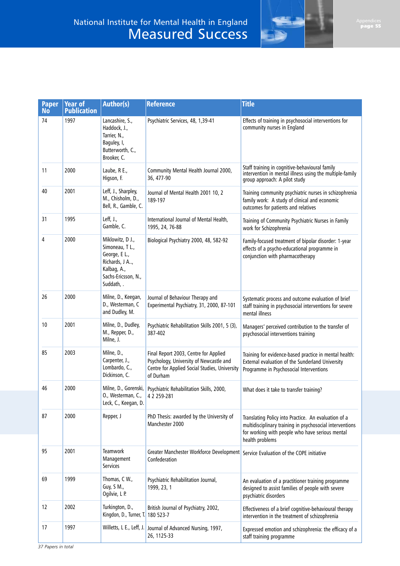

| <b>Paper</b><br><b>No</b> | <b>Year of</b><br><b>Publication</b> | <b>Author(s)</b>                                                                                                           | <b>Reference</b>                                                                                                                               | <b>Title</b>                                                                                                                                                                           |  |  |
|---------------------------|--------------------------------------|----------------------------------------------------------------------------------------------------------------------------|------------------------------------------------------------------------------------------------------------------------------------------------|----------------------------------------------------------------------------------------------------------------------------------------------------------------------------------------|--|--|
| 74                        | 1997                                 | Lancashire, S.,<br>Haddock, J.,<br>Tarrier, N.,<br>Baguley, I,<br>Butterworth, C.,<br>Brooker, C.                          | Psychiatric Services, 48, 1,39-41                                                                                                              | Effects of training in psychosocial interventions for<br>community nurses in England                                                                                                   |  |  |
| 11                        | 2000                                 | Laube, R E.,<br>Higson, F.                                                                                                 | Community Mental Health Journal 2000,<br>36, 477-90                                                                                            | Staff training in cognitive-behavioural family<br>intervention in mental illness using the multiple-family<br>group approach: A pilot study                                            |  |  |
| 40                        | 2001                                 | Leff, J., Sharpley,<br>M., Chisholm, D.,<br>Bell, R., Gamble, C.                                                           | Journal of Mental Health 2001 10, 2<br>189-197                                                                                                 | Training community psychiatric nurses in schizophrenia<br>family work: A study of clinical and economic<br>outcomes for patients and relatives                                         |  |  |
| 31                        | 1995                                 | Leff, J.,<br>Gamble, C.                                                                                                    | International Journal of Mental Health,<br>1995, 24, 76-88                                                                                     | Training of Community Psychiatric Nurses in Family<br>work for Schizophrenia                                                                                                           |  |  |
| 4                         | 2000                                 | Miklowitz, D J.,<br>Simoneau, T L.,<br>George, E L.,<br>Richards, J A,<br>Kalbag, A.,<br>Sachs-Ericsson, N.,<br>Suddath, . | Biological Psychiatry 2000, 48, 582-92                                                                                                         | Family-focused treatment of bipolar disorder: 1-year<br>effects of a psycho-educational programme in<br>conjunction with pharmacotherapy                                               |  |  |
| 26                        | 2000                                 | Milne, D., Keegan,<br>D., Westerman, C<br>and Dudley, M.                                                                   | Journal of Behaviour Therapy and<br>Experimental Psychiatry, 31, 2000, 87-101                                                                  | Systematic process and outcome evaluation of brief<br>staff training in psychosocial interventions for severe<br>mental illness                                                        |  |  |
| 10                        | 2001                                 | Milne, D., Dudley,<br>M., Repper, D.,<br>Milne, J.                                                                         | Psychiatric Rehabilitation Skills 2001, 5 (3),<br>387-402                                                                                      | Managers' perceived contribution to the transfer of<br>psychosocial interventions training                                                                                             |  |  |
| 85                        | 2003                                 | Milne, D.,<br>Carpenter, J.,<br>Lombardo, C.,<br>Dickinson, C.                                                             | Final Report 2003, Centre for Applied<br>Psychology, University of Newcastle and<br>Centre for Applied Social Studies, University<br>of Durham | Training for evidence-based practice in mental health:<br>External evaluation of the Sunderland University<br>Programme in Psychosocial Interventions                                  |  |  |
| 46                        | 2000                                 | Milne, D., Gorenski,<br>O., Westerman, C.,<br>Leck, C., Keegan, D.                                                         | Psychiatric Rehabilitation Skills, 2000,<br>4 2 2 5 9 - 2 8 1                                                                                  | What does it take to transfer training?                                                                                                                                                |  |  |
| 87                        | 2000                                 | Repper, J                                                                                                                  | PhD Thesis: awarded by the University of<br>Manchester 2000                                                                                    | Translating Policy into Practice. An evaluation of a<br>multidisciplinary training in psychosocial interventions<br>for working with people who have serious mental<br>health problems |  |  |
| 95                        | 2001                                 | <b>Teamwork</b><br>Management<br>Services                                                                                  | Greater Manchester Workforce Development Service Evaluation of the COPE initiative<br>Confederation                                            |                                                                                                                                                                                        |  |  |
| 69                        | 1999                                 | Thomas, C W.,<br>Guy, S M.,<br>Ogilvie, L P.                                                                               | Psychiatric Rehabilitation Journal,<br>1999, 23, 1                                                                                             | An evaluation of a practitioner training programme<br>designed to assist families of people with severe<br>psychiatric disorders                                                       |  |  |
| 12                        | 2002                                 | Turkington, D.,<br>Kingdon, D., Turner, T. 180 523-7                                                                       | British Journal of Psychiatry, 2002,                                                                                                           | Effectiveness of a brief cognitive-behavioural therapy<br>intervention in the treatment of schizophrenia                                                                               |  |  |
| 17                        | 1997                                 | Willetts, L E., Leff, J.                                                                                                   | Journal of Advanced Nursing, 1997,<br>26, 1125-33                                                                                              | Expressed emotion and schizophrenia: the efficacy of a<br>staff training programme                                                                                                     |  |  |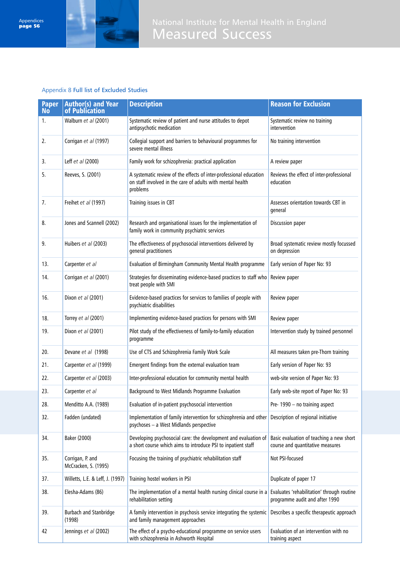#### Appendix 8 Full list of Excluded Studies

| <b>Paper</b><br><b>No</b> | <b>Author(s) and Year</b><br>of Publication | <b>Description</b>                                                                                                                           | <b>Reason for Exclusion</b>                                                  |
|---------------------------|---------------------------------------------|----------------------------------------------------------------------------------------------------------------------------------------------|------------------------------------------------------------------------------|
| 1.                        | Walburn et al (2001)                        | Systematic review of patient and nurse attitudes to depot<br>antipsychotic medication                                                        | Systematic review no training<br>intervention                                |
| 2.                        | Corrigan et al (1997)                       | Collegial support and barriers to behavioural programmes for<br>severe mental illness                                                        | No training intervention                                                     |
| 3.                        | Leff et al (2000)                           | Family work for schizophrenia: practical application                                                                                         | A review paper                                                               |
| 5.                        | Reeves, S. (2001)                           | A systematic review of the effects of inter-professional education<br>on staff involved in the care of adults with mental health<br>problems | Reviews the effect of inter-professional<br>education                        |
| 7.                        | Freihet et al (1997)                        | Training issues in CBT                                                                                                                       | Assesses orientation towards CBT in<br>general                               |
| 8.                        | Jones and Scannell (2002)                   | Research and organisational issues for the implementation of<br>family work in community psychiatric services                                | Discussion paper                                                             |
| 9.                        | Huibers et al (2003)                        | The effectiveness of psychosocial interventions delivered by<br>general practitioners                                                        | Broad systematic review mostly focussed<br>on depression                     |
| 13.                       | Carpenter et al                             | Evaluation of Birmingham Community Mental Health programme                                                                                   | Early version of Paper No: 93                                                |
| 14.                       | Corrigan et al (2001)                       | Strategies for disseminating evidence-based practices to staff who<br>treat people with SMI                                                  | Review paper                                                                 |
| 16.                       | Dixon et al (2001)                          | Evidence-based practices for services to families of people with<br>psychiatric disabilities                                                 | Review paper                                                                 |
| 18.                       | Torrey et al (2001)                         | Implementing evidence-based practices for persons with SMI                                                                                   | Review paper                                                                 |
| 19.                       | Dixon et al (2001)                          | Pilot study of the effectiveness of family-to-family education<br>programme                                                                  | Intervention study by trained personnel                                      |
| 20.                       | Devane et al (1998)                         | Use of CTS and Schizophrenia Family Work Scale                                                                                               | All measures taken pre-Thorn training                                        |
| 21.                       | Carpenter et al (1999)                      | Emergent findings from the external evaluation team                                                                                          | Early version of Paper No: 93                                                |
| 22.                       | Carpenter et al (2003)                      | Inter-professional education for community mental health                                                                                     | web-site version of Paper No: 93                                             |
| 23.                       | Carpenter et al                             | Background to West Midlands Programme Evaluation                                                                                             | Early web-site report of Paper No: 93                                        |
| 28.                       | Menditto A.A. (1989)                        | Evaluation of in-patient psychosocial intervention                                                                                           | Pre-1990 - no training aspect                                                |
| 32.                       | Fadden (undated)                            | Implementation of family intervention for schizophrenia and other<br>psychoses - a West Midlands perspective                                 | Description of regional initiative                                           |
| 34.                       | Baker (2000)                                | Developing psychosocial care: the development and evaluation of<br>a short course which aims to introduce PSI to inpatient staff             | Basic evaluation of teaching a new short<br>course and quantitative measures |
| 35.                       | Corrigan, P. and<br>McCracken, S. (1995)    | Focusing the training of psychiatric rehabilitation staff                                                                                    | Not PSI-focused                                                              |
| 37.                       | Willetts, L.E. & Leff, J. (1997)            | Training hostel workers in PSI                                                                                                               | Duplicate of paper 17                                                        |
| 38.                       | Elesha-Adams (86)                           | The implementation of a mental health nursing clinical course in a<br>rehabilitation setting                                                 | Evaluates 'rehabilitation' through routine<br>programme audit and after 1990 |
| 39.                       | Burbach and Stanbridge<br>(1998)            | A family intervention in psychosis service integrating the systemic<br>and family management approaches                                      | Describes a specific therapeutic approach                                    |
| 42                        | Jennings et al (2002)                       | The effect of a psycho-educational programme on service users<br>with schizophrenia in Ashworth Hospital                                     | Evaluation of an intervention with no<br>training aspect                     |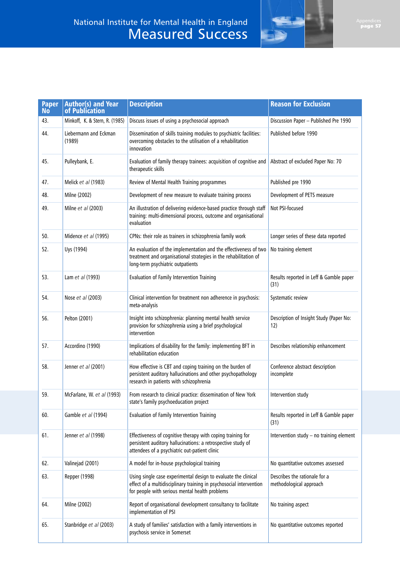

| <b>Paper</b><br><b>No</b> | <b>Author(s) and Year</b><br>of Publication | <b>Description</b>                                                                                                                                                                      | <b>Reason for Exclusion</b>                              |
|---------------------------|---------------------------------------------|-----------------------------------------------------------------------------------------------------------------------------------------------------------------------------------------|----------------------------------------------------------|
| 43.                       | Minkoff, K. & Stern, R. (1985)              | Discuss issues of using a psychosocial approach                                                                                                                                         | Discussion Paper - Published Pre 1990                    |
| 44.                       | Liebermann and Eckman<br>(1989)             | Dissemination of skills training modules to psychiatric facilities:<br>overcoming obstacles to the utilisation of a rehabilitation<br>innovation                                        | Published before 1990                                    |
| 45.                       | Pulleybank, E.                              | Evaluation of family therapy trainees: acquisition of cognitive and<br>therapeutic skills                                                                                               | Abstract of excluded Paper No: 70                        |
| 47.                       | Melick et al (1983)                         | Review of Mental Health Training programmes                                                                                                                                             | Published pre 1990                                       |
| 48.                       | Milne (2002)                                | Development of new measure to evaluate training process                                                                                                                                 | Development of PETS measure                              |
| 49.                       | Milne et al (2003)                          | An illustration of delivering evidence-based practice through staff<br>training: multi-dimensional process, outcome and organisational<br>evaluation                                    | Not PSI-focused                                          |
| 50.                       | Midence et al (1995)                        | CPNs: their role as trainers in schizophrenia family work                                                                                                                               | Longer series of these data reported                     |
| 52.                       | Uys (1994)                                  | An evaluation of the implementation and the effectiveness of two<br>treatment and organisational strategies in the rehabilitation of<br>long-term psychiatric outpatients               | No training element                                      |
| 53.                       | Lam et al (1993)                            | Evaluation of Family Intervention Training                                                                                                                                              | Results reported in Leff & Gamble paper<br>(31)          |
| 54.                       | Nose et al (2003)                           | Clinical intervention for treatment non adherence in psychosis:<br>meta-analysis                                                                                                        | Systematic review                                        |
| 56.                       | Pelton (2001)                               | Insight into schizophrenia: planning mental health service<br>provision for schizophrenia using a brief psychological<br>intervention                                                   | Description of Insight Study (Paper No:<br>12)           |
| 57.                       | Accordino (1990)                            | Implications of disability for the family: implementing BFT in<br>rehabilitation education                                                                                              | Describes relationship enhancement                       |
| 58.                       | Jenner et al (2001)                         | How effective is CBT and coping training on the burden of<br>persistent auditory hallucinations and other psychopathology<br>research in patients with schizophrenia                    | Conference abstract description<br>incomplete            |
| 59.                       | McFarlane, W. et al (1993)                  | From research to clinical practice: dissemination of New York<br>state's family psychoeducation project                                                                                 | Intervention study                                       |
| 60.                       | Gamble et al (1994)                         | Evaluation of Family Intervention Training                                                                                                                                              | Results reported in Leff & Gamble paper<br>(31)          |
| 61.                       | Jenner et al (1998)                         | Effectiveness of cognitive therapy with coping training for<br>persistent auditory hallucinations: a retrospective study of<br>attendees of a psychiatric out-patient clinic            | Intervention study - no training element                 |
| 62.                       | Valinejad (2001)                            | A model for in-house psychological training                                                                                                                                             | No quantitative outcomes assessed                        |
| 63.                       | Repper (1998)                               | Using single case experimental design to evaluate the clinical<br>effect of a multidisciplinary training in psychosocial intervention<br>for people with serious mental health problems | Describes the rationale for a<br>methodological approach |
| 64.                       | Milne (2002)                                | Report of organisational development consultancy to facilitate<br>implementation of PSI                                                                                                 | No training aspect                                       |
| 65.                       | Stanbridge et al (2003)                     | A study of families' satisfaction with a family interventions in<br>psychosis service in Somerset                                                                                       | No quantitative outcomes reported                        |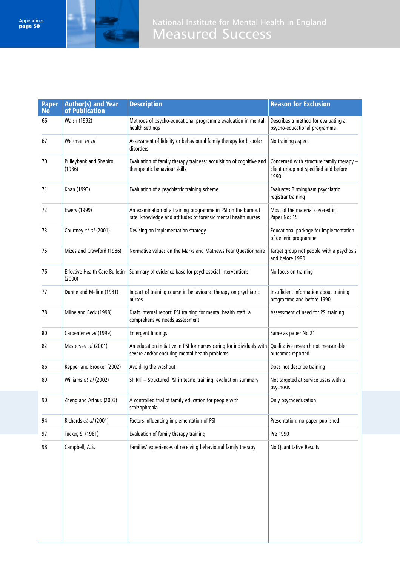

| <b>Paper</b><br><b>No</b> | Author(s) and Year<br>of Publication            | <b>Description</b>                                                                                                             | <b>Reason for Exclusion</b>                                                                |
|---------------------------|-------------------------------------------------|--------------------------------------------------------------------------------------------------------------------------------|--------------------------------------------------------------------------------------------|
| 66.                       | Walsh (1992)                                    | Methods of psycho-educational programme evaluation in mental<br>health settings                                                | Describes a method for evaluating a<br>psycho-educational programme                        |
| 67                        | Weisman et al                                   | Assessment of fidelity or behavioural family therapy for bi-polar<br>disorders                                                 | No training aspect                                                                         |
| 70.                       | Pulleybank and Shapiro<br>(1986)                | Evaluation of family therapy trainees: acquisition of cognitive and<br>therapeutic behaviour skills                            | Concerned with structure family therapy -<br>client group not specified and before<br>1990 |
| 71.                       | Khan (1993)                                     | Evaluation of a psychiatric training scheme                                                                                    | Evaluates Birmingham psychiatric<br>registrar training                                     |
| 72.                       | Ewers (1999)                                    | An examination of a training programme in PSI on the burnout<br>rate, knowledge and attitudes of forensic mental health nurses | Most of the material covered in<br>Paper No: 15                                            |
| 73.                       | Courtney et al (2001)                           | Devising an implementation strategy                                                                                            | Educational package for implementation<br>of generic programme                             |
| 75.                       | Mizes and Crawford (1986)                       | Normative values on the Marks and Mathews Fear Questionnaire                                                                   | Target group not people with a psychosis<br>and before 1990                                |
| 76                        | <b>Effective Health Care Bulletin</b><br>(2000) | Summary of evidence base for psychosocial interventions                                                                        | No focus on training                                                                       |
| 77.                       | Dunne and Melinn (1981)                         | Impact of training course in behavioural therapy on psychiatric<br>nurses                                                      | Insufficient information about training<br>programme and before 1990                       |
| 78.                       | Milne and Beck (1998)                           | Draft internal report: PSI training for mental health staff: a<br>comprehensive needs assessment                               | Assessment of need for PSI training                                                        |
| 80.                       | Carpenter et al (1999)                          | <b>Emergent findings</b>                                                                                                       | Same as paper No 21                                                                        |
| 82.                       | Masters et al (2001)                            | An education initiative in PSI for nurses caring for individuals with<br>severe and/or enduring mental health problems         | Qualitative research not measurable<br>outcomes reported                                   |
| 86.                       | Repper and Brooker (2002)                       | Avoiding the washout                                                                                                           | Does not describe training                                                                 |
| 89.                       | Williams et al (2002)                           | SPIRIT - Structured PSI in teams training: evaluation summary                                                                  | Not targeted at service users with a<br>psychosis                                          |
| 90.                       | Zheng and Arthur. (2003)                        | A controlled trial of family education for people with<br>schizophrenia                                                        | Only psychoeducation                                                                       |
| 94.                       | Richards et al (2001)                           | Factors influencing implementation of PSI                                                                                      | Presentation: no paper published                                                           |
| 97.                       | Tucker, S. (1981)                               | Evaluation of family therapy training                                                                                          | Pre 1990                                                                                   |
| 98                        | Campbell, A.S.                                  | Families' experiences of receiving behavioural family therapy                                                                  | No Quantitative Results                                                                    |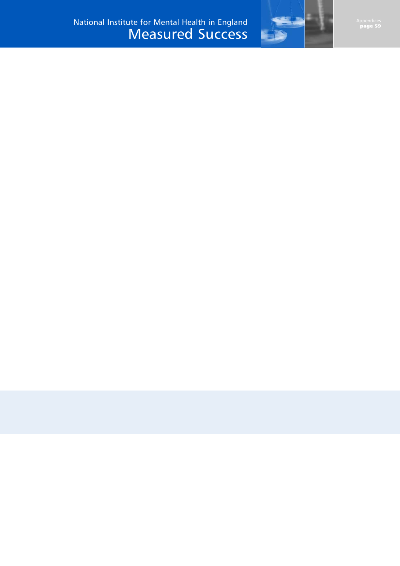